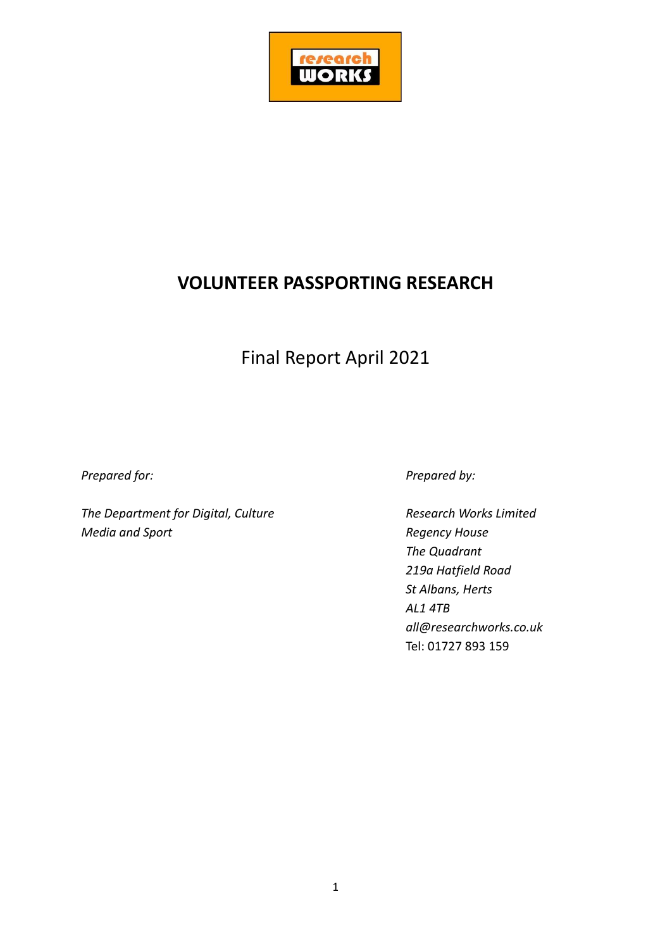

# **VOLUNTEER PASSPORTING RESEARCH**

# Final Report April 2021

*Prepared for: Prepared by:*

*The Department for Digital, Culture Research Works Limited Media and Sport Regency House*

*The Quadrant 219a Hatfield Road St Albans, Herts AL1 4TB all@researchworks.co.uk* Tel: 01727 893 159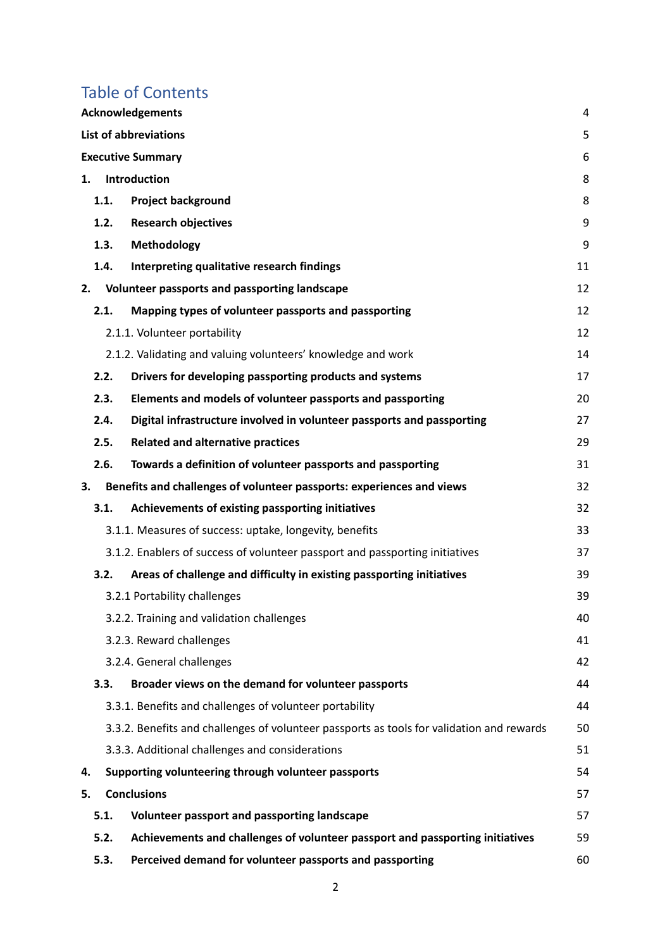# Table of Contents

|    | <b>Acknowledgements</b><br>4      |                                                                                           |    |  |
|----|-----------------------------------|-------------------------------------------------------------------------------------------|----|--|
|    | <b>List of abbreviations</b><br>5 |                                                                                           |    |  |
|    |                                   | <b>Executive Summary</b>                                                                  | 6  |  |
| 1. |                                   | Introduction                                                                              | 8  |  |
|    | 1.1.                              | <b>Project background</b>                                                                 | 8  |  |
|    | 1.2.                              | <b>Research objectives</b>                                                                | 9  |  |
|    | 1.3.                              | Methodology                                                                               | 9  |  |
|    | 1.4.                              | Interpreting qualitative research findings                                                | 11 |  |
| 2. |                                   | Volunteer passports and passporting landscape                                             | 12 |  |
|    | 2.1.                              | Mapping types of volunteer passports and passporting                                      | 12 |  |
|    |                                   | 2.1.1. Volunteer portability                                                              | 12 |  |
|    |                                   | 2.1.2. Validating and valuing volunteers' knowledge and work                              | 14 |  |
|    | 2.2.                              | Drivers for developing passporting products and systems                                   | 17 |  |
|    | 2.3.                              | Elements and models of volunteer passports and passporting                                | 20 |  |
|    | 2.4.                              | Digital infrastructure involved in volunteer passports and passporting                    | 27 |  |
|    | 2.5.                              | <b>Related and alternative practices</b>                                                  | 29 |  |
|    | 2.6.                              | Towards a definition of volunteer passports and passporting                               | 31 |  |
| 3. |                                   | Benefits and challenges of volunteer passports: experiences and views                     | 32 |  |
|    | 3.1.                              | Achievements of existing passporting initiatives                                          | 32 |  |
|    |                                   | 3.1.1. Measures of success: uptake, longevity, benefits                                   | 33 |  |
|    |                                   | 3.1.2. Enablers of success of volunteer passport and passporting initiatives              | 37 |  |
|    | 3.2.                              | Areas of challenge and difficulty in existing passporting initiatives                     | 39 |  |
|    |                                   | 3.2.1 Portability challenges                                                              | 39 |  |
|    |                                   | 3.2.2. Training and validation challenges                                                 | 40 |  |
|    |                                   | 3.2.3. Reward challenges                                                                  | 41 |  |
|    |                                   | 3.2.4. General challenges                                                                 | 42 |  |
|    | 3.3.                              | Broader views on the demand for volunteer passports                                       | 44 |  |
|    |                                   | 3.3.1. Benefits and challenges of volunteer portability                                   | 44 |  |
|    |                                   | 3.3.2. Benefits and challenges of volunteer passports as tools for validation and rewards | 50 |  |
|    |                                   | 3.3.3. Additional challenges and considerations                                           | 51 |  |
| 4. |                                   | Supporting volunteering through volunteer passports                                       | 54 |  |
| 5. |                                   | <b>Conclusions</b>                                                                        | 57 |  |
|    | 5.1.                              | Volunteer passport and passporting landscape                                              | 57 |  |
|    | 5.2.                              | Achievements and challenges of volunteer passport and passporting initiatives             | 59 |  |
|    | 5.3.                              | Perceived demand for volunteer passports and passporting                                  | 60 |  |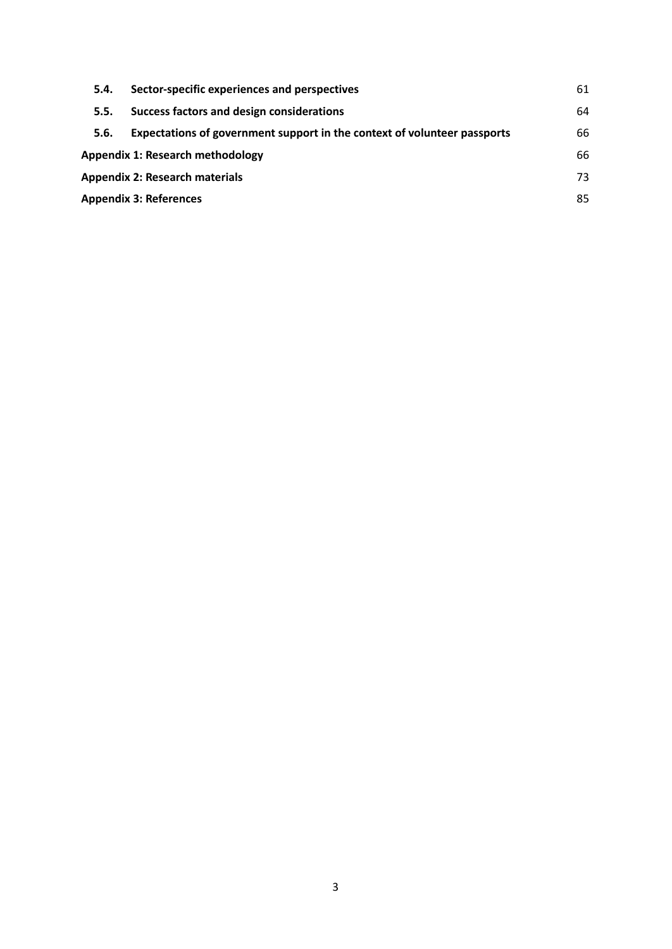| 5.4.                                    | Sector-specific experiences and perspectives                             | 61 |  |
|-----------------------------------------|--------------------------------------------------------------------------|----|--|
| 5.5.                                    | Success factors and design considerations                                | 64 |  |
| 5.6.                                    | Expectations of government support in the context of volunteer passports | 66 |  |
| <b>Appendix 1: Research methodology</b> |                                                                          |    |  |
| <b>Appendix 2: Research materials</b>   |                                                                          |    |  |
| <b>Appendix 3: References</b>           |                                                                          |    |  |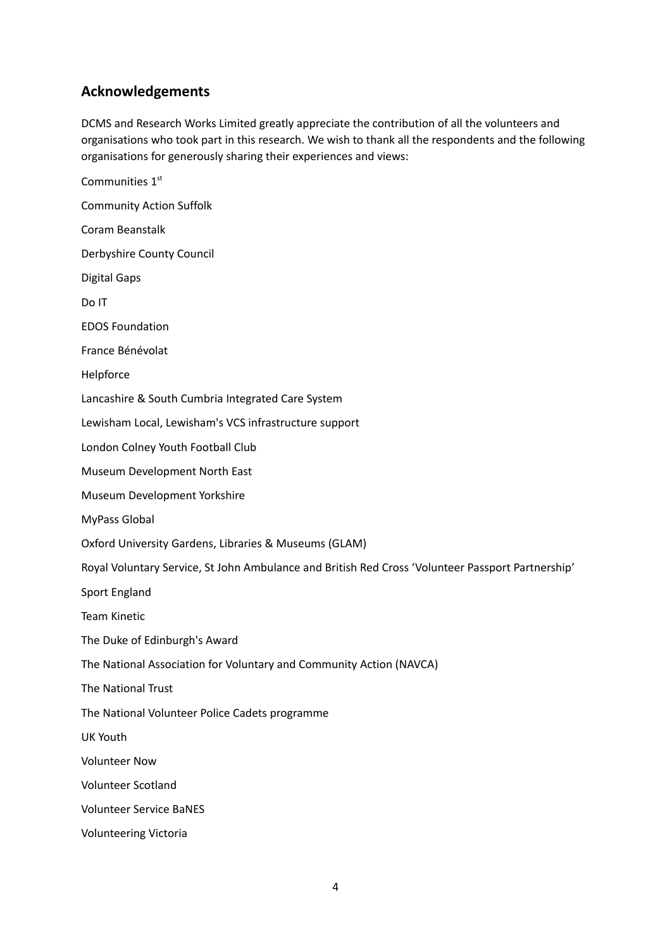# <span id="page-3-0"></span>**Acknowledgements**

DCMS and Research Works Limited greatly appreciate the contribution of all the volunteers and organisations who took part in this research. We wish to thank all the respondents and the following organisations for generously sharing their experiences and views:

Communities 1st Community Action Suffolk Coram Beanstalk Derbyshire County Council Digital Gaps Do IT EDOS Foundation France Bénévolat Helpforce Lancashire & South Cumbria Integrated Care System Lewisham Local, Lewisham's VCS infrastructure support London Colney Youth Football Club Museum Development North East Museum Development Yorkshire MyPass Global Oxford University Gardens, Libraries & Museums (GLAM) Royal Voluntary Service, St John Ambulance and British Red Cross 'Volunteer Passport Partnership' Sport England Team Kinetic The Duke of Edinburgh's Award The National Association for Voluntary and Community Action (NAVCA) The National Trust The National Volunteer Police Cadets programme UK Youth Volunteer Now Volunteer Scotland Volunteer Service BaNES Volunteering Victoria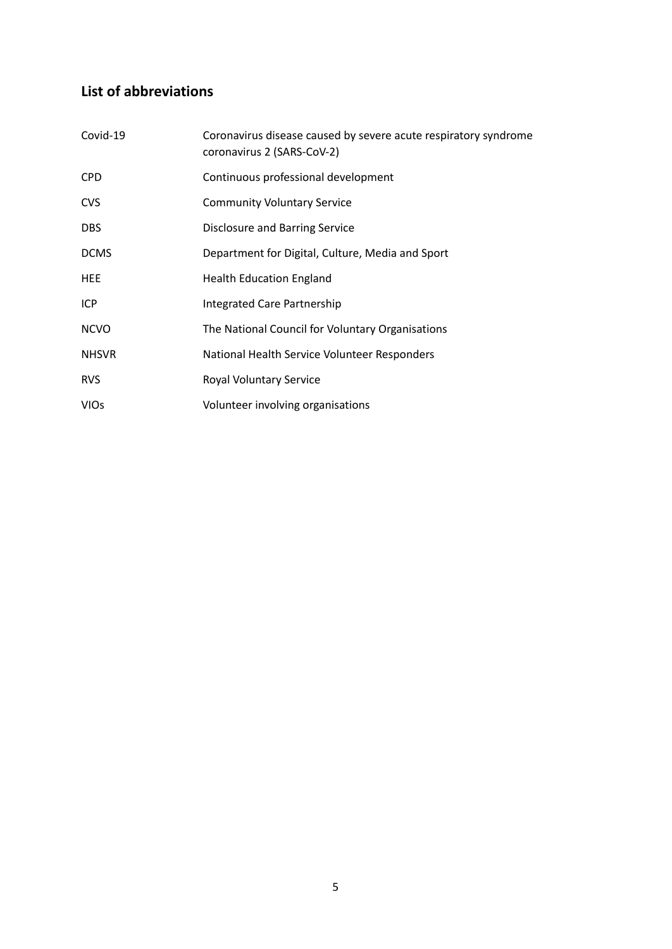# <span id="page-4-0"></span>**List of abbreviations**

| Covid-19     | Coronavirus disease caused by severe acute respiratory syndrome<br>coronavirus 2 (SARS-CoV-2) |
|--------------|-----------------------------------------------------------------------------------------------|
| <b>CPD</b>   | Continuous professional development                                                           |
| <b>CVS</b>   | <b>Community Voluntary Service</b>                                                            |
| <b>DBS</b>   | <b>Disclosure and Barring Service</b>                                                         |
| <b>DCMS</b>  | Department for Digital, Culture, Media and Sport                                              |
| <b>HEE</b>   | <b>Health Education England</b>                                                               |
| ICP          | <b>Integrated Care Partnership</b>                                                            |
| <b>NCVO</b>  | The National Council for Voluntary Organisations                                              |
| <b>NHSVR</b> | National Health Service Volunteer Responders                                                  |
| <b>RVS</b>   | Royal Voluntary Service                                                                       |
| <b>VIOs</b>  | Volunteer involving organisations                                                             |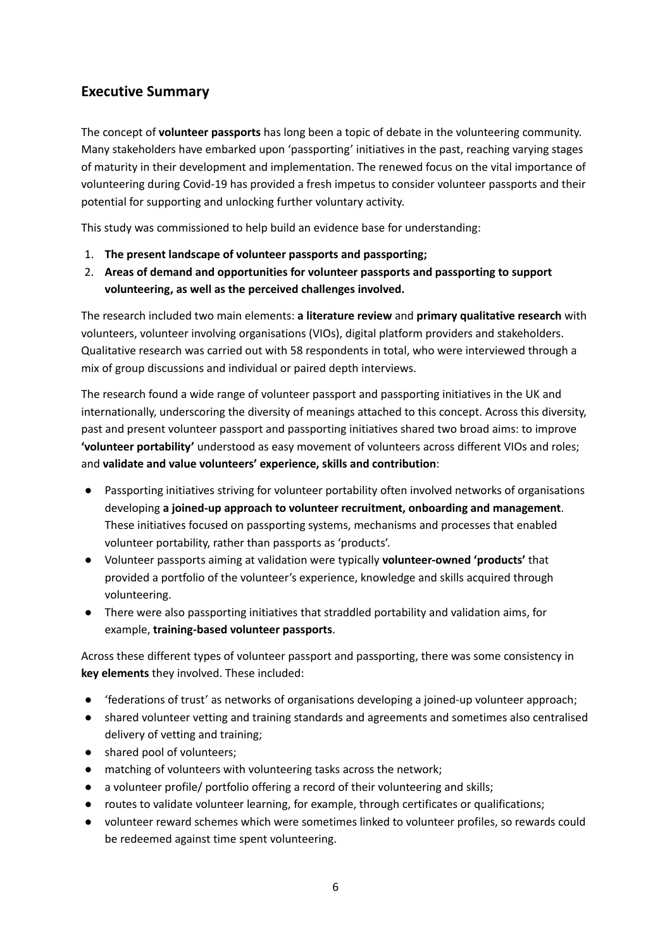# <span id="page-5-0"></span>**Executive Summary**

The concept of **volunteer passports** has long been a topic of debate in the volunteering community. Many stakeholders have embarked upon 'passporting' initiatives in the past, reaching varying stages of maturity in their development and implementation. The renewed focus on the vital importance of volunteering during Covid-19 has provided a fresh impetus to consider volunteer passports and their potential for supporting and unlocking further voluntary activity.

This study was commissioned to help build an evidence base for understanding:

- 1. **The present landscape of volunteer passports and passporting;**
- 2. **Areas of demand and opportunities for volunteer passports and passporting to support volunteering, as well as the perceived challenges involved.**

The research included two main elements: **a literature review** and **primary qualitative research** with volunteers, volunteer involving organisations (VIOs), digital platform providers and stakeholders. Qualitative research was carried out with 58 respondents in total, who were interviewed through a mix of group discussions and individual or paired depth interviews.

The research found a wide range of volunteer passport and passporting initiatives in the UK and internationally, underscoring the diversity of meanings attached to this concept. Across this diversity, past and present volunteer passport and passporting initiatives shared two broad aims: to improve **'volunteer portability'** understood as easy movement of volunteers across different VIOs and roles; and **validate and value volunteers' experience, skills and contribution**:

- Passporting initiatives striving for volunteer portability often involved networks of organisations developing **a joined-up approach to volunteer recruitment, onboarding and management**. These initiatives focused on passporting systems, mechanisms and processes that enabled volunteer portability, rather than passports as 'products'.
- Volunteer passports aiming at validation were typically **volunteer-owned 'products'** that provided a portfolio of the volunteer's experience, knowledge and skills acquired through volunteering.
- There were also passporting initiatives that straddled portability and validation aims, for example, **training-based volunteer passports**.

Across these different types of volunteer passport and passporting, there was some consistency in **key elements** they involved. These included:

- federations of trust' as networks of organisations developing a joined-up volunteer approach;
- shared volunteer vetting and training standards and agreements and sometimes also centralised delivery of vetting and training;
- shared pool of volunteers;
- matching of volunteers with volunteering tasks across the network;
- a volunteer profile/ portfolio offering a record of their volunteering and skills;
- routes to validate volunteer learning, for example, through certificates or qualifications;
- volunteer reward schemes which were sometimes linked to volunteer profiles, so rewards could be redeemed against time spent volunteering.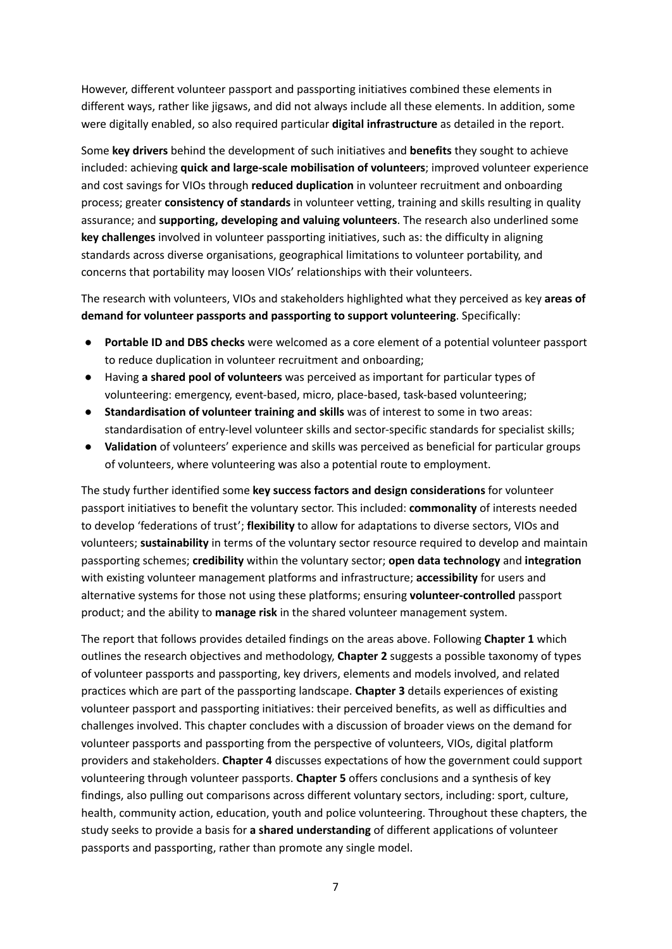However, different volunteer passport and passporting initiatives combined these elements in different ways, rather like jigsaws, and did not always include all these elements. In addition, some were digitally enabled, so also required particular **digital infrastructure** as detailed in the report.

Some **key drivers** behind the development of such initiatives and **benefits** they sought to achieve included: achieving **quick and large-scale mobilisation of volunteers**; improved volunteer experience and cost savings for VIOs through **reduced duplication** in volunteer recruitment and onboarding process; greater **consistency of standards** in volunteer vetting, training and skills resulting in quality assurance; and **supporting, developing and valuing volunteers**. The research also underlined some **key challenges** involved in volunteer passporting initiatives, such as: the difficulty in aligning standards across diverse organisations, geographical limitations to volunteer portability, and concerns that portability may loosen VIOs' relationships with their volunteers.

The research with volunteers, VIOs and stakeholders highlighted what they perceived as key **areas of demand for volunteer passports and passporting to support volunteering**. Specifically:

- **Portable ID and DBS checks** were welcomed as a core element of a potential volunteer passport to reduce duplication in volunteer recruitment and onboarding;
- Having **a shared pool of volunteers** was perceived as important for particular types of volunteering: emergency, event-based, micro, place-based, task-based volunteering;
- **Standardisation of volunteer training and skills** was of interest to some in two areas: standardisation of entry-level volunteer skills and sector-specific standards for specialist skills;
- **Validation** of volunteers' experience and skills was perceived as beneficial for particular groups of volunteers, where volunteering was also a potential route to employment.

The study further identified some **key success factors and design considerations** for volunteer passport initiatives to benefit the voluntary sector. This included: **commonality** of interests needed to develop 'federations of trust'; **flexibility** to allow for adaptations to diverse sectors, VIOs and volunteers; **sustainability** in terms of the voluntary sector resource required to develop and maintain passporting schemes; **credibility** within the voluntary sector; **open data technology** and **integration** with existing volunteer management platforms and infrastructure; **accessibility** for users and alternative systems for those not using these platforms; ensuring **volunteer-controlled** passport product; and the ability to **manage risk** in the shared volunteer management system.

The report that follows provides detailed findings on the areas above. Following **Chapter 1** which outlines the research objectives and methodology, **Chapter 2** suggests a possible taxonomy of types of volunteer passports and passporting, key drivers, elements and models involved, and related practices which are part of the passporting landscape. **Chapter 3** details experiences of existing volunteer passport and passporting initiatives: their perceived benefits, as well as difficulties and challenges involved. This chapter concludes with a discussion of broader views on the demand for volunteer passports and passporting from the perspective of volunteers, VIOs, digital platform providers and stakeholders. **Chapter 4** discusses expectations of how the government could support volunteering through volunteer passports. **Chapter 5** offers conclusions and a synthesis of key findings, also pulling out comparisons across different voluntary sectors, including: sport, culture, health, community action, education, youth and police volunteering. Throughout these chapters, the study seeks to provide a basis for **a shared understanding** of different applications of volunteer passports and passporting, rather than promote any single model.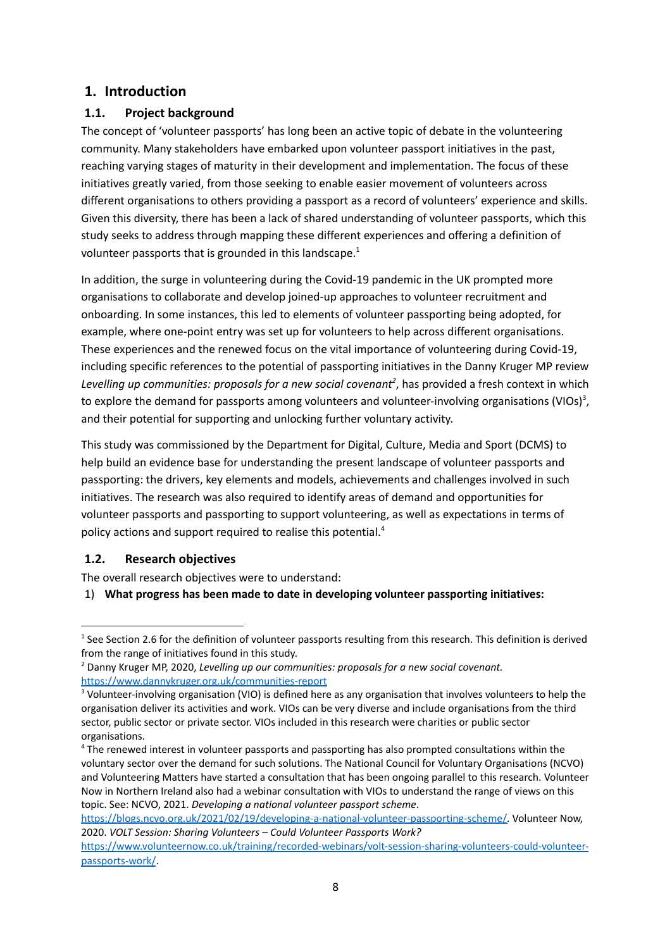# <span id="page-7-0"></span>**1. Introduction**

# <span id="page-7-1"></span>**1.1. Project background**

The concept of 'volunteer passports' has long been an active topic of debate in the volunteering community. Many stakeholders have embarked upon volunteer passport initiatives in the past, reaching varying stages of maturity in their development and implementation. The focus of these initiatives greatly varied, from those seeking to enable easier movement of volunteers across different organisations to others providing a passport as a record of volunteers' experience and skills. Given this diversity, there has been a lack of shared understanding of volunteer passports, which this study seeks to address through mapping these different experiences and offering a definition of volunteer passports that is grounded in this landscape.<sup>1</sup>

In addition, the surge in volunteering during the Covid-19 pandemic in the UK prompted more organisations to collaborate and develop joined-up approaches to volunteer recruitment and onboarding. In some instances, this led to elements of volunteer passporting being adopted, for example, where one-point entry was set up for volunteers to help across different organisations. These experiences and the renewed focus on the vital importance of volunteering during Covid-19, including specific references to the potential of passporting initiatives in the Danny Kruger MP review *Levelling up communities: proposals for a new social covenant 2* , has provided a fresh context in which to explore the demand for passports among volunteers and volunteer-involving organisations (VIOs)<sup>3</sup>, and their potential for supporting and unlocking further voluntary activity.

This study was commissioned by the Department for Digital, Culture, Media and Sport (DCMS) to help build an evidence base for understanding the present landscape of volunteer passports and passporting: the drivers, key elements and models, achievements and challenges involved in such initiatives. The research was also required to identify areas of demand and opportunities for volunteer passports and passporting to support volunteering, as well as expectations in terms of policy actions and support required to realise this potential.<sup>4</sup>

## <span id="page-7-2"></span>**1.2. Research objectives**

The overall research objectives were to understand:

1) **What progress has been made to date in developing volunteer passporting initiatives:**

 $1$  See Section 2.6 for the definition of volunteer passports resulting from this research. This definition is derived from the range of initiatives found in this study.

<sup>2</sup> Danny Kruger MP, 2020, *Levelling up our communities: proposals for a new social covenant.* <https://www.dannykruger.org.uk/communities-report>

<sup>&</sup>lt;sup>3</sup> Volunteer-involving organisation (VIO) is defined here as any organisation that involves volunteers to help the organisation deliver its activities and work. VIOs can be very diverse and include organisations from the third sector, public sector or private sector. VIOs included in this research were charities or public sector organisations.

<sup>&</sup>lt;sup>4</sup> The renewed interest in volunteer passports and passporting has also prompted consultations within the voluntary sector over the demand for such solutions. The National Council for Voluntary Organisations (NCVO) and Volunteering Matters have started a consultation that has been ongoing parallel to this research. Volunteer Now in Northern Ireland also had a webinar consultation with VIOs to understand the range of views on this topic. See: NCVO, 2021. *Developing a national volunteer passport scheme*.

[https://blogs.ncvo.org.uk/2021/02/19/developing-a-national-volunteer-passporting-scheme/.](https://blogs.ncvo.org.uk/2021/02/19/developing-a-national-volunteer-passporting-scheme/) Volunteer Now, 2020. *VOLT Session: Sharing Volunteers – Could Volunteer Passports Work?*

[https://www.volunteernow.co.uk/training/recorded-webinars/volt-session-sharing-volunteers-could-volunteer](https://www.volunteernow.co.uk/training/recorded-webinars/volt-session-sharing-volunteers-could-volunteer-passports-work/)[passports-work/](https://www.volunteernow.co.uk/training/recorded-webinars/volt-session-sharing-volunteers-could-volunteer-passports-work/).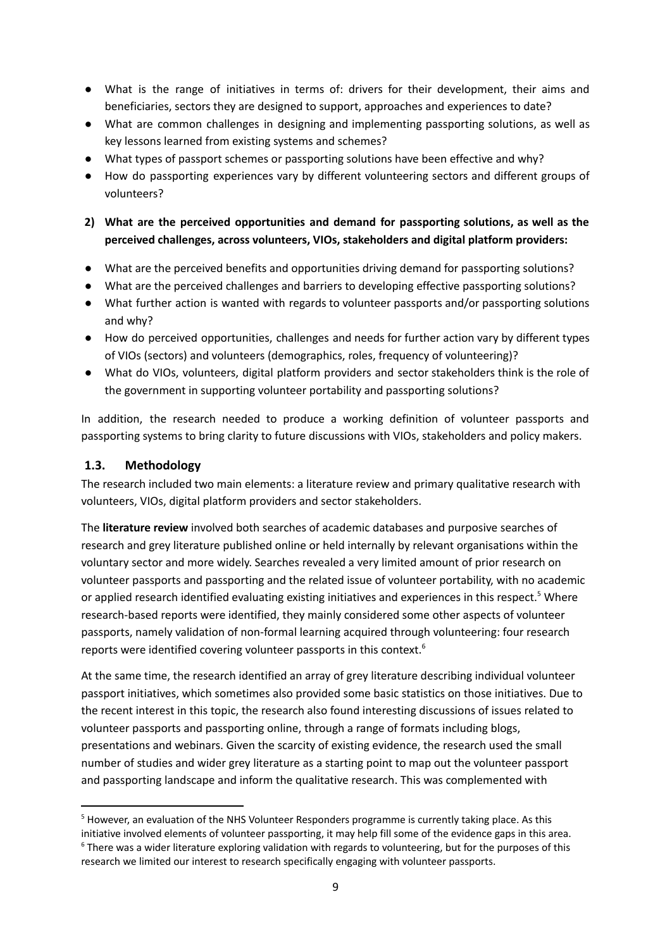- What is the range of initiatives in terms of: drivers for their development, their aims and beneficiaries, sectors they are designed to support, approaches and experiences to date?
- What are common challenges in designing and implementing passporting solutions, as well as key lessons learned from existing systems and schemes?
- What types of passport schemes or passporting solutions have been effective and why?
- How do passporting experiences vary by different volunteering sectors and different groups of volunteers?
- **2) What are the perceived opportunities and demand for passporting solutions, as well as the perceived challenges, across volunteers, VIOs, stakeholders and digital platform providers:**
- What are the perceived benefits and opportunities driving demand for passporting solutions?
- What are the perceived challenges and barriers to developing effective passporting solutions?
- What further action is wanted with regards to volunteer passports and/or passporting solutions and why?
- How do perceived opportunities, challenges and needs for further action vary by different types of VIOs (sectors) and volunteers (demographics, roles, frequency of volunteering)?
- What do VIOs, volunteers, digital platform providers and sector stakeholders think is the role of the government in supporting volunteer portability and passporting solutions?

In addition, the research needed to produce a working definition of volunteer passports and passporting systems to bring clarity to future discussions with VIOs, stakeholders and policy makers.

#### <span id="page-8-0"></span>**1.3. Methodology**

The research included two main elements: a literature review and primary qualitative research with volunteers, VIOs, digital platform providers and sector stakeholders.

The **literature review** involved both searches of academic databases and purposive searches of research and grey literature published online or held internally by relevant organisations within the voluntary sector and more widely. Searches revealed a very limited amount of prior research on volunteer passports and passporting and the related issue of volunteer portability, with no academic or applied research identified evaluating existing initiatives and experiences in this respect.<sup>5</sup> Where research-based reports were identified, they mainly considered some other aspects of volunteer passports, namely validation of non-formal learning acquired through volunteering: four research reports were identified covering volunteer passports in this context.<sup>6</sup>

At the same time, the research identified an array of grey literature describing individual volunteer passport initiatives, which sometimes also provided some basic statistics on those initiatives. Due to the recent interest in this topic, the research also found interesting discussions of issues related to volunteer passports and passporting online, through a range of formats including blogs, presentations and webinars. Given the scarcity of existing evidence, the research used the small number of studies and wider grey literature as a starting point to map out the volunteer passport and passporting landscape and inform the qualitative research. This was complemented with

 $6$  There was a wider literature exploring validation with regards to volunteering, but for the purposes of this research we limited our interest to research specifically engaging with volunteer passports. <sup>5</sup> However, an evaluation of the NHS Volunteer Responders programme is currently taking place. As this initiative involved elements of volunteer passporting, it may help fill some of the evidence gaps in this area.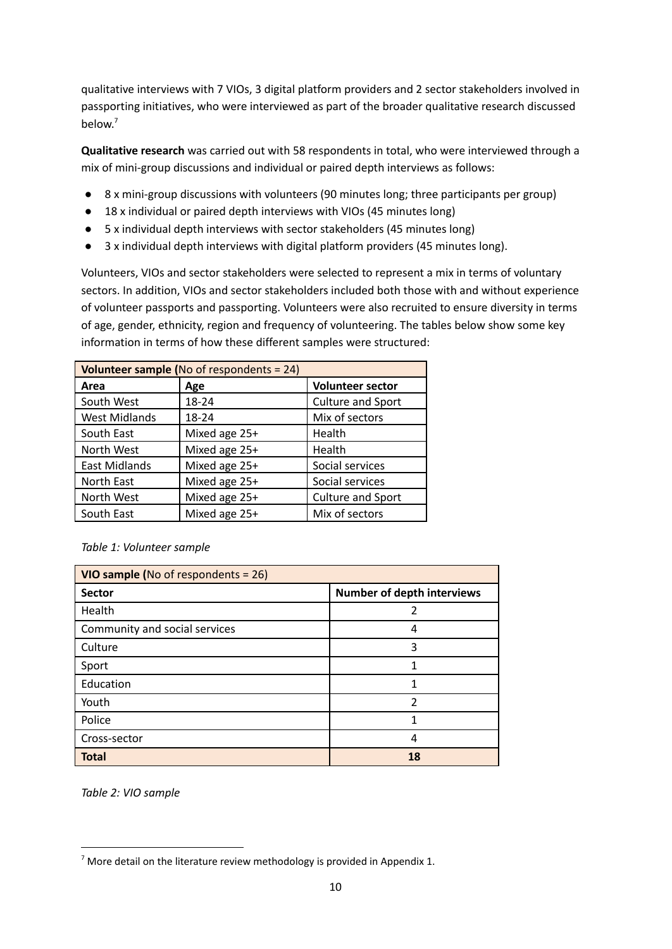qualitative interviews with 7 VIOs, 3 digital platform providers and 2 sector stakeholders involved in passporting initiatives, who were interviewed as part of the broader qualitative research discussed below. 7

**Qualitative research** was carried out with 58 respondents in total, who were interviewed through a mix of mini-group discussions and individual or paired depth interviews as follows:

- 8 x mini-group discussions with volunteers (90 minutes long; three participants per group)
- 18 x individual or paired depth interviews with VIOs (45 minutes long)
- 5 x individual depth interviews with sector stakeholders (45 minutes long)
- 3 x individual depth interviews with digital platform providers (45 minutes long).

Volunteers, VIOs and sector stakeholders were selected to represent a mix in terms of voluntary sectors. In addition, VIOs and sector stakeholders included both those with and without experience of volunteer passports and passporting. Volunteers were also recruited to ensure diversity in terms of age, gender, ethnicity, region and frequency of volunteering. The tables below show some key information in terms of how these different samples were structured:

| Volunteer sample (No of respondents = $24$ ) |               |                          |  |  |  |  |
|----------------------------------------------|---------------|--------------------------|--|--|--|--|
| Area                                         | Age           | <b>Volunteer sector</b>  |  |  |  |  |
| South West                                   | 18-24         | <b>Culture and Sport</b> |  |  |  |  |
| <b>West Midlands</b>                         | 18-24         | Mix of sectors           |  |  |  |  |
| South East                                   | Mixed age 25+ | Health                   |  |  |  |  |
| North West                                   | Mixed age 25+ | Health                   |  |  |  |  |
| <b>East Midlands</b>                         | Mixed age 25+ | Social services          |  |  |  |  |
| North East                                   | Mixed age 25+ | Social services          |  |  |  |  |
| North West                                   | Mixed age 25+ | Culture and Sport        |  |  |  |  |
| South East                                   | Mixed age 25+ | Mix of sectors           |  |  |  |  |

#### *Table 1: Volunteer sample*

| VIO sample (No of respondents = 26) |                                   |  |  |  |
|-------------------------------------|-----------------------------------|--|--|--|
| <b>Sector</b>                       | <b>Number of depth interviews</b> |  |  |  |
| Health                              | 2                                 |  |  |  |
| Community and social services       | 4                                 |  |  |  |
| Culture                             | 3                                 |  |  |  |
| Sport                               | 1                                 |  |  |  |
| Education                           | 1                                 |  |  |  |
| Youth                               | $\overline{2}$                    |  |  |  |
| Police                              | 1                                 |  |  |  |
| Cross-sector                        |                                   |  |  |  |
| <b>Total</b>                        | 18                                |  |  |  |

*Table 2: VIO sample*

 $3$  More detail on the literature review methodology is provided in Appendix 1.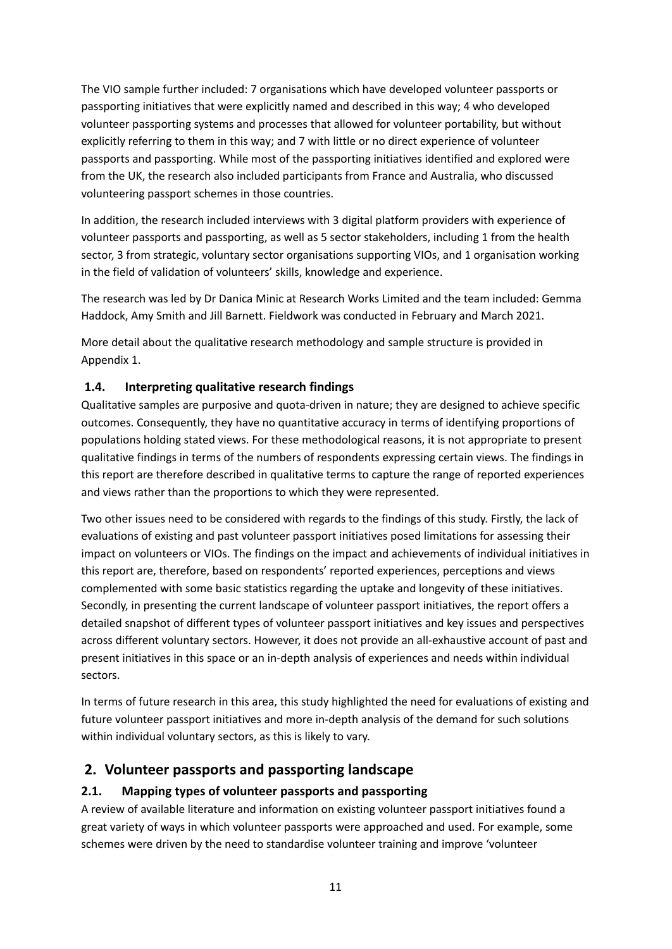The VIO sample further included: 7 organisations which have developed volunteer passports or passporting initiatives that were explicitly named and described in this way; 4 who developed volunteer passporting systems and processes that allowed for volunteer portability, but without explicitly referring to them in this way; and 7 with little or no direct experience of volunteer passports and passporting. While most of the passporting initiatives identified and explored were from the UK, the research also included participants from France and Australia, who discussed volunteering passport schemes in those countries.

In addition, the research included interviews with 3 digital platform providers with experience of volunteer passports and passporting, as well as 5 sector stakeholders, including 1 from the health sector, 3 from strategic, voluntary sector organisations supporting VIOs, and 1 organisation working in the field of validation of volunteers' skills, knowledge and experience.

The research was led by Dr Danica Minic at Research Works Limited and the team included: Gemma Haddock, Amy Smith and Jill Barnett. Fieldwork was conducted in February and March 2021.

More detail about the qualitative research methodology and sample structure is provided in Appendix 1.

# <span id="page-10-0"></span>**1.4. Interpreting qualitative research findings**

Qualitative samples are purposive and quota-driven in nature; they are designed to achieve specific outcomes. Consequently, they have no quantitative accuracy in terms of identifying proportions of populations holding stated views. For these methodological reasons, it is not appropriate to present qualitative findings in terms of the numbers of respondents expressing certain views. The findings in this report are therefore described in qualitative terms to capture the range of reported experiences and views rather than the proportions to which they were represented.

Two other issues need to be considered with regards to the findings of this study. Firstly, the lack of evaluations of existing and past volunteer passport initiatives posed limitations for assessing their impact on volunteers or VIOs. The findings on the impact and achievements of individual initiatives in this report are, therefore, based on respondents' reported experiences, perceptions and views complemented with some basic statistics regarding the uptake and longevity of these initiatives. Secondly, in presenting the current landscape of volunteer passport initiatives, the report offers a detailed snapshot of different types of volunteer passport initiatives and key issues and perspectives across different voluntary sectors. However, it does not provide an all-exhaustive account of past and present initiatives in this space or an in-depth analysis of experiences and needs within individual sectors.

In terms of future research in this area, this study highlighted the need for evaluations of existing and future volunteer passport initiatives and more in-depth analysis of the demand for such solutions within individual voluntary sectors, as this is likely to vary.

# <span id="page-10-1"></span>**2. Volunteer passports and passporting landscape**

## <span id="page-10-2"></span>**2.1. Mapping types of volunteer passports and passporting**

A review of available literature and information on existing volunteer passport initiatives found a great variety of ways in which volunteer passports were approached and used. For example, some schemes were driven by the need to standardise volunteer training and improve 'volunteer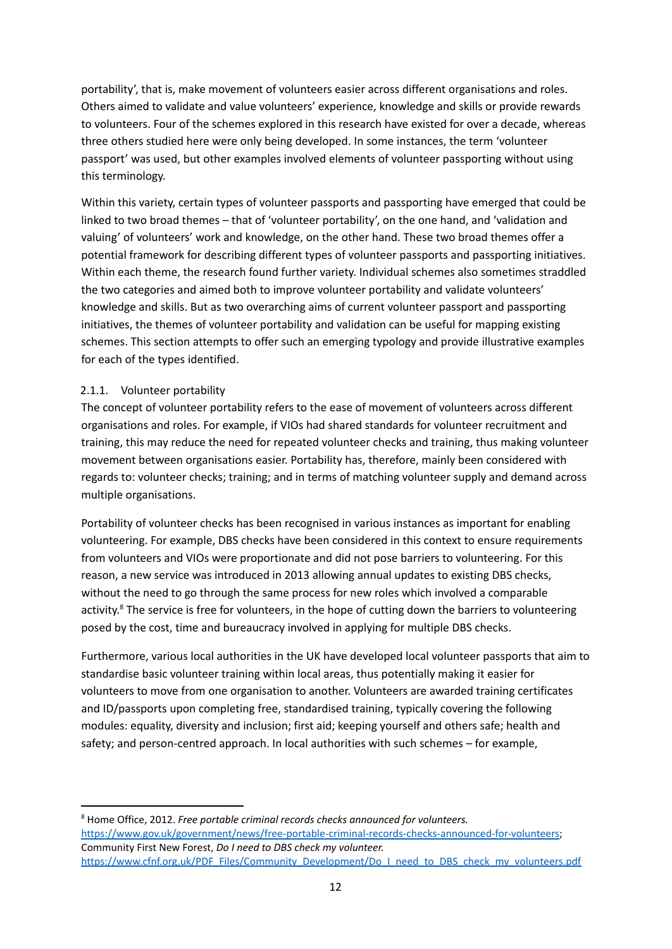portability', that is, make movement of volunteers easier across different organisations and roles. Others aimed to validate and value volunteers' experience, knowledge and skills or provide rewards to volunteers. Four of the schemes explored in this research have existed for over a decade, whereas three others studied here were only being developed. In some instances, the term 'volunteer passport' was used, but other examples involved elements of volunteer passporting without using this terminology.

Within this variety, certain types of volunteer passports and passporting have emerged that could be linked to two broad themes – that of 'volunteer portability', on the one hand, and 'validation and valuing' of volunteers' work and knowledge, on the other hand. These two broad themes offer a potential framework for describing different types of volunteer passports and passporting initiatives. Within each theme, the research found further variety. Individual schemes also sometimes straddled the two categories and aimed both to improve volunteer portability and validate volunteers' knowledge and skills. But as two overarching aims of current volunteer passport and passporting initiatives, the themes of volunteer portability and validation can be useful for mapping existing schemes. This section attempts to offer such an emerging typology and provide illustrative examples for each of the types identified.

#### <span id="page-11-0"></span>2.1.1. Volunteer portability

The concept of volunteer portability refers to the ease of movement of volunteers across different organisations and roles. For example, if VIOs had shared standards for volunteer recruitment and training, this may reduce the need for repeated volunteer checks and training, thus making volunteer movement between organisations easier. Portability has, therefore, mainly been considered with regards to: volunteer checks; training; and in terms of matching volunteer supply and demand across multiple organisations.

Portability of volunteer checks has been recognised in various instances as important for enabling volunteering. For example, DBS checks have been considered in this context to ensure requirements from volunteers and VIOs were proportionate and did not pose barriers to volunteering. For this reason, a new service was introduced in 2013 allowing annual updates to existing DBS checks, without the need to go through the same process for new roles which involved a comparable activity.<sup>8</sup> The service is free for volunteers, in the hope of cutting down the barriers to volunteering posed by the cost, time and bureaucracy involved in applying for multiple DBS checks.

Furthermore, various local authorities in the UK have developed local volunteer passports that aim to standardise basic volunteer training within local areas, thus potentially making it easier for volunteers to move from one organisation to another. Volunteers are awarded training certificates and ID/passports upon completing free, standardised training, typically covering the following modules: equality, diversity and inclusion; first aid; keeping yourself and others safe; health and safety; and person-centred approach. In local authorities with such schemes – for example,

<sup>8</sup> Home Office, 2012. *Free portable criminal records checks announced for volunteers.* <https://www.gov.uk/government/news/free-portable-criminal-records-checks-announced-for-volunteers>; Community First New Forest, *Do I need to DBS check my volunteer.* [https://www.cfnf.org.uk/PDF\\_Files/Community\\_Development/Do\\_I\\_need\\_to\\_DBS\\_check\\_my\\_volunteers.pdf](https://www.cfnf.org.uk/PDF_Files/Community_Development/Do_I_need_to_DBS_check_my_volunteers.pdf)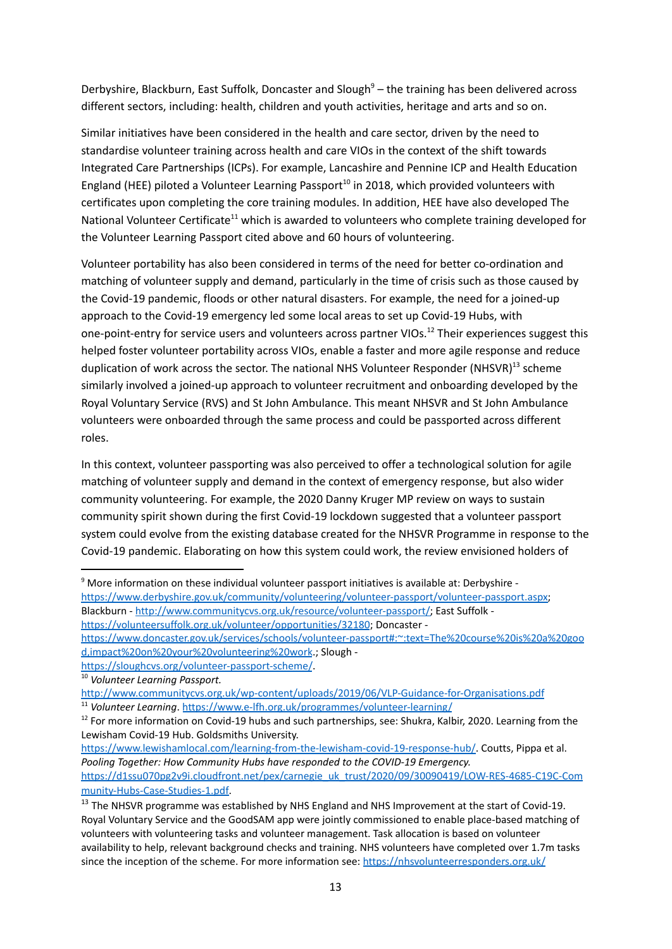Derbyshire, Blackburn, East Suffolk, Doncaster and Slough<sup>9</sup> – the training has been delivered across different sectors, including: health, children and youth activities, heritage and arts and so on.

Similar initiatives have been considered in the health and care sector, driven by the need to standardise volunteer training across health and care VIOs in the context of the shift towards Integrated Care Partnerships (ICPs). For example, Lancashire and Pennine ICP and Health Education England (HEE) piloted a Volunteer Learning Passport<sup>10</sup> in 2018, which provided volunteers with certificates upon completing the core training modules. In addition, HEE have also developed The National Volunteer Certificate<sup>11</sup> which is awarded to volunteers who complete training developed for the Volunteer Learning Passport cited above and 60 hours of volunteering.

Volunteer portability has also been considered in terms of the need for better co-ordination and matching of volunteer supply and demand, particularly in the time of crisis such as those caused by the Covid-19 pandemic, floods or other natural disasters. For example, the need for a joined-up approach to the Covid-19 emergency led some local areas to set up Covid-19 Hubs, with one-point-entry for service users and volunteers across partner VIOs. <sup>12</sup> Their experiences suggest this helped foster volunteer portability across VIOs, enable a faster and more agile response and reduce duplication of work across the sector. The national NHS Volunteer Responder (NHSVR)<sup>13</sup> scheme similarly involved a joined-up approach to volunteer recruitment and onboarding developed by the Royal Voluntary Service (RVS) and St John Ambulance. This meant NHSVR and St John Ambulance volunteers were onboarded through the same process and could be passported across different roles.

In this context, volunteer passporting was also perceived to offer a technological solution for agile matching of volunteer supply and demand in the context of emergency response, but also wider community volunteering. For example, the 2020 Danny Kruger MP review on ways to sustain community spirit shown during the first Covid-19 lockdown suggested that a volunteer passport system could evolve from the existing database created for the NHSVR Programme in response to the Covid-19 pandemic. Elaborating on how this system could work, the review envisioned holders of

<sup>9</sup> More information on these individual volunteer passport initiatives is available at: Derbyshire [https://www.derbyshire.gov.uk/community/volunteering/volunteer-passport/volunteer-passport.aspx;](https://www.derbyshire.gov.uk/community/volunteering/volunteer-passport/volunteer-passport.aspx) Blackburn - [http://www.communitycvs.org.uk/resource/volunteer-passport/;](http://www.communitycvs.org.uk/resource/volunteer-passport/) East Suffolk <https://volunteersuffolk.org.uk/volunteer/opportunities/32180>; Doncaster -

[https://www.doncaster.gov.uk/services/schools/volunteer-passport#:~:text=The%20course%20is%20a%20goo](https://www.doncaster.gov.uk/services/schools/volunteer-passport#:~:text=The%20course%20is%20a%20good,impact%20on%20your%20volunteering%20work) [d,impact%20on%20your%20volunteering%20work](https://www.doncaster.gov.uk/services/schools/volunteer-passport#:~:text=The%20course%20is%20a%20good,impact%20on%20your%20volunteering%20work).; Slough <https://sloughcvs.org/volunteer-passport-scheme/>.

[munity-Hubs-Case-Studies-1.pdf](https://d1ssu070pg2v9i.cloudfront.net/pex/carnegie_uk_trust/2020/09/30090419/LOW-RES-4685-C19C-Community-Hubs-Case-Studies-1.pdf).

<sup>10</sup> *Volunteer Learning Passport.*

<sup>11</sup> *Volunteer Learning*. <https://www.e-lfh.org.uk/programmes/volunteer-learning/> <http://www.communitycvs.org.uk/wp-content/uploads/2019/06/VLP-Guidance-for-Organisations.pdf>

<sup>&</sup>lt;sup>12</sup> For more information on Covid-19 hubs and such partnerships, see: Shukra, Kalbir, 2020. Learning from the Lewisham Covid-19 Hub. Goldsmiths University.

<https://www.lewishamlocal.com/learning-from-the-lewisham-covid-19-response-hub/>. Coutts, Pippa et al. *Pooling Together: How Community Hubs have responded to the COVID-19 Emergency.* [https://d1ssu070pg2v9i.cloudfront.net/pex/carnegie\\_uk\\_trust/2020/09/30090419/LOW-RES-4685-C19C-Com](https://d1ssu070pg2v9i.cloudfront.net/pex/carnegie_uk_trust/2020/09/30090419/LOW-RES-4685-C19C-Community-Hubs-Case-Studies-1.pdf)

<sup>&</sup>lt;sup>13</sup> The NHSVR programme was established by NHS England and NHS Improvement at the start of Covid-19. Royal Voluntary Service and the GoodSAM app were jointly commissioned to enable place-based matching of volunteers with volunteering tasks and volunteer management. Task allocation is based on volunteer availability to help, relevant background checks and training. NHS volunteers have completed over 1.7m tasks since the inception of the scheme. For more information see: <https://nhsvolunteerresponders.org.uk/>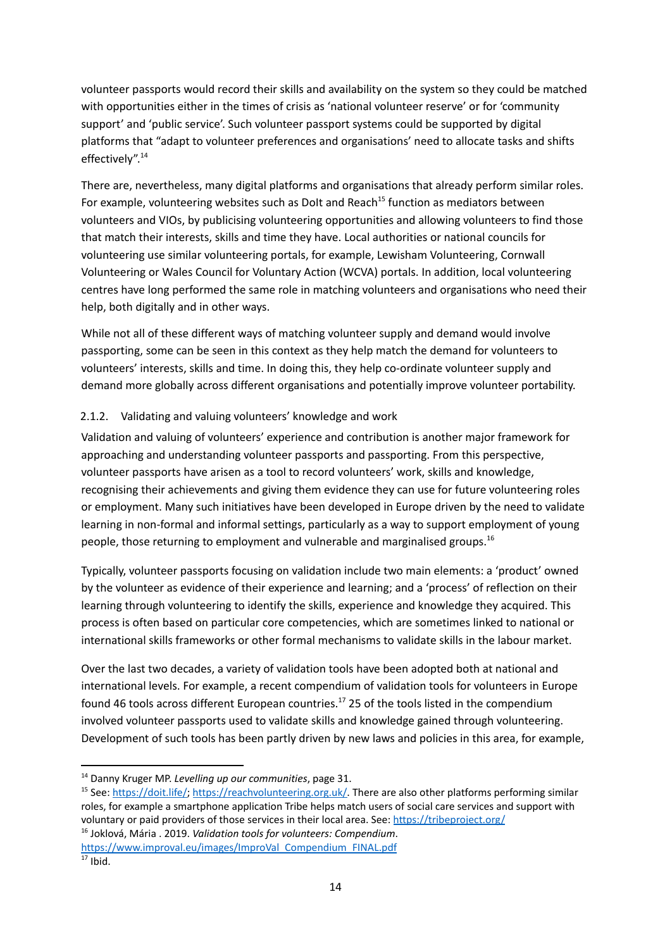volunteer passports would record their skills and availability on the system so they could be matched with opportunities either in the times of crisis as 'national volunteer reserve' or for 'community support' and 'public service'. Such volunteer passport systems could be supported by digital platforms that "adapt to volunteer preferences and organisations' need to allocate tasks and shifts effectively". 14

There are, nevertheless, many digital platforms and organisations that already perform similar roles. For example, volunteering websites such as DoIt and Reach<sup>15</sup> function as mediators between volunteers and VIOs, by publicising volunteering opportunities and allowing volunteers to find those that match their interests, skills and time they have. Local authorities or national councils for volunteering use similar volunteering portals, for example, Lewisham Volunteering, Cornwall Volunteering or Wales Council for Voluntary Action (WCVA) portals. In addition, local volunteering centres have long performed the same role in matching volunteers and organisations who need their help, both digitally and in other ways.

While not all of these different ways of matching volunteer supply and demand would involve passporting, some can be seen in this context as they help match the demand for volunteers to volunteers' interests, skills and time. In doing this, they help co-ordinate volunteer supply and demand more globally across different organisations and potentially improve volunteer portability.

#### <span id="page-13-0"></span>2.1.2. Validating and valuing volunteers' knowledge and work

Validation and valuing of volunteers' experience and contribution is another major framework for approaching and understanding volunteer passports and passporting. From this perspective, volunteer passports have arisen as a tool to record volunteers' work, skills and knowledge, recognising their achievements and giving them evidence they can use for future volunteering roles or employment. Many such initiatives have been developed in Europe driven by the need to validate learning in non-formal and informal settings, particularly as a way to support employment of young people, those returning to employment and vulnerable and marginalised groups.<sup>16</sup>

Typically, volunteer passports focusing on validation include two main elements: a 'product' owned by the volunteer as evidence of their experience and learning; and a 'process' of reflection on their learning through volunteering to identify the skills, experience and knowledge they acquired. This process is often based on particular core competencies, which are sometimes linked to national or international skills frameworks or other formal mechanisms to validate skills in the labour market.

Over the last two decades, a variety of validation tools have been adopted both at national and international levels. For example, a recent compendium of validation tools for volunteers in Europe found 46 tools across different European countries.<sup>17</sup> 25 of the tools listed in the compendium involved volunteer passports used to validate skills and knowledge gained through volunteering. Development of such tools has been partly driven by new laws and policies in this area, for example,

<sup>14</sup> Danny Kruger MP. *Levelling up our communities*, page 31.

<sup>&</sup>lt;sup>15</sup> See: [https://doit.life/;](https://doit.life/) [https://reachvolunteering.org.uk/.](https://reachvolunteering.org.uk/) There are also other platforms performing similar roles, for example a smartphone application Tribe helps match users of social care services and support with voluntary or paid providers of those services in their local area. See: <https://tribeproject.org/>

<sup>16</sup> Joklová, Mária . 2019. *Validation tools for volunteers: Compendium*.

 $\overline{17}$  Ibid. [https://www.improval.eu/images/ImproVal\\_Compendium\\_FINAL.pdf](https://www.improval.eu/images/ImproVal_Compendium_FINAL.pdf)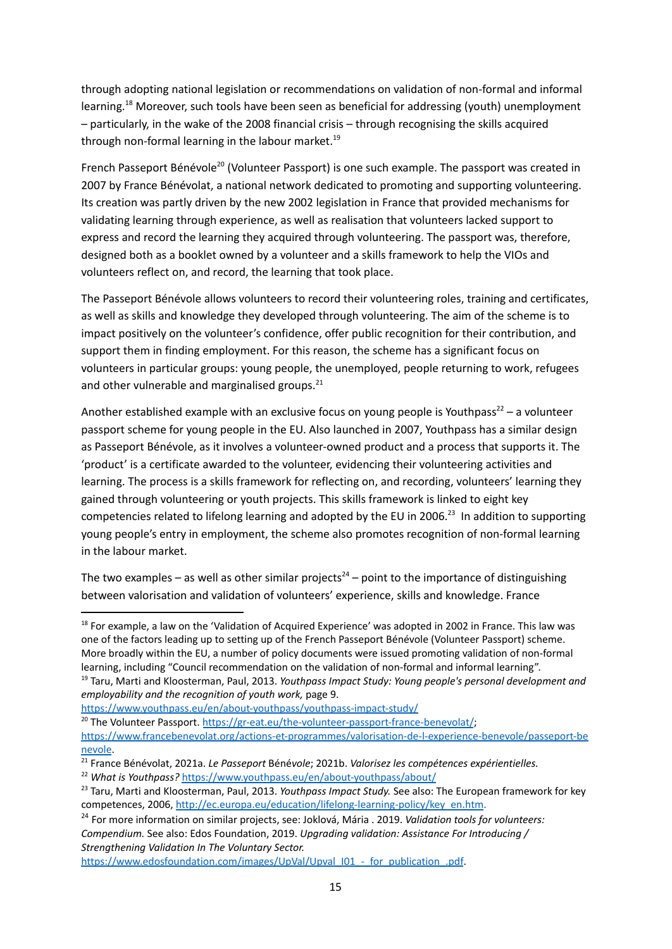through adopting national legislation or recommendations on validation of non-formal and informal learning.<sup>18</sup> Moreover, such tools have been seen as beneficial for addressing (youth) unemployment – particularly, in the wake of the 2008 financial crisis – through recognising the skills acquired through non-formal learning in the labour market. 19

French Passeport Bénévole<sup>20</sup> (Volunteer Passport) is one such example. The passport was created in 2007 by France Bénévolat, a national network dedicated to promoting and supporting volunteering. Its creation was partly driven by the new 2002 legislation in France that provided mechanisms for validating learning through experience, as well as realisation that volunteers lacked support to express and record the learning they acquired through volunteering. The passport was, therefore, designed both as a booklet owned by a volunteer and a skills framework to help the VIOs and volunteers reflect on, and record, the learning that took place.

The Passeport Bénévole allows volunteers to record their volunteering roles, training and certificates, as well as skills and knowledge they developed through volunteering. The aim of the scheme is to impact positively on the volunteer's confidence, offer public recognition for their contribution, and support them in finding employment. For this reason, the scheme has a significant focus on volunteers in particular groups: young people, the unemployed, people returning to work, refugees and other vulnerable and marginalised groups.<sup>21</sup>

Another established example with an exclusive focus on young people is Youthpass<sup>22</sup> – a volunteer passport scheme for young people in the EU. Also launched in 2007, Youthpass has a similar design as Passeport Bénévole, as it involves a volunteer-owned product and a process that supports it. The 'product' is a certificate awarded to the volunteer, evidencing their volunteering activities and learning. The process is a skills framework for reflecting on, and recording, volunteers' learning they gained through volunteering or youth projects. This skills framework is linked to eight key competencies related to lifelong learning and adopted by the EU in 2006.<sup>23</sup> In addition to supporting young people's entry in employment, the scheme also promotes recognition of non-formal learning in the labour market.

The two examples – as well as other similar projects<sup>24</sup> – point to the importance of distinguishing between valorisation and validation of volunteers' experience, skills and knowledge. France

<sup>19</sup> Taru, Marti and Kloosterman, Paul, 2013. *Youthpass Impact Study: Young people's personal development and* <sup>18</sup> For example, a law on the 'Validation of Acquired Experience' was adopted in 2002 in France. This law was one of the factors leading up to setting up of the French Passeport Bénévole (Volunteer Passport) scheme. More broadly within the EU, a number of policy documents were issued promoting validation of non-formal learning, including "Council recommendation on the validation of non-formal and informal learning".

*employability and the recognition of youth work,* page 9.

<https://www.youthpass.eu/en/about-youthpass/youthpass-impact-study/>

https://www.edosfoundation.com/images/UpVal/Upval\_I01 - for\_publication\_.pdf.

<sup>&</sup>lt;sup>20</sup> The Volunteer Passport. <https://gr-eat.eu/the-volunteer-passport-france-benevolat/>; [https://www.francebenevolat.org/actions-et-programmes/valorisation-de-l-experience-benevole/passeport-be](https://www.francebenevolat.org/actions-et-programmes/valorisation-de-l-experience-benevole/passeport-benevole) [nevole](https://www.francebenevolat.org/actions-et-programmes/valorisation-de-l-experience-benevole/passeport-benevole).

<sup>21</sup> France Bénévolat, 2021a. *Le Passeport* Béné*vole*; 2021b. *Valorisez les compétences expérientielles.*

<sup>22</sup> *What is Youthpass?* <https://www.youthpass.eu/en/about-youthpass/about/>

<sup>23</sup> Taru, Marti and Kloosterman, Paul, 2013. *Youthpass Impact Study.* See also: The European framework for key competences, 2006, [http://ec.europa.eu/education/lifelong-learning-policy/key\\_en.htm](http://ec.europa.eu/education/lifelong-learning-policy/key_en.htm).

<sup>24</sup> For more information on similar projects, see: Joklová, Mária . 2019. *Validation tools for volunteers: Compendium.* See also: Edos Foundation, 2019. *Upgrading validation: Assistance For Introducing / Strengthening Validation In The Voluntary Sector.*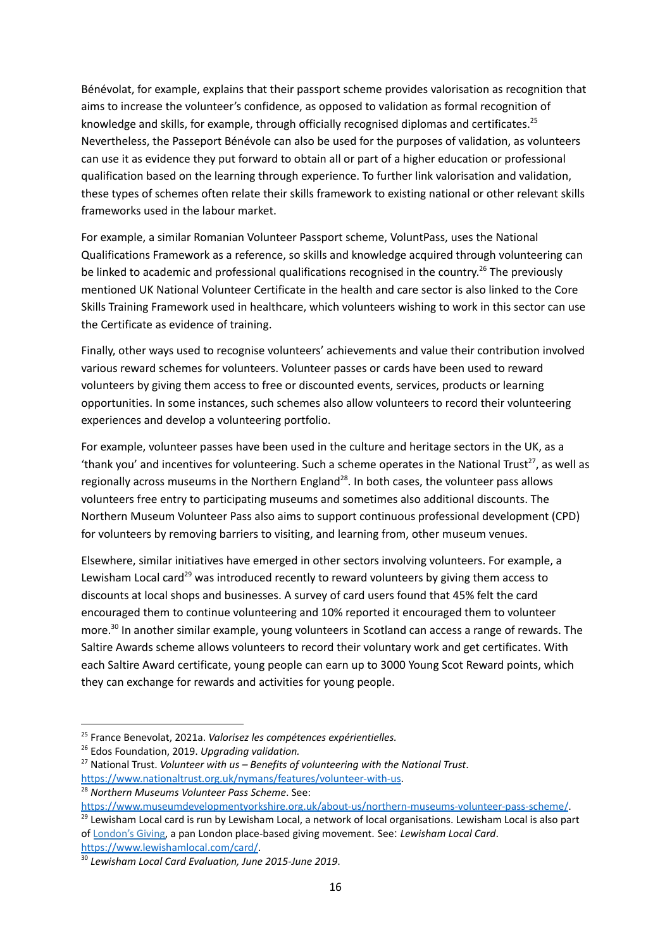Bénévolat, for example, explains that their passport scheme provides valorisation as recognition that aims to increase the volunteer's confidence, as opposed to validation as formal recognition of knowledge and skills, for example, through officially recognised diplomas and certificates.<sup>25</sup> Nevertheless, the Passeport Bénévole can also be used for the purposes of validation, as volunteers can use it as evidence they put forward to obtain all or part of a higher education or professional qualification based on the learning through experience. To further link valorisation and validation, these types of schemes often relate their skills framework to existing national or other relevant skills frameworks used in the labour market.

For example, a similar Romanian Volunteer Passport scheme, VoluntPass, uses the National Qualifications Framework as a reference, so skills and knowledge acquired through volunteering can be linked to academic and professional qualifications recognised in the country.<sup>26</sup> The previously mentioned UK National Volunteer Certificate in the health and care sector is also linked to the Core Skills Training Framework used in healthcare, which volunteers wishing to work in this sector can use the Certificate as evidence of training.

Finally, other ways used to recognise volunteers' achievements and value their contribution involved various reward schemes for volunteers. Volunteer passes or cards have been used to reward volunteers by giving them access to free or discounted events, services, products or learning opportunities. In some instances, such schemes also allow volunteers to record their volunteering experiences and develop a volunteering portfolio.

For example, volunteer passes have been used in the culture and heritage sectors in the UK, as a 'thank you' and incentives for volunteering. Such a scheme operates in the National Trust<sup>27</sup>, as well as regionally across museums in the Northern England<sup>28</sup>. In both cases, the volunteer pass allows volunteers free entry to participating museums and sometimes also additional discounts. The Northern Museum Volunteer Pass also aims to support continuous professional development (CPD) for volunteers by removing barriers to visiting, and learning from, other museum venues.

Elsewhere, similar initiatives have emerged in other sectors involving volunteers. For example, a Lewisham Local card<sup>29</sup> was introduced recently to reward volunteers by giving them access to discounts at local shops and businesses. A survey of card users found that 45% felt the card encouraged them to continue volunteering and 10% reported it encouraged them to volunteer more. 30 In another similar example, young volunteers in Scotland can access a range of rewards. The Saltire Awards scheme allows volunteers to record their voluntary work and get certificates. With each Saltire Award certificate, young people can earn up to 3000 Young Scot Reward points, which they can exchange for rewards and activities for young people.

<https://www.lewishamlocal.com/card/>.

<sup>25</sup> France Benevolat, 2021a. *Valorisez les compétences expérientielles.*

<sup>26</sup> Edos Foundation, 2019. *Upgrading validation.*

<sup>27</sup> National Trust. *Volunteer with us – Benefits of volunteering with the National Trust*. [https://www.nationaltrust.org.uk/nymans/features/volunteer-with-us.](https://www.nationaltrust.org.uk/nymans/features/volunteer-with-us)

<sup>28</sup> *Northern Museums Volunteer Pass Scheme*. See:

<https://www.museumdevelopmentyorkshire.org.uk/about-us/northern-museums-volunteer-pass-scheme/>.

<sup>&</sup>lt;sup>29</sup> Lewisham Local card is run by Lewisham Local, a network of local organisations. Lewisham Local is also part of [London's](https://londonsgiving.org.uk/) Giving, a pan London place-based giving movement. See: *Lewisham Local Card*.

<sup>30</sup> *Lewisham Local Card Evaluation, June 2015-June 2019*.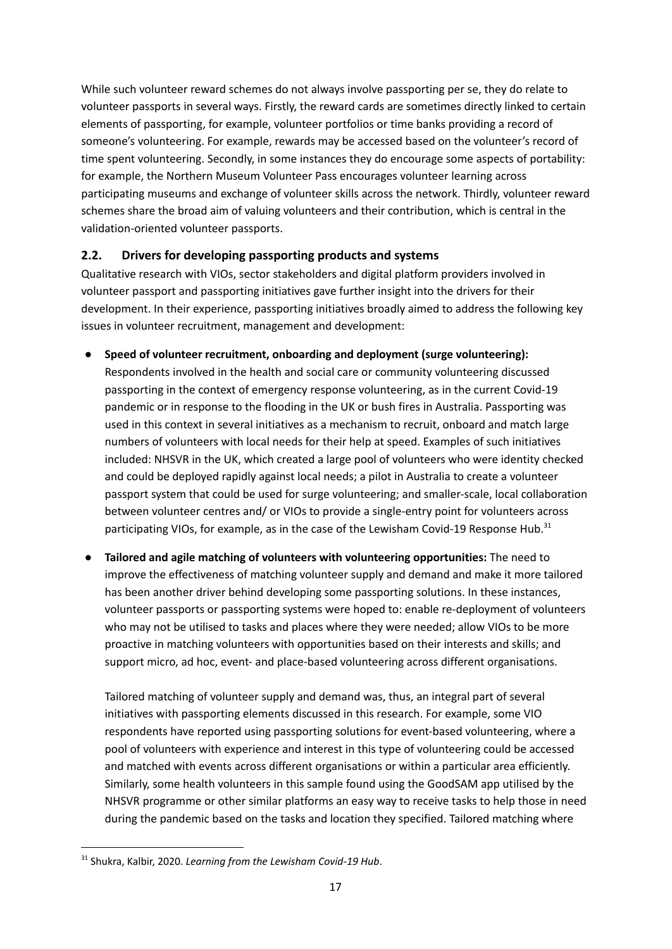While such volunteer reward schemes do not always involve passporting per se, they do relate to volunteer passports in several ways. Firstly, the reward cards are sometimes directly linked to certain elements of passporting, for example, volunteer portfolios or time banks providing a record of someone's volunteering. For example, rewards may be accessed based on the volunteer's record of time spent volunteering. Secondly, in some instances they do encourage some aspects of portability: for example, the Northern Museum Volunteer Pass encourages volunteer learning across participating museums and exchange of volunteer skills across the network. Thirdly, volunteer reward schemes share the broad aim of valuing volunteers and their contribution, which is central in the validation-oriented volunteer passports.

## <span id="page-16-0"></span>**2.2. Drivers for developing passporting products and systems**

Qualitative research with VIOs, sector stakeholders and digital platform providers involved in volunteer passport and passporting initiatives gave further insight into the drivers for their development. In their experience, passporting initiatives broadly aimed to address the following key issues in volunteer recruitment, management and development:

- **Speed of volunteer recruitment, onboarding and deployment (surge volunteering):** Respondents involved in the health and social care or community volunteering discussed passporting in the context of emergency response volunteering, as in the current Covid-19 pandemic or in response to the flooding in the UK or bush fires in Australia. Passporting was used in this context in several initiatives as a mechanism to recruit, onboard and match large numbers of volunteers with local needs for their help at speed. Examples of such initiatives included: NHSVR in the UK, which created a large pool of volunteers who were identity checked and could be deployed rapidly against local needs; a pilot in Australia to create a volunteer passport system that could be used for surge volunteering; and smaller-scale, local collaboration between volunteer centres and/ or VIOs to provide a single-entry point for volunteers across participating VIOs, for example, as in the case of the Lewisham Covid-19 Response Hub.<sup>31</sup>
- **● Tailored and agile matching of volunteers with volunteering opportunities:** The need to improve the effectiveness of matching volunteer supply and demand and make it more tailored has been another driver behind developing some passporting solutions. In these instances, volunteer passports or passporting systems were hoped to: enable re-deployment of volunteers who may not be utilised to tasks and places where they were needed; allow VIOs to be more proactive in matching volunteers with opportunities based on their interests and skills; and support micro, ad hoc, event- and place-based volunteering across different organisations.

Tailored matching of volunteer supply and demand was, thus, an integral part of several initiatives with passporting elements discussed in this research. For example, some VIO respondents have reported using passporting solutions for event-based volunteering, where a pool of volunteers with experience and interest in this type of volunteering could be accessed and matched with events across different organisations or within a particular area efficiently. Similarly, some health volunteers in this sample found using the GoodSAM app utilised by the NHSVR programme or other similar platforms an easy way to receive tasks to help those in need during the pandemic based on the tasks and location they specified. Tailored matching where

<sup>31</sup> Shukra, Kalbir, 2020. *Learning from the Lewisham Covid-19 Hub*.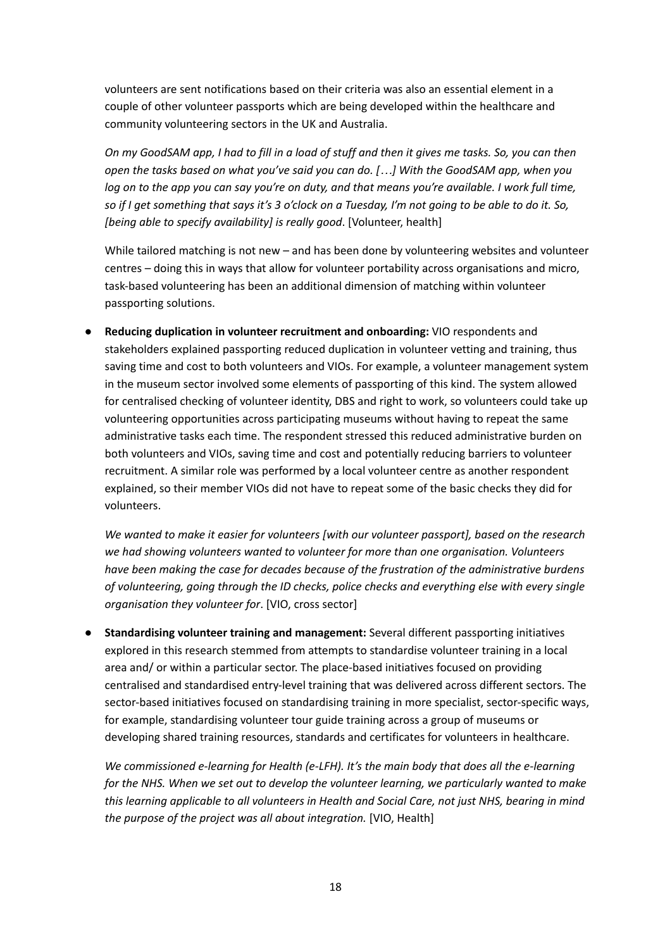volunteers are sent notifications based on their criteria was also an essential element in a couple of other volunteer passports which are being developed within the healthcare and community volunteering sectors in the UK and Australia.

On my GoodSAM app, I had to fill in a load of stuff and then it gives me tasks. So, you can then open the tasks based on what you've said you can do. [...] With the GoodSAM app, when you log on to the app you can say you're on duty, and that means you're available. I work full time, so if I get something that says it's 3 o'clock on a Tuesday, I'm not going to be able to do it. So, *[being able to specify availability] is really good*. [Volunteer, health]

While tailored matching is not new – and has been done by volunteering websites and volunteer centres – doing this in ways that allow for volunteer portability across organisations and micro, task-based volunteering has been an additional dimension of matching within volunteer passporting solutions.

**● Reducing duplication in volunteer recruitment and onboarding:** VIO respondents and stakeholders explained passporting reduced duplication in volunteer vetting and training, thus saving time and cost to both volunteers and VIOs. For example, a volunteer management system in the museum sector involved some elements of passporting of this kind. The system allowed for centralised checking of volunteer identity, DBS and right to work, so volunteers could take up volunteering opportunities across participating museums without having to repeat the same administrative tasks each time. The respondent stressed this reduced administrative burden on both volunteers and VIOs, saving time and cost and potentially reducing barriers to volunteer recruitment. A similar role was performed by a local volunteer centre as another respondent explained, so their member VIOs did not have to repeat some of the basic checks they did for volunteers.

*We wanted to make it easier for volunteers [with our volunteer passport], based on the research we had showing volunteers wanted to volunteer for more than one organisation. Volunteers have been making the case for decades because of the frustration of the administrative burdens of volunteering, going through the ID checks, police checks and everything else with every single organisation they volunteer for*. [VIO, cross sector]

**● Standardising volunteer training and management:** Several different passporting initiatives explored in this research stemmed from attempts to standardise volunteer training in a local area and/ or within a particular sector. The place-based initiatives focused on providing centralised and standardised entry-level training that was delivered across different sectors. The sector-based initiatives focused on standardising training in more specialist, sector-specific ways, for example, standardising volunteer tour guide training across a group of museums or developing shared training resources, standards and certificates for volunteers in healthcare.

*We commissioned e-learning for Health (e-LFH). It's the main body that does all the e-learning for the NHS. When we set out to develop the volunteer learning, we particularly wanted to make this learning applicable to all volunteers in Health and Social Care, not just NHS, bearing in mind the purpose of the project was all about integration.* [VIO, Health]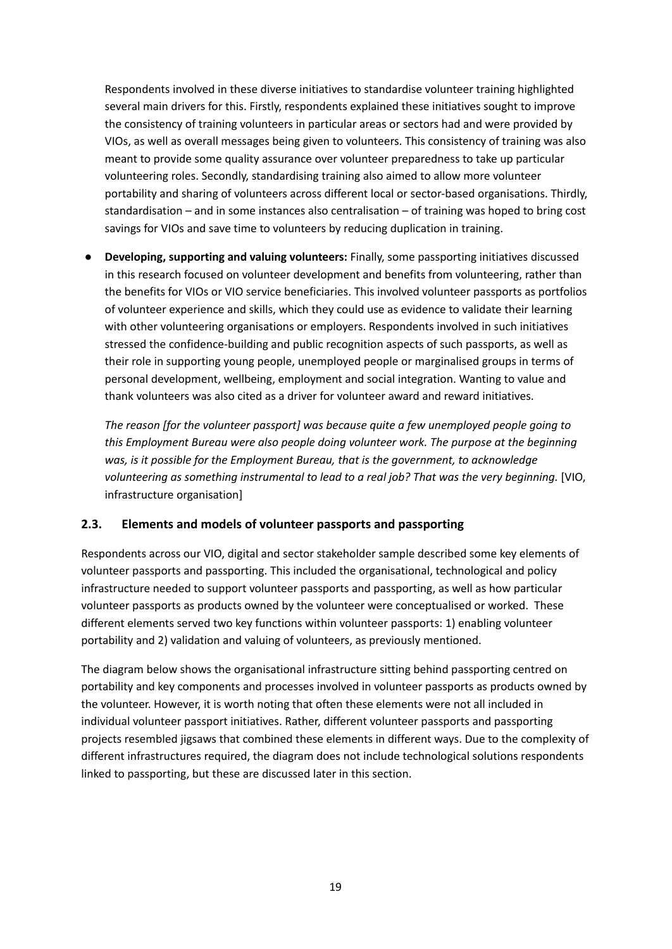Respondents involved in these diverse initiatives to standardise volunteer training highlighted several main drivers for this. Firstly, respondents explained these initiatives sought to improve the consistency of training volunteers in particular areas or sectors had and were provided by VIOs, as well as overall messages being given to volunteers. This consistency of training was also meant to provide some quality assurance over volunteer preparedness to take up particular volunteering roles. Secondly, standardising training also aimed to allow more volunteer portability and sharing of volunteers across different local or sector-based organisations. Thirdly, standardisation – and in some instances also centralisation – of training was hoped to bring cost savings for VIOs and save time to volunteers by reducing duplication in training.

**● Developing, supporting and valuing volunteers:** Finally, some passporting initiatives discussed in this research focused on volunteer development and benefits from volunteering, rather than the benefits for VIOs or VIO service beneficiaries. This involved volunteer passports as portfolios of volunteer experience and skills, which they could use as evidence to validate their learning with other volunteering organisations or employers. Respondents involved in such initiatives stressed the confidence-building and public recognition aspects of such passports, as well as their role in supporting young people, unemployed people or marginalised groups in terms of personal development, wellbeing, employment and social integration. Wanting to value and thank volunteers was also cited as a driver for volunteer award and reward initiatives.

*The reason [for the volunteer passport] was because quite a few unemployed people going to this Employment Bureau were also people doing volunteer work. The purpose at the beginning was, is it possible for the Employment Bureau, that is the government, to acknowledge volunteering as something instrumental to lead to a real job? That was the very beginning.* [VIO, infrastructure organisation]

#### <span id="page-18-0"></span>**2.3. Elements and models of volunteer passports and passporting**

Respondents across our VIO, digital and sector stakeholder sample described some key elements of volunteer passports and passporting. This included the organisational, technological and policy infrastructure needed to support volunteer passports and passporting, as well as how particular volunteer passports as products owned by the volunteer were conceptualised or worked. These different elements served two key functions within volunteer passports: 1) enabling volunteer portability and 2) validation and valuing of volunteers, as previously mentioned.

The diagram below shows the organisational infrastructure sitting behind passporting centred on portability and key components and processes involved in volunteer passports as products owned by the volunteer. However, it is worth noting that often these elements were not all included in individual volunteer passport initiatives. Rather, different volunteer passports and passporting projects resembled jigsaws that combined these elements in different ways. Due to the complexity of different infrastructures required, the diagram does not include technological solutions respondents linked to passporting, but these are discussed later in this section.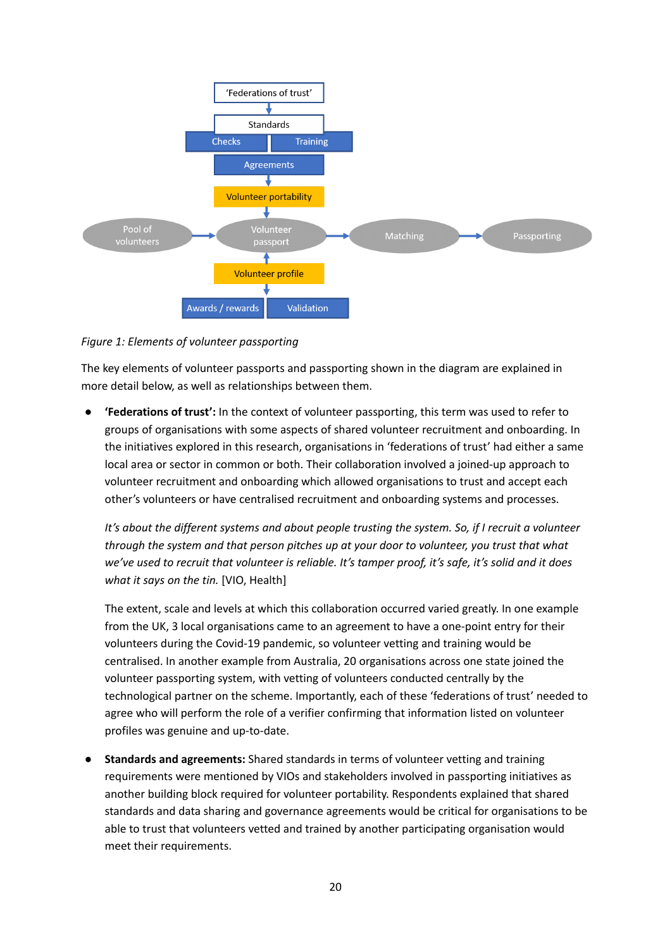

*Figure 1: Elements of volunteer passporting*

The key elements of volunteer passports and passporting shown in the diagram are explained in more detail below, as well as relationships between them.

**● 'Federations of trust':** In the context of volunteer passporting, this term was used to refer to groups of organisations with some aspects of shared volunteer recruitment and onboarding. In the initiatives explored in this research, organisations in 'federations of trust' had either a same local area or sector in common or both. Their collaboration involved a joined-up approach to volunteer recruitment and onboarding which allowed organisations to trust and accept each other's volunteers or have centralised recruitment and onboarding systems and processes.

*It's about the different systems and about people trusting the system. So, if I recruit a volunteer through the system and that person pitches up at your door to volunteer, you trust that what* we've used to recruit that volunteer is reliable. It's tamper proof, it's safe, it's solid and it does *what it says on the tin.* [VIO, Health]

The extent, scale and levels at which this collaboration occurred varied greatly. In one example from the UK, 3 local organisations came to an agreement to have a one-point entry for their volunteers during the Covid-19 pandemic, so volunteer vetting and training would be centralised. In another example from Australia, 20 organisations across one state joined the volunteer passporting system, with vetting of volunteers conducted centrally by the technological partner on the scheme. Importantly, each of these 'federations of trust' needed to agree who will perform the role of a verifier confirming that information listed on volunteer profiles was genuine and up-to-date.

**● Standards and agreements:** Shared standards in terms of volunteer vetting and training requirements were mentioned by VIOs and stakeholders involved in passporting initiatives as another building block required for volunteer portability. Respondents explained that shared standards and data sharing and governance agreements would be critical for organisations to be able to trust that volunteers vetted and trained by another participating organisation would meet their requirements.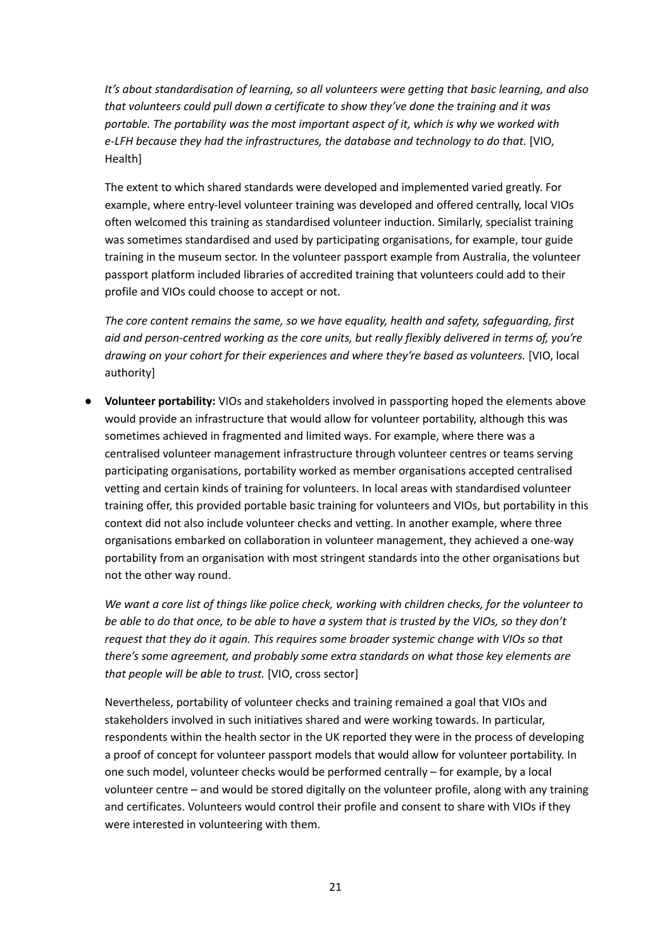*It's about standardisation of learning, so all volunteers were getting that basic learning, and also that volunteers could pull down a certificate to show they've done the training and it was portable. The portability was the most important aspect of it, which is why we worked with e-LFH because they had the infrastructures, the database and technology to do that.* [VIO, Health]

The extent to which shared standards were developed and implemented varied greatly. For example, where entry-level volunteer training was developed and offered centrally, local VIOs often welcomed this training as standardised volunteer induction. Similarly, specialist training was sometimes standardised and used by participating organisations, for example, tour guide training in the museum sector. In the volunteer passport example from Australia, the volunteer passport platform included libraries of accredited training that volunteers could add to their profile and VIOs could choose to accept or not.

*The core content remains the same, so we have equality, health and safety, safeguarding, first aid and person-centred working as the core units, but really flexibly delivered in terms of, you're drawing on your cohort for their experiences and where they're based as volunteers.* [VIO, local authority]

**● Volunteer portability:** VIOs and stakeholders involved in passporting hoped the elements above would provide an infrastructure that would allow for volunteer portability, although this was sometimes achieved in fragmented and limited ways. For example, where there was a centralised volunteer management infrastructure through volunteer centres or teams serving participating organisations, portability worked as member organisations accepted centralised vetting and certain kinds of training for volunteers. In local areas with standardised volunteer training offer, this provided portable basic training for volunteers and VIOs, but portability in this context did not also include volunteer checks and vetting. In another example, where three organisations embarked on collaboration in volunteer management, they achieved a one-way portability from an organisation with most stringent standards into the other organisations but not the other way round.

We want a core list of things like police check, working with children checks, for the volunteer to be able to do that once, to be able to have a system that is trusted by the VIOs, so they don't *request that they do it again. This requires some broader systemic change with VIOs so that there's some agreement, and probably some extra standards on what those key elements are that people will be able to trust.* [VIO, cross sector]

Nevertheless, portability of volunteer checks and training remained a goal that VIOs and stakeholders involved in such initiatives shared and were working towards. In particular, respondents within the health sector in the UK reported they were in the process of developing a proof of concept for volunteer passport models that would allow for volunteer portability. In one such model, volunteer checks would be performed centrally – for example, by a local volunteer centre – and would be stored digitally on the volunteer profile, along with any training and certificates. Volunteers would control their profile and consent to share with VIOs if they were interested in volunteering with them.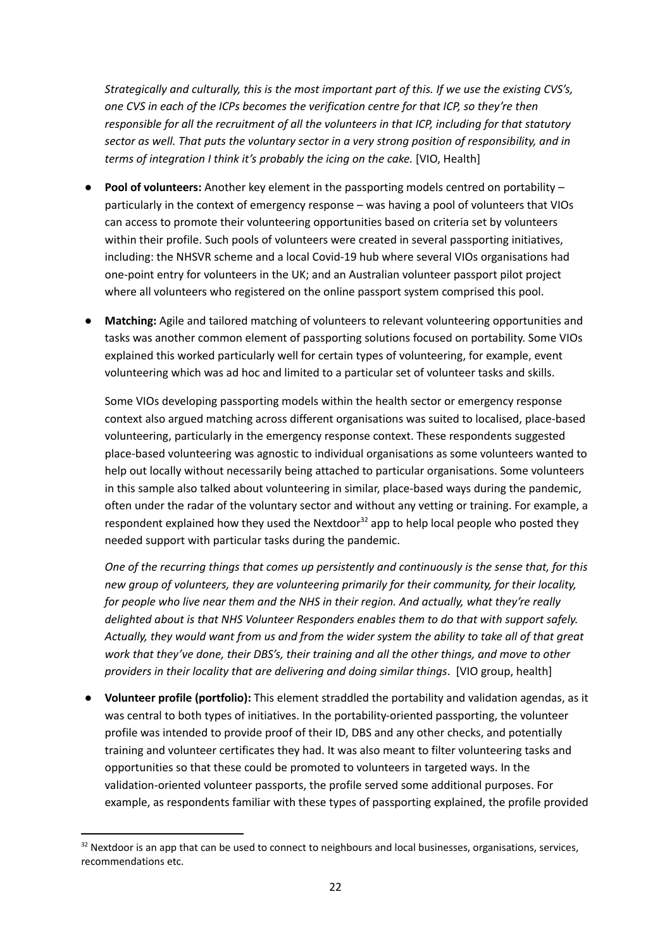*Strategically and culturally, this is the most important part of this. If we use the existing CVS's, one CVS in each of the ICPs becomes the verification centre for that ICP, so they're then responsible for all the recruitment of all the volunteers in that ICP, including for that statutory sector as well. That puts the voluntary sector in a very strong position of responsibility, and in terms of integration I think it's probably the icing on the cake.* [VIO, Health]

- **● Pool of volunteers:** Another key element in the passporting models centred on portability particularly in the context of emergency response – was having a pool of volunteers that VIOs can access to promote their volunteering opportunities based on criteria set by volunteers within their profile. Such pools of volunteers were created in several passporting initiatives, including: the NHSVR scheme and a local Covid-19 hub where several VIOs organisations had one-point entry for volunteers in the UK; and an Australian volunteer passport pilot project where all volunteers who registered on the online passport system comprised this pool.
- **● Matching:** Agile and tailored matching of volunteers to relevant volunteering opportunities and tasks was another common element of passporting solutions focused on portability. Some VIOs explained this worked particularly well for certain types of volunteering, for example, event volunteering which was ad hoc and limited to a particular set of volunteer tasks and skills.

Some VIOs developing passporting models within the health sector or emergency response context also argued matching across different organisations was suited to localised, place-based volunteering, particularly in the emergency response context. These respondents suggested place-based volunteering was agnostic to individual organisations as some volunteers wanted to help out locally without necessarily being attached to particular organisations. Some volunteers in this sample also talked about volunteering in similar, place-based ways during the pandemic, often under the radar of the voluntary sector and without any vetting or training. For example, a respondent explained how they used the Nextdoor<sup>32</sup> app to help local people who posted they needed support with particular tasks during the pandemic.

*One of the recurring things that comes up persistently and continuously is the sense that, for this new group of volunteers, they are volunteering primarily for their community, for their locality, for people who live near them and the NHS in their region. And actually, what they're really delighted about is that NHS Volunteer Responders enables them to do that with support safely.* Actually, they would want from us and from the wider system the ability to take all of that great *work that they've done, their DBS's, their training and all the other things, and move to other providers in their locality that are delivering and doing similar things*. [VIO group, health]

**● Volunteer profile (portfolio):** This element straddled the portability and validation agendas, as it was central to both types of initiatives. In the portability-oriented passporting, the volunteer profile was intended to provide proof of their ID, DBS and any other checks, and potentially training and volunteer certificates they had. It was also meant to filter volunteering tasks and opportunities so that these could be promoted to volunteers in targeted ways. In the validation-oriented volunteer passports, the profile served some additional purposes. For example, as respondents familiar with these types of passporting explained, the profile provided

<sup>&</sup>lt;sup>32</sup> Nextdoor is an app that can be used to connect to neighbours and local businesses, organisations, services, recommendations etc.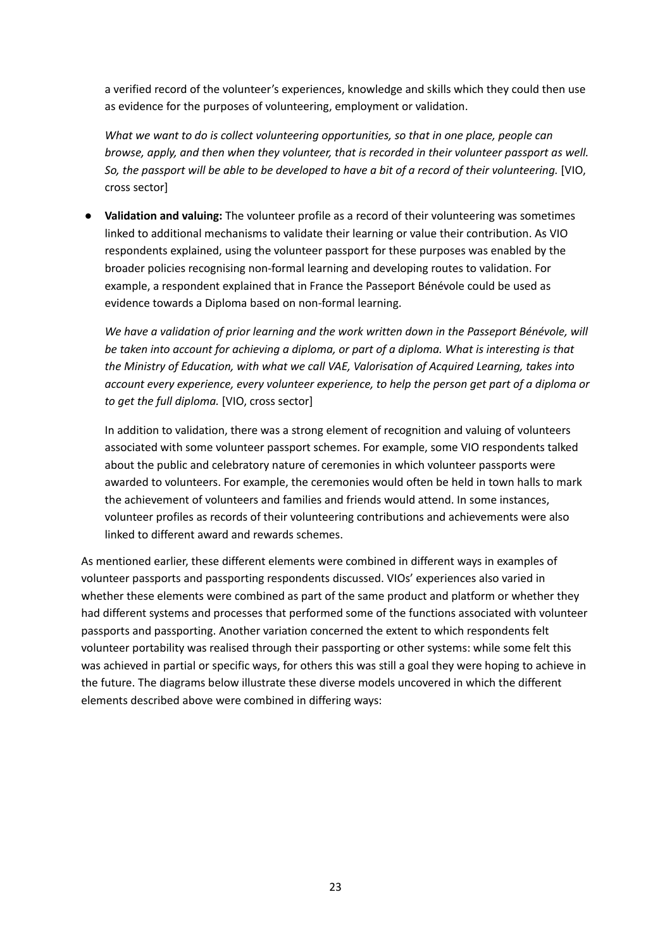a verified record of the volunteer's experiences, knowledge and skills which they could then use as evidence for the purposes of volunteering, employment or validation.

*What we want to do is collect volunteering opportunities, so that in one place, people can browse, apply, and then when they volunteer, that is recorded in their volunteer passport as well.* So, the passport will be able to be developed to have a bit of a record of their volunteering. [VIO, cross sector]

**● Validation and valuing:** The volunteer profile as a record of their volunteering was sometimes linked to additional mechanisms to validate their learning or value their contribution. As VIO respondents explained, using the volunteer passport for these purposes was enabled by the broader policies recognising non-formal learning and developing routes to validation. For example, a respondent explained that in France the Passeport Bénévole could be used as evidence towards a Diploma based on non-formal learning.

*We have a validation of prior learning and the work written down in the Passeport Bénévole, will be taken into account for achieving a diploma, or part of a diploma. What is interesting is that the Ministry of Education, with what we call VAE, Valorisation of Acquired Learning, takes into account every experience, every volunteer experience, to help the person get part of a diploma or to get the full diploma.* [VIO, cross sector]

In addition to validation, there was a strong element of recognition and valuing of volunteers associated with some volunteer passport schemes. For example, some VIO respondents talked about the public and celebratory nature of ceremonies in which volunteer passports were awarded to volunteers. For example, the ceremonies would often be held in town halls to mark the achievement of volunteers and families and friends would attend. In some instances, volunteer profiles as records of their volunteering contributions and achievements were also linked to different award and rewards schemes.

As mentioned earlier, these different elements were combined in different ways in examples of volunteer passports and passporting respondents discussed. VIOs' experiences also varied in whether these elements were combined as part of the same product and platform or whether they had different systems and processes that performed some of the functions associated with volunteer passports and passporting. Another variation concerned the extent to which respondents felt volunteer portability was realised through their passporting or other systems: while some felt this was achieved in partial or specific ways, for others this was still a goal they were hoping to achieve in the future. The diagrams below illustrate these diverse models uncovered in which the different elements described above were combined in differing ways: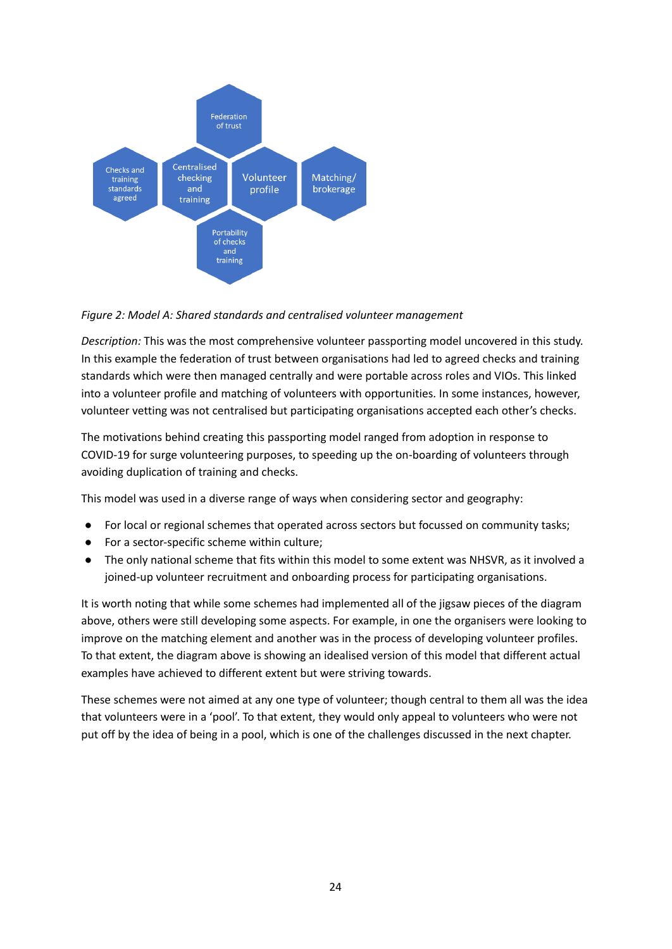

#### *Figure 2: Model A: Shared standards and centralised volunteer management*

*Description:* This was the most comprehensive volunteer passporting model uncovered in this study. In this example the federation of trust between organisations had led to agreed checks and training standards which were then managed centrally and were portable across roles and VIOs. This linked into a volunteer profile and matching of volunteers with opportunities. In some instances, however, volunteer vetting was not centralised but participating organisations accepted each other's checks.

The motivations behind creating this passporting model ranged from adoption in response to COVID-19 for surge volunteering purposes, to speeding up the on-boarding of volunteers through avoiding duplication of training and checks.

This model was used in a diverse range of ways when considering sector and geography:

- For local or regional schemes that operated across sectors but focussed on community tasks;
- For a sector-specific scheme within culture;
- The only national scheme that fits within this model to some extent was NHSVR, as it involved a joined-up volunteer recruitment and onboarding process for participating organisations.

It is worth noting that while some schemes had implemented all of the jigsaw pieces of the diagram above, others were still developing some aspects. For example, in one the organisers were looking to improve on the matching element and another was in the process of developing volunteer profiles. To that extent, the diagram above is showing an idealised version of this model that different actual examples have achieved to different extent but were striving towards.

These schemes were not aimed at any one type of volunteer; though central to them all was the idea that volunteers were in a 'pool'. To that extent, they would only appeal to volunteers who were not put off by the idea of being in a pool, which is one of the challenges discussed in the next chapter.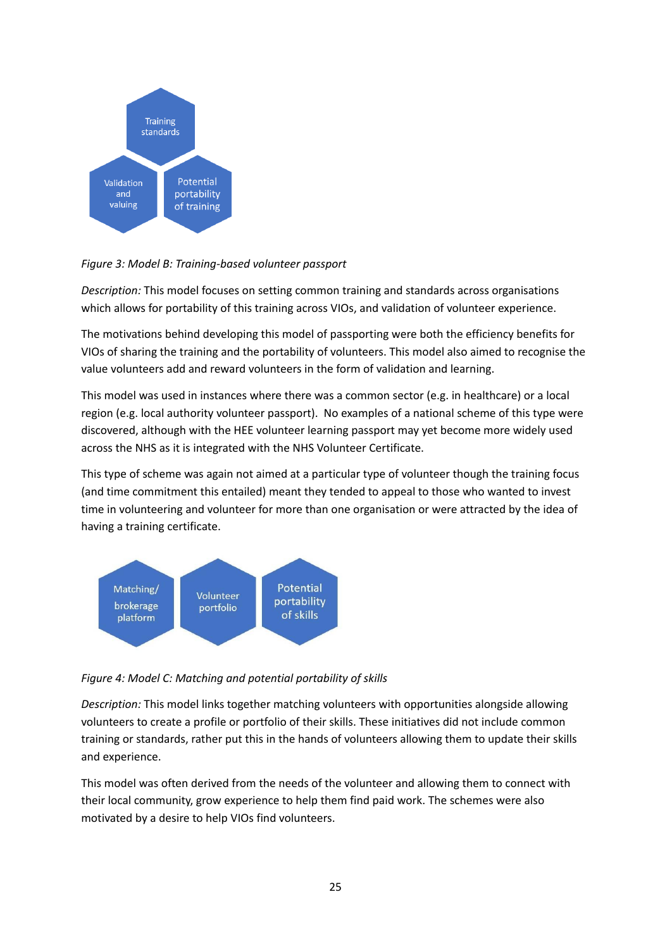

*Figure 3: Model B: Training-based volunteer passport*

*Description:* This model focuses on setting common training and standards across organisations which allows for portability of this training across VIOs, and validation of volunteer experience.

The motivations behind developing this model of passporting were both the efficiency benefits for VIOs of sharing the training and the portability of volunteers. This model also aimed to recognise the value volunteers add and reward volunteers in the form of validation and learning.

This model was used in instances where there was a common sector (e.g. in healthcare) or a local region (e.g. local authority volunteer passport). No examples of a national scheme of this type were discovered, although with the HEE volunteer learning passport may yet become more widely used across the NHS as it is integrated with the NHS Volunteer Certificate.

This type of scheme was again not aimed at a particular type of volunteer though the training focus (and time commitment this entailed) meant they tended to appeal to those who wanted to invest time in volunteering and volunteer for more than one organisation or were attracted by the idea of having a training certificate.



*Figure 4: Model C: Matching and potential portability of skills*

*Description:* This model links together matching volunteers with opportunities alongside allowing volunteers to create a profile or portfolio of their skills. These initiatives did not include common training or standards, rather put this in the hands of volunteers allowing them to update their skills and experience.

This model was often derived from the needs of the volunteer and allowing them to connect with their local community, grow experience to help them find paid work. The schemes were also motivated by a desire to help VIOs find volunteers.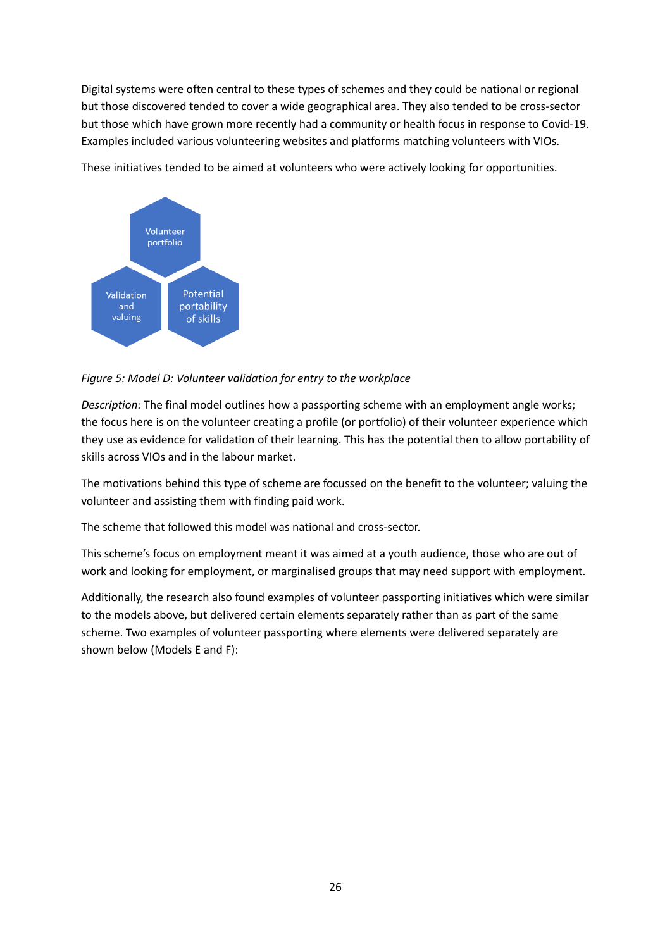Digital systems were often central to these types of schemes and they could be national or regional but those discovered tended to cover a wide geographical area. They also tended to be cross-sector but those which have grown more recently had a community or health focus in response to Covid-19. Examples included various volunteering websites and platforms matching volunteers with VIOs.



These initiatives tended to be aimed at volunteers who were actively looking for opportunities.

#### *Figure 5: Model D: Volunteer validation for entry to the workplace*

*Description:* The final model outlines how a passporting scheme with an employment angle works; the focus here is on the volunteer creating a profile (or portfolio) of their volunteer experience which they use as evidence for validation of their learning. This has the potential then to allow portability of skills across VIOs and in the labour market.

The motivations behind this type of scheme are focussed on the benefit to the volunteer; valuing the volunteer and assisting them with finding paid work.

The scheme that followed this model was national and cross-sector.

This scheme's focus on employment meant it was aimed at a youth audience, those who are out of work and looking for employment, or marginalised groups that may need support with employment.

Additionally, the research also found examples of volunteer passporting initiatives which were similar to the models above, but delivered certain elements separately rather than as part of the same scheme. Two examples of volunteer passporting where elements were delivered separately are shown below (Models E and F):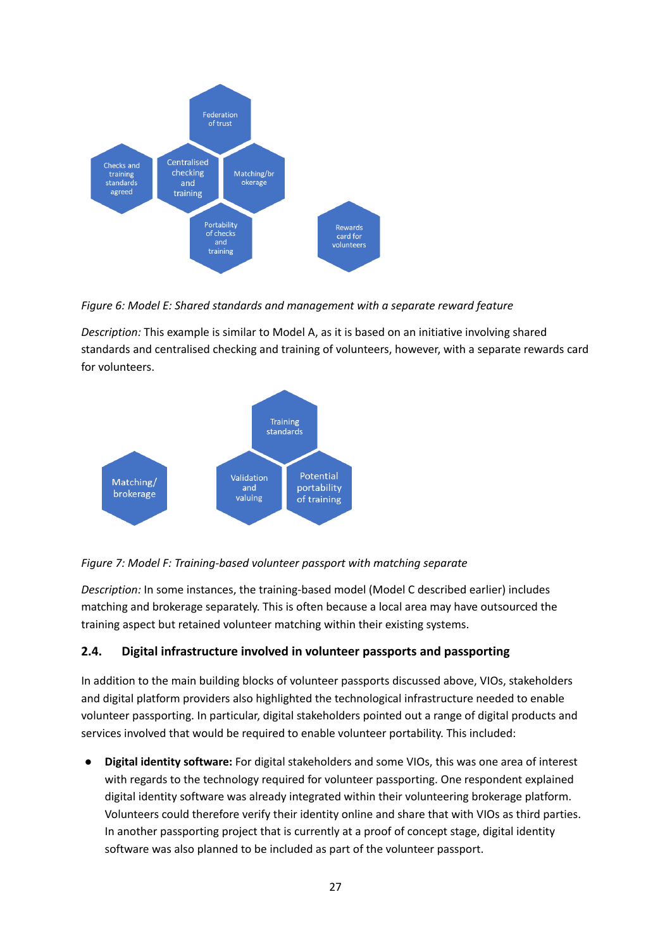

*Figure 6: Model E: Shared standards and management with a separate reward feature*

*Description:* This example is similar to Model A, as it is based on an initiative involving shared standards and centralised checking and training of volunteers, however, with a separate rewards card for volunteers.





*Description:* In some instances, the training-based model (Model C described earlier) includes matching and brokerage separately. This is often because a local area may have outsourced the training aspect but retained volunteer matching within their existing systems.

# <span id="page-26-0"></span>**2.4. Digital infrastructure involved in volunteer passports and passporting**

In addition to the main building blocks of volunteer passports discussed above, VIOs, stakeholders and digital platform providers also highlighted the technological infrastructure needed to enable volunteer passporting. In particular, digital stakeholders pointed out a range of digital products and services involved that would be required to enable volunteer portability. This included:

**● Digital identity software:** For digital stakeholders and some VIOs, this was one area of interest with regards to the technology required for volunteer passporting. One respondent explained digital identity software was already integrated within their volunteering brokerage platform. Volunteers could therefore verify their identity online and share that with VIOs as third parties. In another passporting project that is currently at a proof of concept stage, digital identity software was also planned to be included as part of the volunteer passport.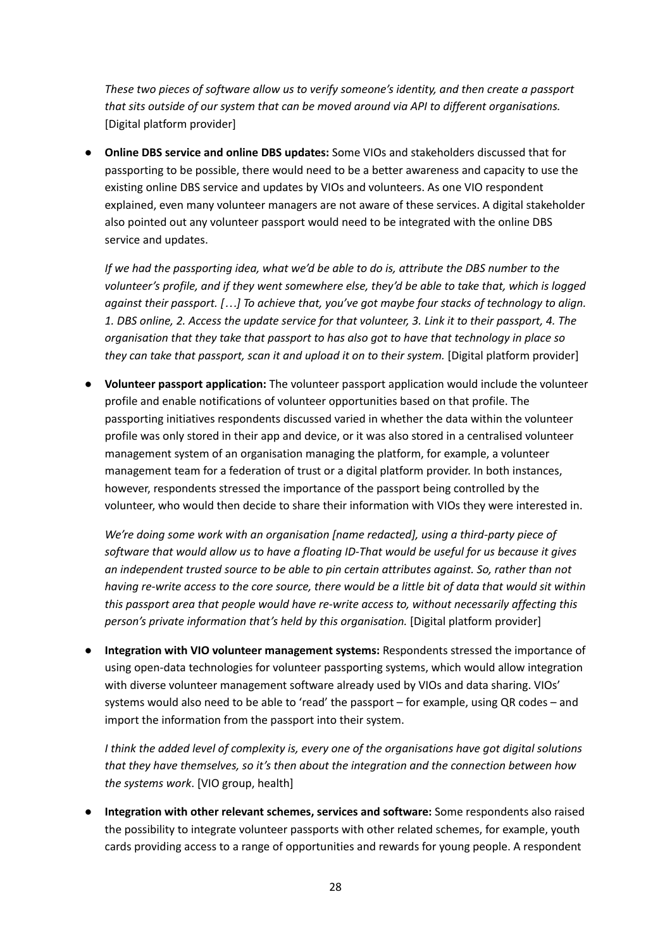*These two pieces of software allow us to verify someone's identity, and then create a passport that sits outside of our system that can be moved around via API to different organisations.* [Digital platform provider]

**● Online DBS service and online DBS updates:** Some VIOs and stakeholders discussed that for passporting to be possible, there would need to be a better awareness and capacity to use the existing online DBS service and updates by VIOs and volunteers. As one VIO respondent explained, even many volunteer managers are not aware of these services. A digital stakeholder also pointed out any volunteer passport would need to be integrated with the online DBS service and updates.

*If we had the passporting idea, what we'd be able to do is, attribute the DBS number to the volunteer's profile, and if they went somewhere else, they'd be able to take that, which is logged against their passport. […] To achieve that, you've got maybe four stacks of technology to align.* 1. DBS online, 2. Access the update service for that volunteer, 3. Link it to their passport, 4. The *organisation that they take that passport to has also got to have that technology in place so they can take that passport, scan it and upload it on to their system.* [Digital platform provider]

**● Volunteer passport application:** The volunteer passport application would include the volunteer profile and enable notifications of volunteer opportunities based on that profile. The passporting initiatives respondents discussed varied in whether the data within the volunteer profile was only stored in their app and device, or it was also stored in a centralised volunteer management system of an organisation managing the platform, for example, a volunteer management team for a federation of trust or a digital platform provider. In both instances, however, respondents stressed the importance of the passport being controlled by the volunteer, who would then decide to share their information with VIOs they were interested in.

*We're doing some work with an organisation [name redacted], using a third-party piece of software that would allow us to have a floating ID-That would be useful for us because it gives an independent trusted source to be able to pin certain attributes against. So, rather than not* having re-write access to the core source, there would be a little bit of data that would sit within *this passport area that people would have re-write access to, without necessarily affecting this person's private information that's held by this organisation.* [Digital platform provider]

**● Integration with VIO volunteer management systems:** Respondents stressed the importance of using open-data technologies for volunteer passporting systems, which would allow integration with diverse volunteer management software already used by VIOs and data sharing. VIOs' systems would also need to be able to 'read' the passport – for example, using QR codes – and import the information from the passport into their system.

*I think the added level of complexity is, every one of the organisations have got digital solutions that they have themselves, so it's then about the integration and the connection between how the systems work*. [VIO group, health]

**● Integration with other relevant schemes, services and software:** Some respondents also raised the possibility to integrate volunteer passports with other related schemes, for example, youth cards providing access to a range of opportunities and rewards for young people. A respondent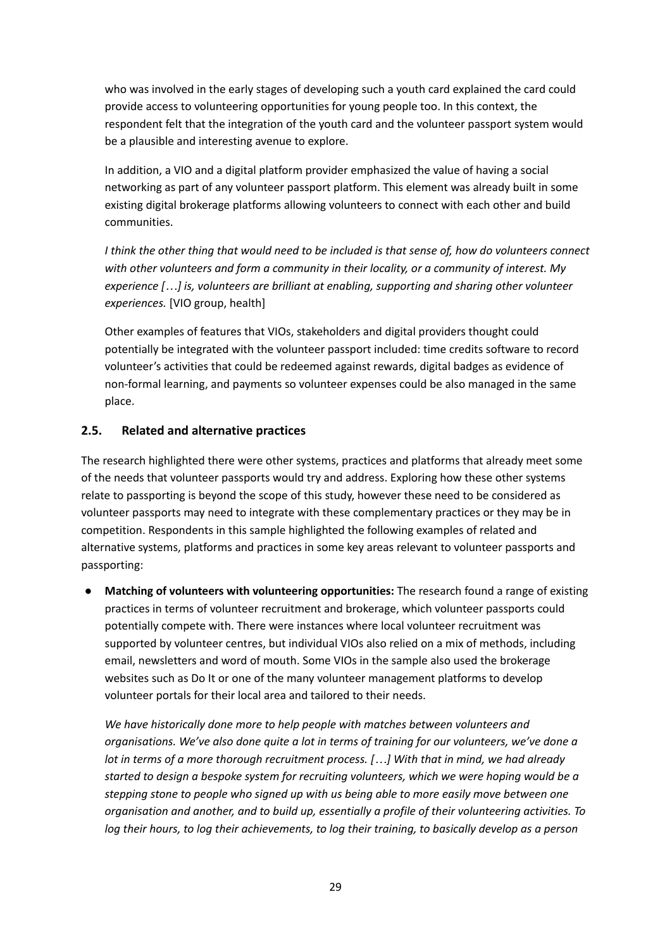who was involved in the early stages of developing such a youth card explained the card could provide access to volunteering opportunities for young people too. In this context, the respondent felt that the integration of the youth card and the volunteer passport system would be a plausible and interesting avenue to explore.

In addition, a VIO and a digital platform provider emphasized the value of having a social networking as part of any volunteer passport platform. This element was already built in some existing digital brokerage platforms allowing volunteers to connect with each other and build communities.

I think the other thing that would need to be included is that sense of, how do volunteers connect *with other volunteers and form a community in their locality, or a community of interest. My experience […] is, volunteers are brilliant at enabling, supporting and sharing other volunteer experiences.* [VIO group, health]

Other examples of features that VIOs, stakeholders and digital providers thought could potentially be integrated with the volunteer passport included: time credits software to record volunteer's activities that could be redeemed against rewards, digital badges as evidence of non-formal learning, and payments so volunteer expenses could be also managed in the same place.

#### <span id="page-28-0"></span>**2.5. Related and alternative practices**

The research highlighted there were other systems, practices and platforms that already meet some of the needs that volunteer passports would try and address. Exploring how these other systems relate to passporting is beyond the scope of this study, however these need to be considered as volunteer passports may need to integrate with these complementary practices or they may be in competition. Respondents in this sample highlighted the following examples of related and alternative systems, platforms and practices in some key areas relevant to volunteer passports and passporting:

● **Matching of volunteers with volunteering opportunities:** The research found a range of existing practices in terms of volunteer recruitment and brokerage, which volunteer passports could potentially compete with. There were instances where local volunteer recruitment was supported by volunteer centres, but individual VIOs also relied on a mix of methods, including email, newsletters and word of mouth. Some VIOs in the sample also used the brokerage websites such as Do It or one of the many volunteer management platforms to develop volunteer portals for their local area and tailored to their needs.

*We have historically done more to help people with matches between volunteers and organisations. We've also done quite a lot in terms of training for our volunteers, we've done a lot in terms of a more thorough recruitment process. […] With that in mind, we had already started to design a bespoke system for recruiting volunteers, which we were hoping would be a stepping stone to people who signed up with us being able to more easily move between one organisation and another, and to build up, essentially a profile of their volunteering activities. To log their hours, to log their achievements, to log their training, to basically develop as a person*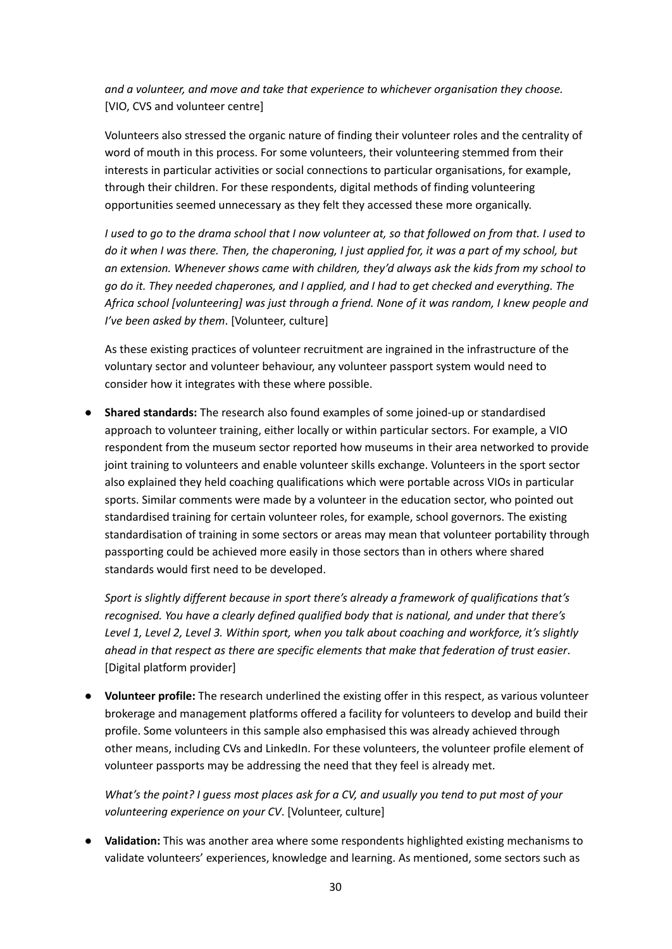*and a volunteer, and move and take that experience to whichever organisation they choose.* [VIO, CVS and volunteer centre]

Volunteers also stressed the organic nature of finding their volunteer roles and the centrality of word of mouth in this process. For some volunteers, their volunteering stemmed from their interests in particular activities or social connections to particular organisations, for example, through their children. For these respondents, digital methods of finding volunteering opportunities seemed unnecessary as they felt they accessed these more organically.

I used to go to the drama school that I now volunteer at, so that followed on from that. I used to do it when I was there. Then, the chaperoning, I just applied for, it was a part of my school, but *an extension. Whenever shows came with children, they'd always ask the kids from my school to go do it. They needed chaperones, and I applied, and I had to get checked and everything. The Africa school [volunteering] was just through a friend. None of it was random, I knew people and I've been asked by them*. [Volunteer, culture]

As these existing practices of volunteer recruitment are ingrained in the infrastructure of the voluntary sector and volunteer behaviour, any volunteer passport system would need to consider how it integrates with these where possible.

● **Shared standards:** The research also found examples of some joined-up or standardised approach to volunteer training, either locally or within particular sectors. For example, a VIO respondent from the museum sector reported how museums in their area networked to provide joint training to volunteers and enable volunteer skills exchange. Volunteers in the sport sector also explained they held coaching qualifications which were portable across VIOs in particular sports. Similar comments were made by a volunteer in the education sector, who pointed out standardised training for certain volunteer roles, for example, school governors. The existing standardisation of training in some sectors or areas may mean that volunteer portability through passporting could be achieved more easily in those sectors than in others where shared standards would first need to be developed.

*Sport is slightly different because in sport there's already a framework of qualifications that's recognised. You have a clearly defined qualified body that is national, and under that there's Level 1, Level 2, Level 3. Within sport, when you talk about coaching and workforce, it's slightly ahead in that respect as there are specific elements that make that federation of trust easier*. [Digital platform provider]

● **Volunteer profile:** The research underlined the existing offer in this respect, as various volunteer brokerage and management platforms offered a facility for volunteers to develop and build their profile. Some volunteers in this sample also emphasised this was already achieved through other means, including CVs and LinkedIn. For these volunteers, the volunteer profile element of volunteer passports may be addressing the need that they feel is already met.

What's the point? I guess most places ask for a CV, and usually you tend to put most of your *volunteering experience on your CV*. [Volunteer, culture]

● **Validation:** This was another area where some respondents highlighted existing mechanisms to validate volunteers' experiences, knowledge and learning. As mentioned, some sectors such as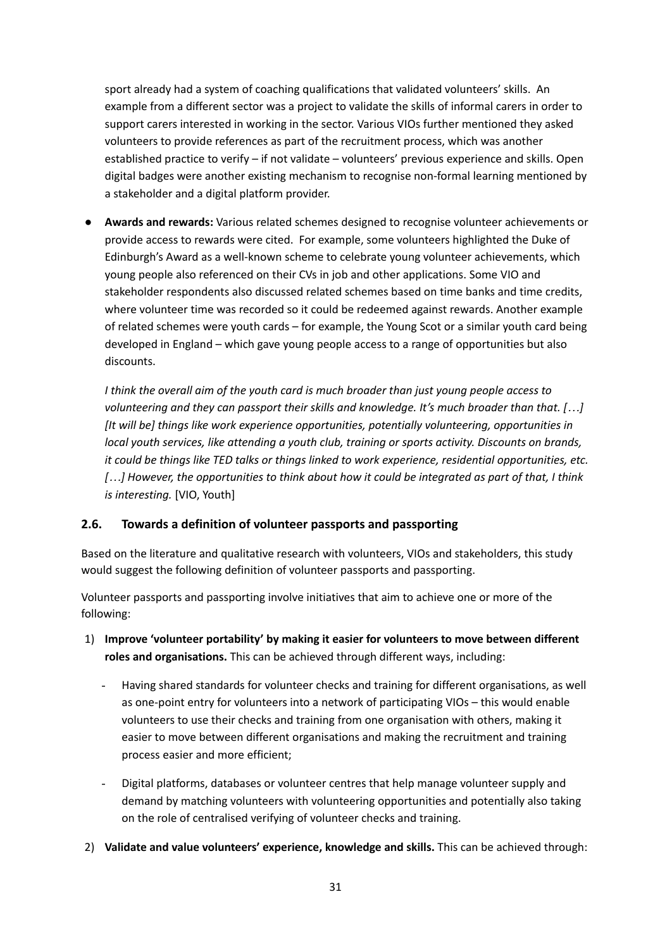sport already had a system of coaching qualifications that validated volunteers' skills. An example from a different sector was a project to validate the skills of informal carers in order to support carers interested in working in the sector. Various VIOs further mentioned they asked volunteers to provide references as part of the recruitment process, which was another established practice to verify – if not validate – volunteers' previous experience and skills. Open digital badges were another existing mechanism to recognise non-formal learning mentioned by a stakeholder and a digital platform provider.

● **Awards and rewards:** Various related schemes designed to recognise volunteer achievements or provide access to rewards were cited. For example, some volunteers highlighted the Duke of Edinburgh's Award as a well-known scheme to celebrate young volunteer achievements, which young people also referenced on their CVs in job and other applications. Some VIO and stakeholder respondents also discussed related schemes based on time banks and time credits, where volunteer time was recorded so it could be redeemed against rewards. Another example of related schemes were youth cards – for example, the Young Scot or a similar youth card being developed in England – which gave young people access to a range of opportunities but also discounts.

*I think the overall aim of the youth card is much broader than just young people access to volunteering and they can passport their skills and knowledge. It's much broader than that. […] [It will be] things like work experience opportunities, potentially volunteering, opportunities in local youth services, like attending a youth club, training or sports activity. Discounts on brands, it could be things like TED talks or things linked to work experience, residential opportunities, etc.* [...] However, the opportunities to think about how it could be integrated as part of that, I think *is interesting.* [VIO, Youth]

#### <span id="page-30-0"></span>**2.6. Towards a definition of volunteer passports and passporting**

Based on the literature and qualitative research with volunteers, VIOs and stakeholders, this study would suggest the following definition of volunteer passports and passporting.

Volunteer passports and passporting involve initiatives that aim to achieve one or more of the following:

- 1) **Improve 'volunteer portability' by making it easier for volunteers to move between different roles and organisations.** This can be achieved through different ways, including:
	- Having shared standards for volunteer checks and training for different organisations, as well as one-point entry for volunteers into a network of participating VIOs – this would enable volunteers to use their checks and training from one organisation with others, making it easier to move between different organisations and making the recruitment and training process easier and more efficient;
	- Digital platforms, databases or volunteer centres that help manage volunteer supply and demand by matching volunteers with volunteering opportunities and potentially also taking on the role of centralised verifying of volunteer checks and training.
- 2) **Validate and value volunteers' experience, knowledge and skills.** This can be achieved through: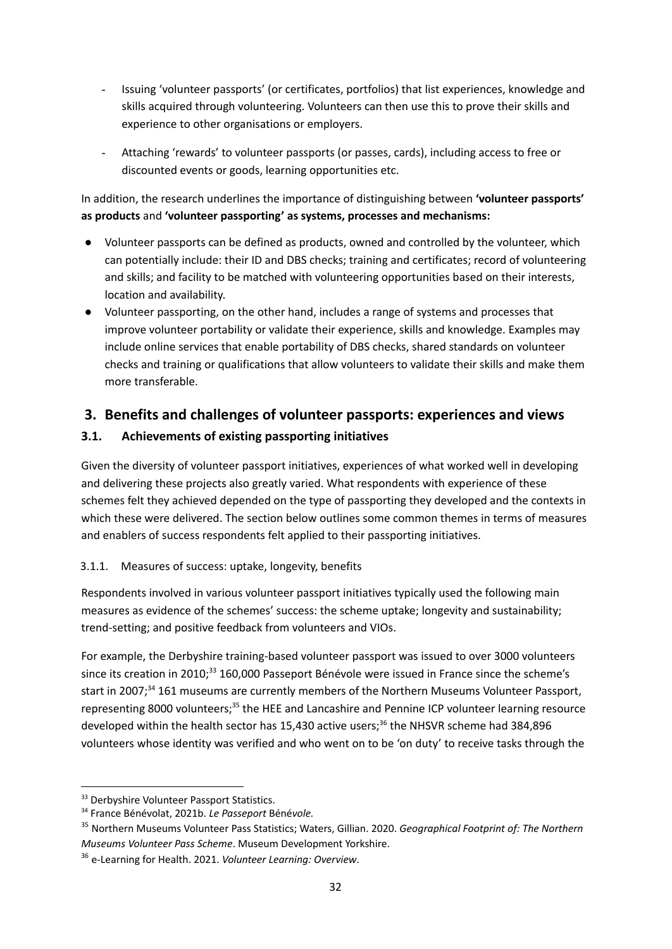- Issuing 'volunteer passports' (or certificates, portfolios) that list experiences, knowledge and skills acquired through volunteering. Volunteers can then use this to prove their skills and experience to other organisations or employers.
- Attaching 'rewards' to volunteer passports (or passes, cards), including access to free or discounted events or goods, learning opportunities etc.

In addition, the research underlines the importance of distinguishing between **'volunteer passports' as products** and **'volunteer passporting' as systems, processes and mechanisms:**

- Volunteer passports can be defined as products, owned and controlled by the volunteer, which can potentially include: their ID and DBS checks; training and certificates; record of volunteering and skills; and facility to be matched with volunteering opportunities based on their interests, location and availability.
- Volunteer passporting, on the other hand, includes a range of systems and processes that improve volunteer portability or validate their experience, skills and knowledge. Examples may include online services that enable portability of DBS checks, shared standards on volunteer checks and training or qualifications that allow volunteers to validate their skills and make them more transferable.

# <span id="page-31-0"></span>**3. Benefits and challenges of volunteer passports: experiences and views**

# <span id="page-31-1"></span>**3.1. Achievements of existing passporting initiatives**

Given the diversity of volunteer passport initiatives, experiences of what worked well in developing and delivering these projects also greatly varied. What respondents with experience of these schemes felt they achieved depended on the type of passporting they developed and the contexts in which these were delivered. The section below outlines some common themes in terms of measures and enablers of success respondents felt applied to their passporting initiatives.

## <span id="page-31-2"></span>3.1.1. Measures of success: uptake, longevity, benefits

Respondents involved in various volunteer passport initiatives typically used the following main measures as evidence of the schemes' success: the scheme uptake; longevity and sustainability; trend-setting; and positive feedback from volunteers and VIOs.

For example, the Derbyshire training-based volunteer passport was issued to over 3000 volunteers since its creation in 2010;<sup>33</sup> 160,000 Passeport Bénévole were issued in France since the scheme's start in 2007;<sup>34</sup> 161 museums are currently members of the Northern Museums Volunteer Passport, representing 8000 volunteers;<sup>35</sup> the HEE and Lancashire and Pennine ICP volunteer learning resource developed within the health sector has 15,430 active users; 36 the NHSVR scheme had 384,896 volunteers whose identity was verified and who went on to be 'on duty' to receive tasks through the

<sup>&</sup>lt;sup>33</sup> Derbyshire Volunteer Passport Statistics.

<sup>34</sup> France Bénévolat, 2021b. *Le Passeport* Béné*vole.*

<sup>35</sup> Northern Museums Volunteer Pass Statistics; Waters, Gillian. 2020. *Geographical Footprint of: The Northern Museums Volunteer Pass Scheme*. Museum Development Yorkshire.

<sup>36</sup> e-Learning for Health. 2021. *Volunteer Learning: Overview*.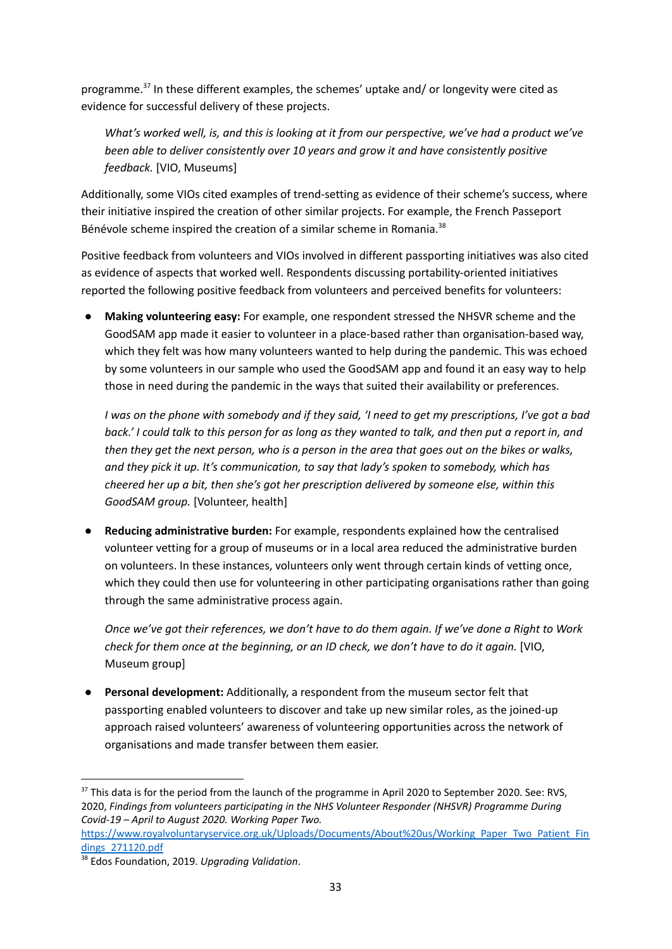programme.<sup>37</sup> In these different examples, the schemes' uptake and/ or longevity were cited as evidence for successful delivery of these projects.

*What's worked well, is, and this is looking at it from our perspective, we've had a product we've been able to deliver consistently over 10 years and grow it and have consistently positive feedback.* [VIO, Museums]

Additionally, some VIOs cited examples of trend-setting as evidence of their scheme's success, where their initiative inspired the creation of other similar projects. For example, the French Passeport Bénévole scheme inspired the creation of a similar scheme in Romania.<sup>38</sup>

Positive feedback from volunteers and VIOs involved in different passporting initiatives was also cited as evidence of aspects that worked well. Respondents discussing portability-oriented initiatives reported the following positive feedback from volunteers and perceived benefits for volunteers:

● **Making volunteering easy:** For example, one respondent stressed the NHSVR scheme and the GoodSAM app made it easier to volunteer in a place-based rather than organisation-based way, which they felt was how many volunteers wanted to help during the pandemic. This was echoed by some volunteers in our sample who used the GoodSAM app and found it an easy way to help those in need during the pandemic in the ways that suited their availability or preferences.

I was on the phone with somebody and if they said, 'I need to get my prescriptions, I've got a bad back.' I could talk to this person for as long as they wanted to talk, and then put a report in, and then they get the next person, who is a person in the area that goes out on the bikes or walks, *and they pick it up. It's communication, to say that lady's spoken to somebody, which has cheered her up a bit, then she's got her prescription delivered by someone else, within this GoodSAM group.* [Volunteer, health]

● **Reducing administrative burden:** For example, respondents explained how the centralised volunteer vetting for a group of museums or in a local area reduced the administrative burden on volunteers. In these instances, volunteers only went through certain kinds of vetting once, which they could then use for volunteering in other participating organisations rather than going through the same administrative process again.

Once we've got their references, we don't have to do them again. If we've done a Right to Work *check for them once at the beginning, or an ID check, we don't have to do it again.* [VIO, Museum group]

**Personal development:** Additionally, a respondent from the museum sector felt that passporting enabled volunteers to discover and take up new similar roles, as the joined-up approach raised volunteers' awareness of volunteering opportunities across the network of organisations and made transfer between them easier.

<sup>&</sup>lt;sup>37</sup> This data is for the period from the launch of the programme in April 2020 to September 2020. See: RVS, 2020, *Findings from volunteers participating in the NHS Volunteer Responder (NHSVR) Programme During Covid-19 – April to August 2020. Working Paper Two.*

[https://www.royalvoluntaryservice.org.uk/Uploads/Documents/About%20us/Working\\_Paper\\_Two\\_Patient\\_Fin](https://www.royalvoluntaryservice.org.uk/Uploads/Documents/About%20us/Working_Paper_Two_Patient_Findings_271120.pdf) [dings\\_271120.pdf](https://www.royalvoluntaryservice.org.uk/Uploads/Documents/About%20us/Working_Paper_Two_Patient_Findings_271120.pdf)

<sup>38</sup> Edos Foundation, 2019. *Upgrading Validation*.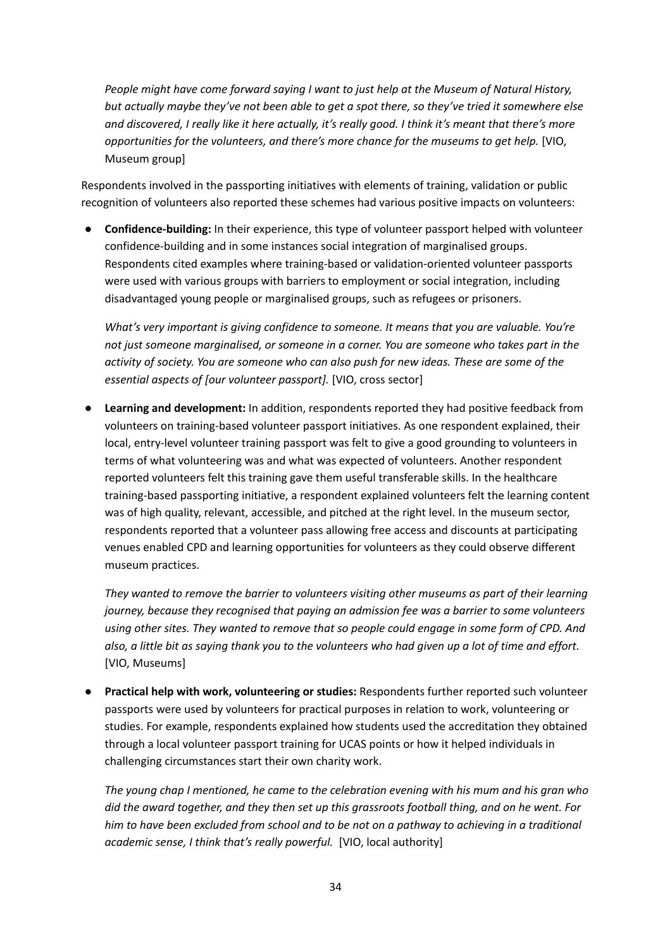*People might have come forward saying I want to just help at the Museum of Natural History, but actually maybe they've not been able to get a spot there, so they've tried it somewhere else* and discovered, I really like it here actually, it's really good. I think it's meant that there's more *opportunities for the volunteers, and there's more chance for the museums to get help.* [VIO, Museum group]

Respondents involved in the passporting initiatives with elements of training, validation or public recognition of volunteers also reported these schemes had various positive impacts on volunteers:

● **Confidence-building:** In their experience, this type of volunteer passport helped with volunteer confidence-building and in some instances social integration of marginalised groups. Respondents cited examples where training-based or validation-oriented volunteer passports were used with various groups with barriers to employment or social integration, including disadvantaged young people or marginalised groups, such as refugees or prisoners.

*What's very important is giving confidence to someone. It means that you are valuable. You're not just someone marginalised, or someone in a corner. You are someone who takes part in the activity of society. You are someone who can also push for new ideas. These are some of the essential aspects of [our volunteer passport].* [VIO, cross sector]

● **Learning and development:** In addition, respondents reported they had positive feedback from volunteers on training-based volunteer passport initiatives. As one respondent explained, their local, entry-level volunteer training passport was felt to give a good grounding to volunteers in terms of what volunteering was and what was expected of volunteers. Another respondent reported volunteers felt this training gave them useful transferable skills. In the healthcare training-based passporting initiative, a respondent explained volunteers felt the learning content was of high quality, relevant, accessible, and pitched at the right level. In the museum sector, respondents reported that a volunteer pass allowing free access and discounts at participating venues enabled CPD and learning opportunities for volunteers as they could observe different museum practices.

*They wanted to remove the barrier to volunteers visiting other museums as part of their learning journey, because they recognised that paying an admission fee was a barrier to some volunteers using other sites. They wanted to remove that so people could engage in some form of CPD. And* also, a little bit as saying thank you to the volunteers who had given up a lot of time and effort. [VIO, Museums]

● **Practical help with work, volunteering or studies:** Respondents further reported such volunteer passports were used by volunteers for practical purposes in relation to work, volunteering or studies. For example, respondents explained how students used the accreditation they obtained through a local volunteer passport training for UCAS points or how it helped individuals in challenging circumstances start their own charity work.

*The young chap I mentioned, he came to the celebration evening with his mum and his gran who did the award together, and they then set up this grassroots football thing, and on he went. For* him to have been excluded from school and to be not on a pathway to achieving in a traditional *academic sense, I think that's really powerful.* [VIO, local authority]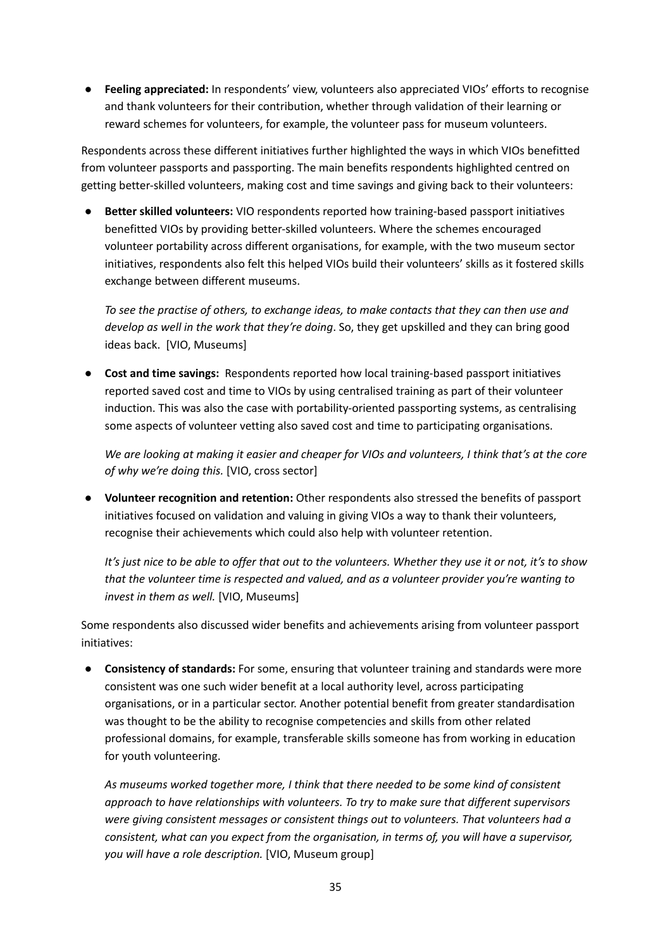● **Feeling appreciated:** In respondents' view, volunteers also appreciated VIOs' efforts to recognise and thank volunteers for their contribution, whether through validation of their learning or reward schemes for volunteers, for example, the volunteer pass for museum volunteers.

Respondents across these different initiatives further highlighted the ways in which VIOs benefitted from volunteer passports and passporting. The main benefits respondents highlighted centred on getting better-skilled volunteers, making cost and time savings and giving back to their volunteers:

● **Better skilled volunteers:** VIO respondents reported how training-based passport initiatives benefitted VIOs by providing better-skilled volunteers. Where the schemes encouraged volunteer portability across different organisations, for example, with the two museum sector initiatives, respondents also felt this helped VIOs build their volunteers' skills as it fostered skills exchange between different museums.

*To see the practise of others, to exchange ideas, to make contacts that they can then use and develop as well in the work that they're doing*. So, they get upskilled and they can bring good ideas back. [VIO, Museums]

● **Cost and time savings:** Respondents reported how local training-based passport initiatives reported saved cost and time to VIOs by using centralised training as part of their volunteer induction. This was also the case with portability-oriented passporting systems, as centralising some aspects of volunteer vetting also saved cost and time to participating organisations.

We are looking at making it easier and cheaper for VIOs and volunteers, I think that's at the core *of why we're doing this.* [VIO, cross sector]

● **Volunteer recognition and retention:** Other respondents also stressed the benefits of passport initiatives focused on validation and valuing in giving VIOs a way to thank their volunteers, recognise their achievements which could also help with volunteer retention.

It's just nice to be able to offer that out to the volunteers. Whether they use it or not, it's to show *that the volunteer time is respected and valued, and as a volunteer provider you're wanting to invest in them as well.* [VIO, Museums]

Some respondents also discussed wider benefits and achievements arising from volunteer passport initiatives:

● **Consistency of standards:** For some, ensuring that volunteer training and standards were more consistent was one such wider benefit at a local authority level, across participating organisations, or in a particular sector. Another potential benefit from greater standardisation was thought to be the ability to recognise competencies and skills from other related professional domains, for example, transferable skills someone has from working in education for youth volunteering.

*As museums worked together more, I think that there needed to be some kind of consistent approach to have relationships with volunteers. To try to make sure that different supervisors were giving consistent messages or consistent things out to volunteers. That volunteers had a consistent, what can you expect from the organisation, in terms of, you will have a supervisor, you will have a role description.* [VIO, Museum group]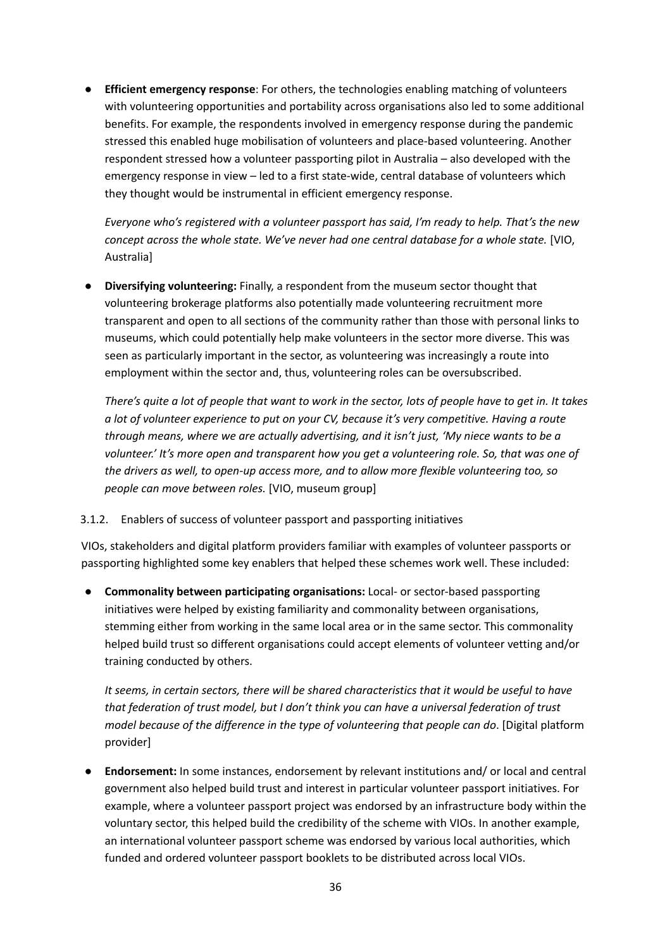**Efficient emergency response**: For others, the technologies enabling matching of volunteers with volunteering opportunities and portability across organisations also led to some additional benefits. For example, the respondents involved in emergency response during the pandemic stressed this enabled huge mobilisation of volunteers and place-based volunteering. Another respondent stressed how a volunteer passporting pilot in Australia – also developed with the emergency response in view – led to a first state-wide, central database of volunteers which they thought would be instrumental in efficient emergency response.

*Everyone who's registered with a volunteer passport has said, I'm ready to help. That's the new concept across the whole state. We've never had one central database for a whole state.* [VIO, Australia]

● **Diversifying volunteering:** Finally, a respondent from the museum sector thought that volunteering brokerage platforms also potentially made volunteering recruitment more transparent and open to all sections of the community rather than those with personal links to museums, which could potentially help make volunteers in the sector more diverse. This was seen as particularly important in the sector, as volunteering was increasingly a route into employment within the sector and, thus, volunteering roles can be oversubscribed.

There's quite a lot of people that want to work in the sector, lots of people have to get in. It takes *a lot of volunteer experience to put on your CV, because it's very competitive. Having a route through means, where we are actually advertising, and it isn't just, 'My niece wants to be a volunteer.' It's more open and transparent how you get a volunteering role. So, that was one of the drivers as well, to open-up access more, and to allow more flexible volunteering too, so people can move between roles.* [VIO, museum group]

#### <span id="page-35-0"></span>3.1.2. Enablers of success of volunteer passport and passporting initiatives

VIOs, stakeholders and digital platform providers familiar with examples of volunteer passports or passporting highlighted some key enablers that helped these schemes work well. These included:

**● Commonality between participating organisations:** Local- or sector-based passporting initiatives were helped by existing familiarity and commonality between organisations, stemming either from working in the same local area or in the same sector. This commonality helped build trust so different organisations could accept elements of volunteer vetting and/or training conducted by others.

*It seems, in certain sectors, there will be shared characteristics that it would be useful to have that federation of trust model, but I don't think you can have a universal federation of trust model because of the difference in the type of volunteering that people can do*. [Digital platform provider]

**Endorsement:** In some instances, endorsement by relevant institutions and/ or local and central government also helped build trust and interest in particular volunteer passport initiatives. For example, where a volunteer passport project was endorsed by an infrastructure body within the voluntary sector, this helped build the credibility of the scheme with VIOs. In another example, an international volunteer passport scheme was endorsed by various local authorities, which funded and ordered volunteer passport booklets to be distributed across local VIOs.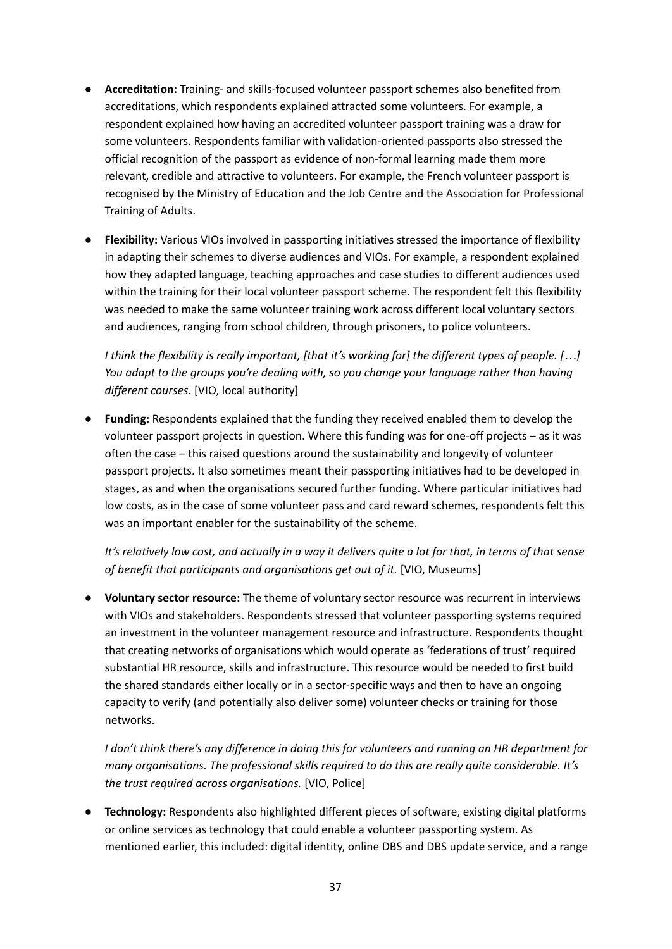- **● Accreditation:** Training- and skills-focused volunteer passport schemes also benefited from accreditations, which respondents explained attracted some volunteers. For example, a respondent explained how having an accredited volunteer passport training was a draw for some volunteers. Respondents familiar with validation-oriented passports also stressed the official recognition of the passport as evidence of non-formal learning made them more relevant, credible and attractive to volunteers. For example, the French volunteer passport is recognised by the Ministry of Education and the Job Centre and the Association for Professional Training of Adults.
- **● Flexibility:** Various VIOs involved in passporting initiatives stressed the importance of flexibility in adapting their schemes to diverse audiences and VIOs. For example, a respondent explained how they adapted language, teaching approaches and case studies to different audiences used within the training for their local volunteer passport scheme. The respondent felt this flexibility was needed to make the same volunteer training work across different local voluntary sectors and audiences, ranging from school children, through prisoners, to police volunteers.

I think the flexibility is really important, [that it's working for] the different types of people. [...] *You adapt to the groups you're dealing with, so you change your language rather than having different courses*. [VIO, local authority]

**● Funding:** Respondents explained that the funding they received enabled them to develop the volunteer passport projects in question. Where this funding was for one-off projects – as it was often the case – this raised questions around the sustainability and longevity of volunteer passport projects. It also sometimes meant their passporting initiatives had to be developed in stages, as and when the organisations secured further funding. Where particular initiatives had low costs, as in the case of some volunteer pass and card reward schemes, respondents felt this was an important enabler for the sustainability of the scheme.

It's relatively low cost, and actually in a way it delivers quite a lot for that, in terms of that sense *of benefit that participants and organisations get out of it.* [VIO, Museums]

**● Voluntary sector resource:** The theme of voluntary sector resource was recurrent in interviews with VIOs and stakeholders. Respondents stressed that volunteer passporting systems required an investment in the volunteer management resource and infrastructure. Respondents thought that creating networks of organisations which would operate as 'federations of trust' required substantial HR resource, skills and infrastructure. This resource would be needed to first build the shared standards either locally or in a sector-specific ways and then to have an ongoing capacity to verify (and potentially also deliver some) volunteer checks or training for those networks.

*I don't think there's any difference in doing this for volunteers and running an HR department for many organisations. The professional skills required to do this are really quite considerable. It's the trust required across organisations.* [VIO, Police]

**● Technology:** Respondents also highlighted different pieces of software, existing digital platforms or online services as technology that could enable a volunteer passporting system. As mentioned earlier, this included: digital identity, online DBS and DBS update service, and a range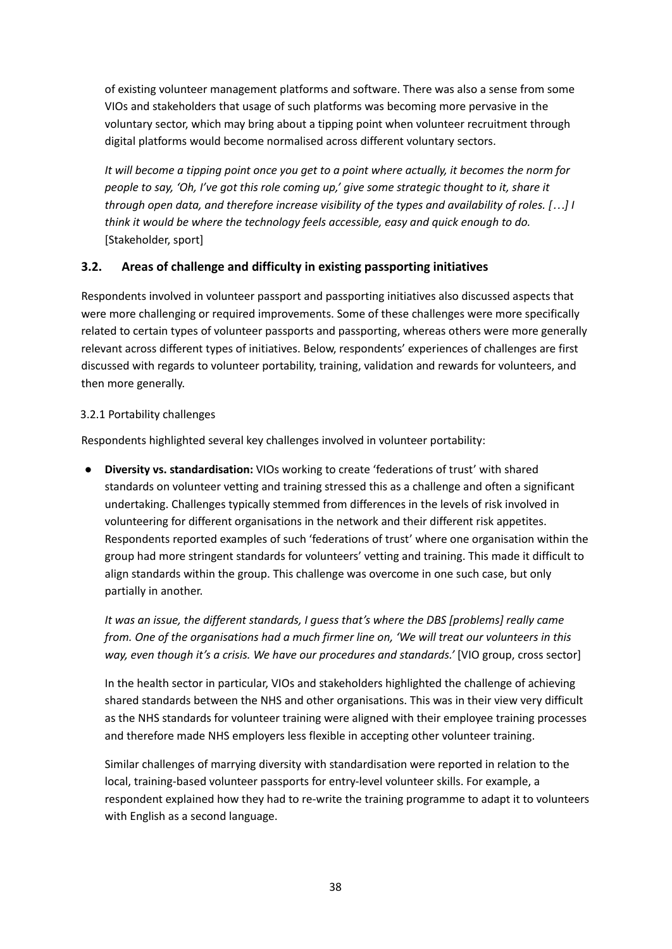of existing volunteer management platforms and software. There was also a sense from some VIOs and stakeholders that usage of such platforms was becoming more pervasive in the voluntary sector, which may bring about a tipping point when volunteer recruitment through digital platforms would become normalised across different voluntary sectors.

It will become a tipping point once you get to a point where actually, it becomes the norm for *people to say, 'Oh, I've got this role coming up,' give some strategic thought to it, share it through open data, and therefore increase visibility of the types and availability of roles. […] I think it would be where the technology feels accessible, easy and quick enough to do.* [Stakeholder, sport]

# **3.2. Areas of challenge and difficulty in existing passporting initiatives**

Respondents involved in volunteer passport and passporting initiatives also discussed aspects that were more challenging or required improvements. Some of these challenges were more specifically related to certain types of volunteer passports and passporting, whereas others were more generally relevant across different types of initiatives. Below, respondents' experiences of challenges are first discussed with regards to volunteer portability, training, validation and rewards for volunteers, and then more generally.

## 3.2.1 Portability challenges

Respondents highlighted several key challenges involved in volunteer portability:

● **Diversity vs. standardisation:** VIOs working to create 'federations of trust' with shared standards on volunteer vetting and training stressed this as a challenge and often a significant undertaking. Challenges typically stemmed from differences in the levels of risk involved in volunteering for different organisations in the network and their different risk appetites. Respondents reported examples of such 'federations of trust' where one organisation within the group had more stringent standards for volunteers' vetting and training. This made it difficult to align standards within the group. This challenge was overcome in one such case, but only partially in another.

*It was an issue, the different standards, I guess that's where the DBS [problems] really came from. One of the organisations had a much firmer line on, 'We will treat our volunteers in this way, even though it's a crisis. We have our procedures and standards.'* [VIO group, cross sector]

In the health sector in particular, VIOs and stakeholders highlighted the challenge of achieving shared standards between the NHS and other organisations. This was in their view very difficult as the NHS standards for volunteer training were aligned with their employee training processes and therefore made NHS employers less flexible in accepting other volunteer training.

Similar challenges of marrying diversity with standardisation were reported in relation to the local, training-based volunteer passports for entry-level volunteer skills. For example, a respondent explained how they had to re-write the training programme to adapt it to volunteers with English as a second language.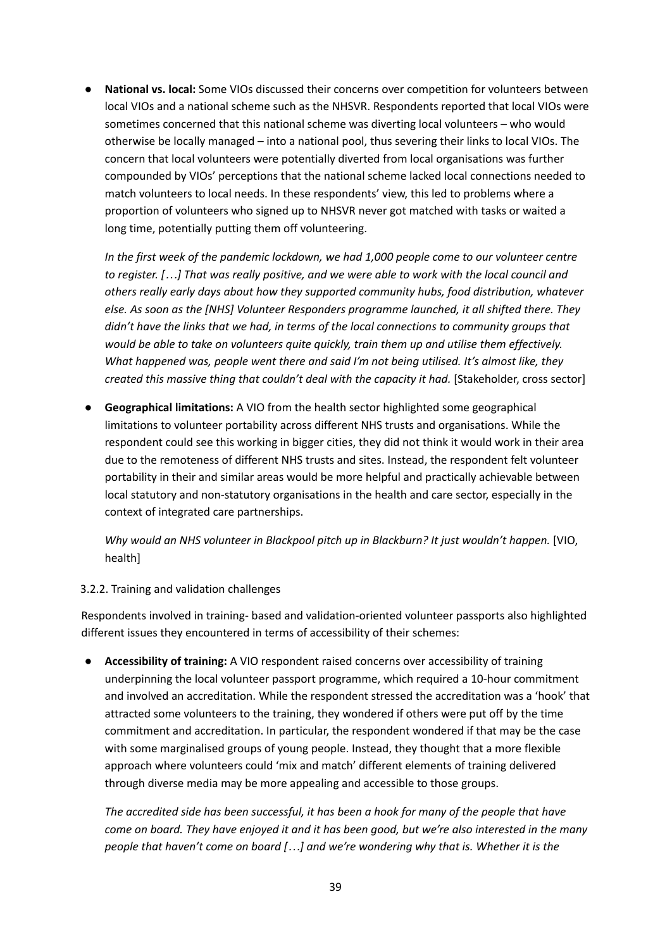● **National vs. local:** Some VIOs discussed their concerns over competition for volunteers between local VIOs and a national scheme such as the NHSVR. Respondents reported that local VIOs were sometimes concerned that this national scheme was diverting local volunteers – who would otherwise be locally managed – into a national pool, thus severing their links to local VIOs. The concern that local volunteers were potentially diverted from local organisations was further compounded by VIOs' perceptions that the national scheme lacked local connections needed to match volunteers to local needs. In these respondents' view, this led to problems where a proportion of volunteers who signed up to NHSVR never got matched with tasks or waited a long time, potentially putting them off volunteering.

*In the first week of the pandemic lockdown, we had 1,000 people come to our volunteer centre* to register. [...] That was really positive, and we were able to work with the local council and *others really early days about how they supported community hubs, food distribution, whatever else. As soon as the [NHS] Volunteer Responders programme launched, it all shifted there. They didn't have the links that we had, in terms of the local connections to community groups that would be able to take on volunteers quite quickly, train them up and utilise them effectively. What happened was, people went there and said I'm not being utilised. It's almost like, they created this massive thing that couldn't deal with the capacity it had.* [Stakeholder, cross sector]

**● Geographical limitations:** A VIO from the health sector highlighted some geographical limitations to volunteer portability across different NHS trusts and organisations. While the respondent could see this working in bigger cities, they did not think it would work in their area due to the remoteness of different NHS trusts and sites. Instead, the respondent felt volunteer portability in their and similar areas would be more helpful and practically achievable between local statutory and non-statutory organisations in the health and care sector, especially in the context of integrated care partnerships.

*Why would an NHS volunteer in Blackpool pitch up in Blackburn? It just wouldn't happen.* [VIO, health]

#### 3.2.2. Training and validation challenges

Respondents involved in training- based and validation-oriented volunteer passports also highlighted different issues they encountered in terms of accessibility of their schemes:

● **Accessibility of training:** A VIO respondent raised concerns over accessibility of training underpinning the local volunteer passport programme, which required a 10-hour commitment and involved an accreditation. While the respondent stressed the accreditation was a 'hook' that attracted some volunteers to the training, they wondered if others were put off by the time commitment and accreditation. In particular, the respondent wondered if that may be the case with some marginalised groups of young people. Instead, they thought that a more flexible approach where volunteers could 'mix and match' different elements of training delivered through diverse media may be more appealing and accessible to those groups.

*The accredited side has been successful, it has been a hook for many of the people that have* come on board. They have enjoyed it and it has been good, but we're also interested in the many *people that haven't come on board […] and we're wondering why that is. Whether it is the*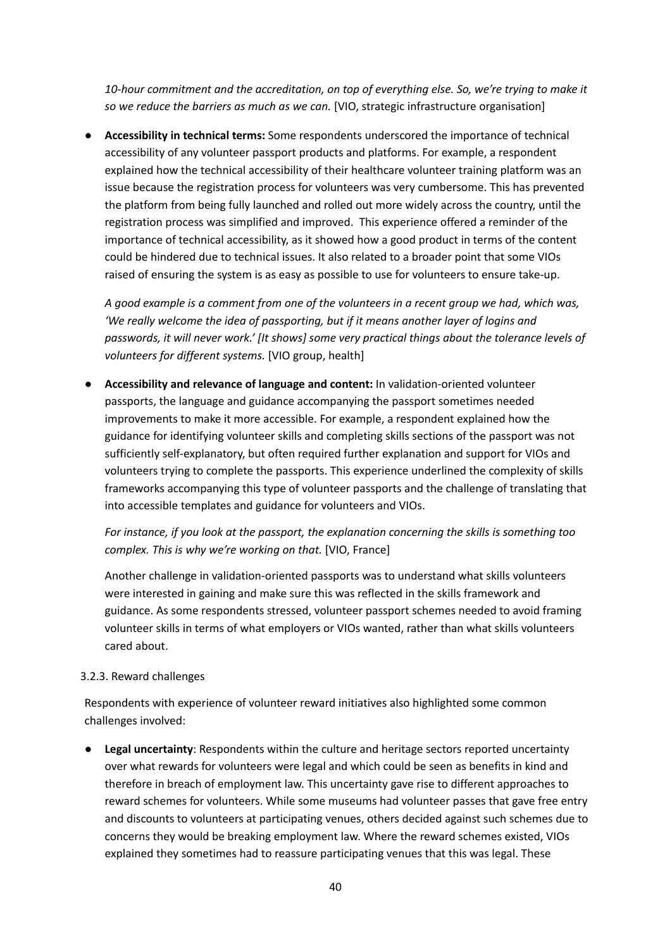*10-hour commitment and the accreditation, on top of everything else. So, we're trying to make it so we reduce the barriers as much as we can.* [VIO, strategic infrastructure organisation]

● **Accessibility in technical terms:** Some respondents underscored the importance of technical accessibility of any volunteer passport products and platforms. For example, a respondent explained how the technical accessibility of their healthcare volunteer training platform was an issue because the registration process for volunteers was very cumbersome. This has prevented the platform from being fully launched and rolled out more widely across the country, until the registration process was simplified and improved. This experience offered a reminder of the importance of technical accessibility, as it showed how a good product in terms of the content could be hindered due to technical issues. It also related to a broader point that some VIOs raised of ensuring the system is as easy as possible to use for volunteers to ensure take-up.

*A good example is a comment from one of the volunteers in a recent group we had, which was, 'We really welcome the idea of passporting, but if it means another layer of logins and passwords, it will never work.' [It shows] some very practical things about the tolerance levels of volunteers for different systems.* [VIO group, health]

● **Accessibility and relevance of language and content:** In validation-oriented volunteer passports, the language and guidance accompanying the passport sometimes needed improvements to make it more accessible. For example, a respondent explained how the guidance for identifying volunteer skills and completing skills sections of the passport was not sufficiently self-explanatory, but often required further explanation and support for VIOs and volunteers trying to complete the passports. This experience underlined the complexity of skills frameworks accompanying this type of volunteer passports and the challenge of translating that into accessible templates and guidance for volunteers and VIOs.

*For instance, if you look at the passport, the explanation concerning the skills is something too complex. This is why we're working on that.* [VIO, France]

Another challenge in validation-oriented passports was to understand what skills volunteers were interested in gaining and make sure this was reflected in the skills framework and guidance. As some respondents stressed, volunteer passport schemes needed to avoid framing volunteer skills in terms of what employers or VIOs wanted, rather than what skills volunteers cared about.

#### 3.2.3. Reward challenges

Respondents with experience of volunteer reward initiatives also highlighted some common challenges involved:

● **Legal uncertainty**: Respondents within the culture and heritage sectors reported uncertainty over what rewards for volunteers were legal and which could be seen as benefits in kind and therefore in breach of employment law. This uncertainty gave rise to different approaches to reward schemes for volunteers. While some museums had volunteer passes that gave free entry and discounts to volunteers at participating venues, others decided against such schemes due to concerns they would be breaking employment law. Where the reward schemes existed, VIOs explained they sometimes had to reassure participating venues that this was legal. These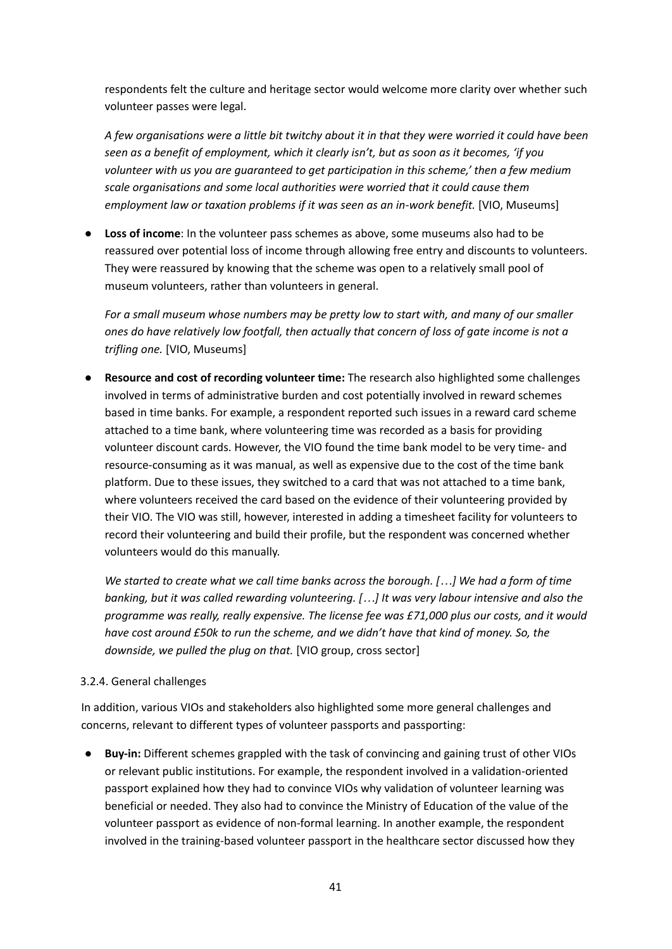respondents felt the culture and heritage sector would welcome more clarity over whether such volunteer passes were legal.

A few organisations were a little bit twitchy about it in that they were worried it could have been *seen as a benefit of employment, which it clearly isn't, but as soon as it becomes, 'if you volunteer with us you are guaranteed to get participation in this scheme,' then a few medium scale organisations and some local authorities were worried that it could cause them employment law or taxation problems if it was seen as an in-work benefit.* [VIO, Museums]

● **Loss of income**: In the volunteer pass schemes as above, some museums also had to be reassured over potential loss of income through allowing free entry and discounts to volunteers. They were reassured by knowing that the scheme was open to a relatively small pool of museum volunteers, rather than volunteers in general.

*For a small museum whose numbers may be pretty low to start with, and many of our smaller ones do have relatively low footfall, then actually that concern of loss of gate income is not a trifling one.* [VIO, Museums]

● **Resource and cost of recording volunteer time:** The research also highlighted some challenges involved in terms of administrative burden and cost potentially involved in reward schemes based in time banks. For example, a respondent reported such issues in a reward card scheme attached to a time bank, where volunteering time was recorded as a basis for providing volunteer discount cards. However, the VIO found the time bank model to be very time- and resource-consuming as it was manual, as well as expensive due to the cost of the time bank platform. Due to these issues, they switched to a card that was not attached to a time bank, where volunteers received the card based on the evidence of their volunteering provided by their VIO. The VIO was still, however, interested in adding a timesheet facility for volunteers to record their volunteering and build their profile, but the respondent was concerned whether volunteers would do this manually.

We started to create what we call time banks across the borough. [...] We had a form of time *banking, but it was called rewarding volunteering. […] It was very labour intensive and also the programme was really, really expensive. The license fee was £71,000 plus our costs, and it would have cost around £50k to run the scheme, and we didn't have that kind of money. So, the downside, we pulled the plug on that.* [VIO group, cross sector]

#### 3.2.4. General challenges

In addition, various VIOs and stakeholders also highlighted some more general challenges and concerns, relevant to different types of volunteer passports and passporting:

● **Buy-in:** Different schemes grappled with the task of convincing and gaining trust of other VIOs or relevant public institutions. For example, the respondent involved in a validation-oriented passport explained how they had to convince VIOs why validation of volunteer learning was beneficial or needed. They also had to convince the Ministry of Education of the value of the volunteer passport as evidence of non-formal learning. In another example, the respondent involved in the training-based volunteer passport in the healthcare sector discussed how they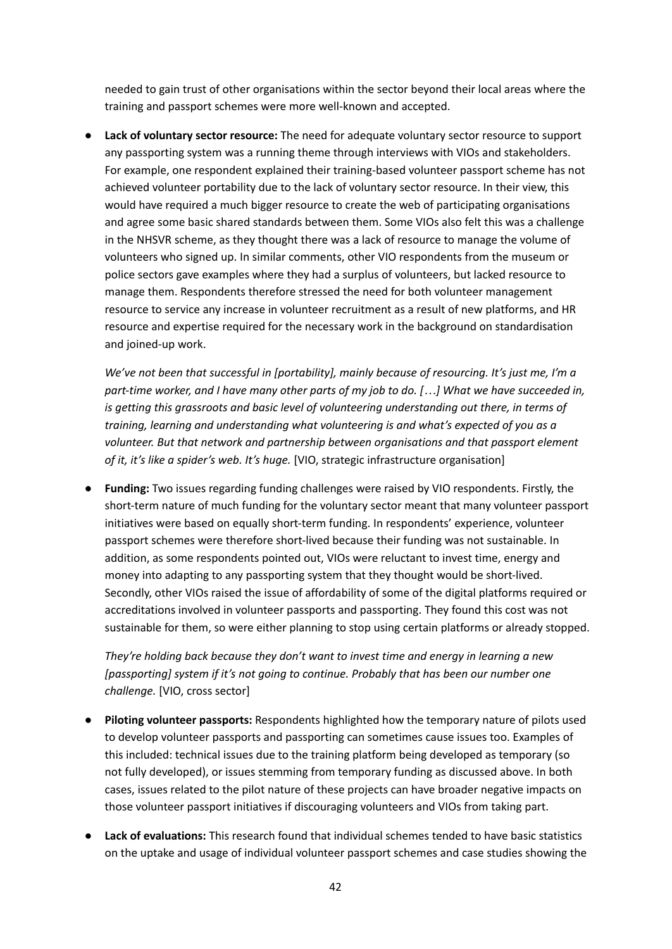needed to gain trust of other organisations within the sector beyond their local areas where the training and passport schemes were more well-known and accepted.

● **Lack of voluntary sector resource:** The need for adequate voluntary sector resource to support any passporting system was a running theme through interviews with VIOs and stakeholders. For example, one respondent explained their training-based volunteer passport scheme has not achieved volunteer portability due to the lack of voluntary sector resource. In their view, this would have required a much bigger resource to create the web of participating organisations and agree some basic shared standards between them. Some VIOs also felt this was a challenge in the NHSVR scheme, as they thought there was a lack of resource to manage the volume of volunteers who signed up. In similar comments, other VIO respondents from the museum or police sectors gave examples where they had a surplus of volunteers, but lacked resource to manage them. Respondents therefore stressed the need for both volunteer management resource to service any increase in volunteer recruitment as a result of new platforms, and HR resource and expertise required for the necessary work in the background on standardisation and joined-up work.

*We've not been that successful in [portability], mainly because of resourcing. It's just me, I'm a* part-time worker, and I have many other parts of my job to do. [...] What we have succeeded in, *is getting this grassroots and basic level of volunteering understanding out there, in terms of training, learning and understanding what volunteering is and what's expected of you as a volunteer. But that network and partnership between organisations and that passport element of it, it's like a spider's web. It's huge.* [VIO, strategic infrastructure organisation]

● **Funding:** Two issues regarding funding challenges were raised by VIO respondents. Firstly, the short-term nature of much funding for the voluntary sector meant that many volunteer passport initiatives were based on equally short-term funding. In respondents' experience, volunteer passport schemes were therefore short-lived because their funding was not sustainable. In addition, as some respondents pointed out, VIOs were reluctant to invest time, energy and money into adapting to any passporting system that they thought would be short-lived. Secondly, other VIOs raised the issue of affordability of some of the digital platforms required or accreditations involved in volunteer passports and passporting. They found this cost was not sustainable for them, so were either planning to stop using certain platforms or already stopped.

*They're holding back because they don't want to invest time and energy in learning a new [passporting] system if it's not going to continue. Probably that has been our number one challenge.* [VIO, cross sector]

- **Piloting volunteer passports:** Respondents highlighted how the temporary nature of pilots used to develop volunteer passports and passporting can sometimes cause issues too. Examples of this included: technical issues due to the training platform being developed as temporary (so not fully developed), or issues stemming from temporary funding as discussed above. In both cases, issues related to the pilot nature of these projects can have broader negative impacts on those volunteer passport initiatives if discouraging volunteers and VIOs from taking part.
- **Lack of evaluations:** This research found that individual schemes tended to have basic statistics on the uptake and usage of individual volunteer passport schemes and case studies showing the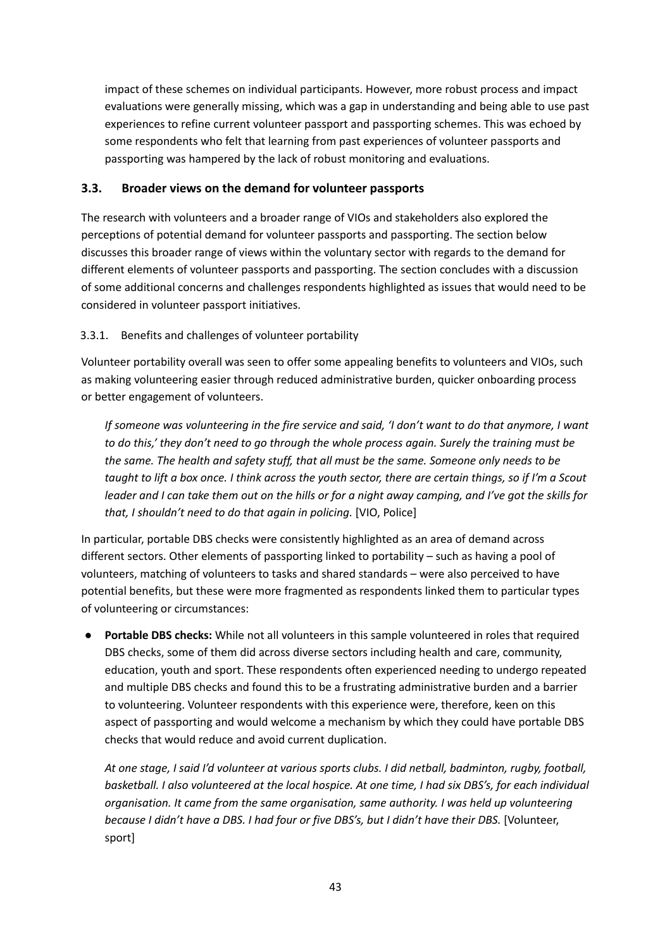impact of these schemes on individual participants. However, more robust process and impact evaluations were generally missing, which was a gap in understanding and being able to use past experiences to refine current volunteer passport and passporting schemes. This was echoed by some respondents who felt that learning from past experiences of volunteer passports and passporting was hampered by the lack of robust monitoring and evaluations.

## **3.3. Broader views on the demand for volunteer passports**

The research with volunteers and a broader range of VIOs and stakeholders also explored the perceptions of potential demand for volunteer passports and passporting. The section below discusses this broader range of views within the voluntary sector with regards to the demand for different elements of volunteer passports and passporting. The section concludes with a discussion of some additional concerns and challenges respondents highlighted as issues that would need to be considered in volunteer passport initiatives.

## 3.3.1. Benefits and challenges of volunteer portability

Volunteer portability overall was seen to offer some appealing benefits to volunteers and VIOs, such as making volunteering easier through reduced administrative burden, quicker onboarding process or better engagement of volunteers.

If someone was volunteering in the fire service and said, 'I don't want to do that anymore, I want *to do this,' they don't need to go through the whole process again. Surely the training must be the same. The health and safety stuff, that all must be the same. Someone only needs to be* taught to lift a box once. I think across the youth sector, there are certain things, so if I'm a Scout leader and I can take them out on the hills or for a night away camping, and I've got the skills for *that, I shouldn't need to do that again in policing.* [VIO, Police]

In particular, portable DBS checks were consistently highlighted as an area of demand across different sectors. Other elements of passporting linked to portability – such as having a pool of volunteers, matching of volunteers to tasks and shared standards – were also perceived to have potential benefits, but these were more fragmented as respondents linked them to particular types of volunteering or circumstances:

● **Portable DBS checks:** While not all volunteers in this sample volunteered in roles that required DBS checks, some of them did across diverse sectors including health and care, community, education, youth and sport. These respondents often experienced needing to undergo repeated and multiple DBS checks and found this to be a frustrating administrative burden and a barrier to volunteering. Volunteer respondents with this experience were, therefore, keen on this aspect of passporting and would welcome a mechanism by which they could have portable DBS checks that would reduce and avoid current duplication.

*At one stage, I said I'd volunteer at various sports clubs. I did netball, badminton, rugby, football,* basketball. I also volunteered at the local hospice. At one time, I had six DBS's, for each individual *organisation. It came from the same organisation, same authority. I was held up volunteering because I didn't have a DBS. I had four or five DBS's, but I didn't have their DBS.* [Volunteer, sport]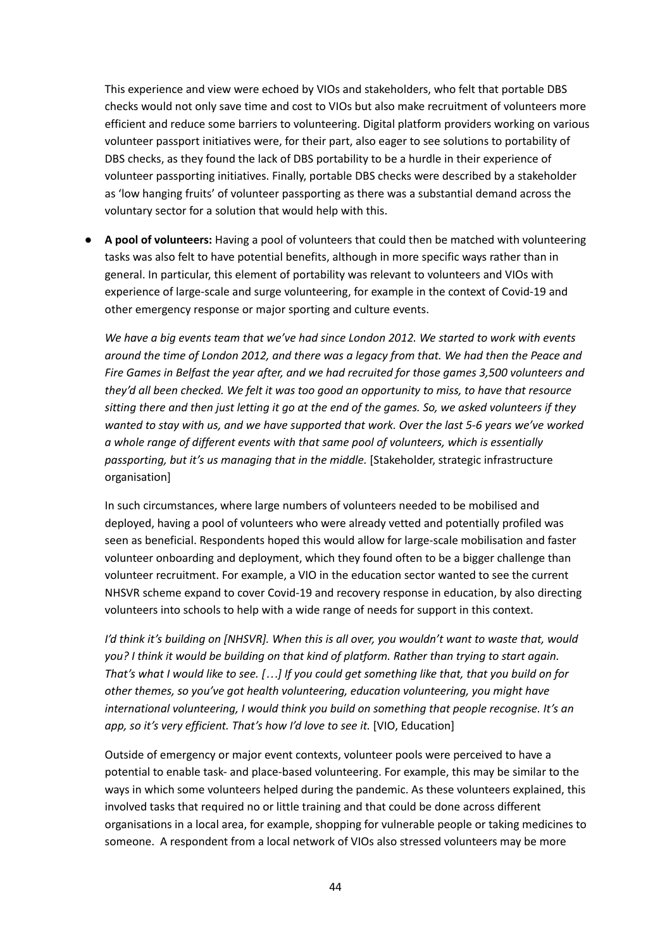This experience and view were echoed by VIOs and stakeholders, who felt that portable DBS checks would not only save time and cost to VIOs but also make recruitment of volunteers more efficient and reduce some barriers to volunteering. Digital platform providers working on various volunteer passport initiatives were, for their part, also eager to see solutions to portability of DBS checks, as they found the lack of DBS portability to be a hurdle in their experience of volunteer passporting initiatives. Finally, portable DBS checks were described by a stakeholder as 'low hanging fruits' of volunteer passporting as there was a substantial demand across the voluntary sector for a solution that would help with this.

● **A pool of volunteers:** Having a pool of volunteers that could then be matched with volunteering tasks was also felt to have potential benefits, although in more specific ways rather than in general. In particular, this element of portability was relevant to volunteers and VIOs with experience of large-scale and surge volunteering, for example in the context of Covid-19 and other emergency response or major sporting and culture events.

*We have a big events team that we've had since London 2012. We started to work with events around the time of London 2012, and there was a legacy from that. We had then the Peace and Fire Games in Belfast the year after, and we had recruited for those games 3,500 volunteers and they'd all been checked. We felt it was too good an opportunity to miss, to have that resource* sitting there and then just letting it go at the end of the games. So, we asked volunteers if they *wanted to stay with us, and we have supported that work. Over the last 5-6 years we've worked a whole range of different events with that same pool of volunteers, which is essentially passporting, but it's us managing that in the middle.* [Stakeholder, strategic infrastructure organisation]

In such circumstances, where large numbers of volunteers needed to be mobilised and deployed, having a pool of volunteers who were already vetted and potentially profiled was seen as beneficial. Respondents hoped this would allow for large-scale mobilisation and faster volunteer onboarding and deployment, which they found often to be a bigger challenge than volunteer recruitment. For example, a VIO in the education sector wanted to see the current NHSVR scheme expand to cover Covid-19 and recovery response in education, by also directing volunteers into schools to help with a wide range of needs for support in this context.

*I'd think it's building on [NHSVR]. When this is all over, you wouldn't want to waste that, would you? I think it would be building on that kind of platform. Rather than trying to start again.* That's what I would like to see. [...] If you could get something like that, that you build on for *other themes, so you've got health volunteering, education volunteering, you might have international volunteering, I would think you build on something that people recognise. It's an app, so it's very efficient. That's how I'd love to see it.* [VIO, Education]

Outside of emergency or major event contexts, volunteer pools were perceived to have a potential to enable task- and place-based volunteering. For example, this may be similar to the ways in which some volunteers helped during the pandemic. As these volunteers explained, this involved tasks that required no or little training and that could be done across different organisations in a local area, for example, shopping for vulnerable people or taking medicines to someone. A respondent from a local network of VIOs also stressed volunteers may be more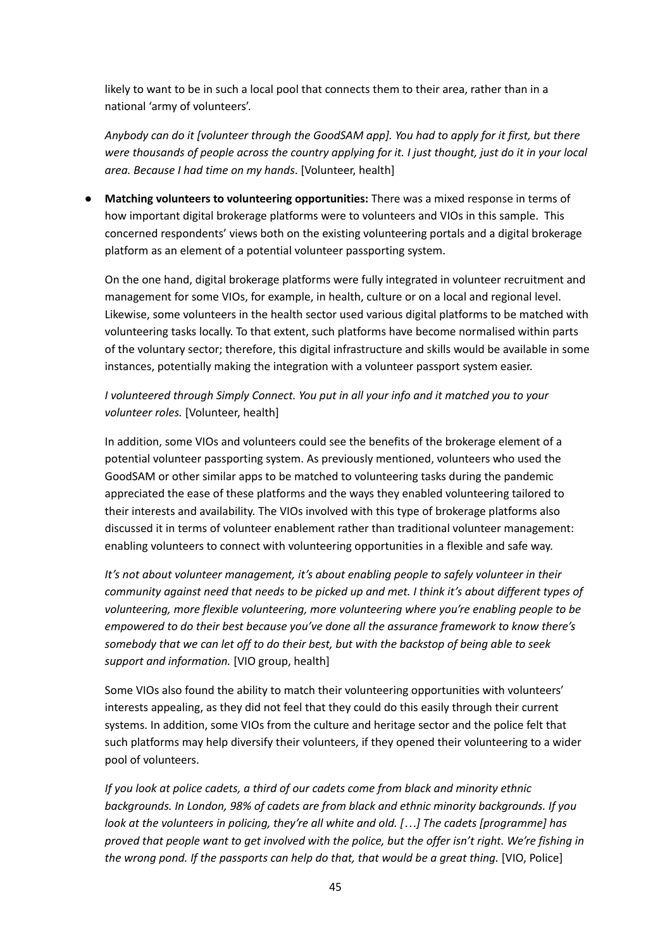likely to want to be in such a local pool that connects them to their area, rather than in a national 'army of volunteers'.

*Anybody can do it [volunteer through the GoodSAM app]. You had to apply for it first, but there* were thousands of people across the country applying for it. I just thought, just do it in your local *area. Because I had time on my hands*. [Volunteer, health]

● **Matching volunteers to volunteering opportunities:** There was a mixed response in terms of how important digital brokerage platforms were to volunteers and VIOs in this sample. This concerned respondents' views both on the existing volunteering portals and a digital brokerage platform as an element of a potential volunteer passporting system.

On the one hand, digital brokerage platforms were fully integrated in volunteer recruitment and management for some VIOs, for example, in health, culture or on a local and regional level. Likewise, some volunteers in the health sector used various digital platforms to be matched with volunteering tasks locally. To that extent, such platforms have become normalised within parts of the voluntary sector; therefore, this digital infrastructure and skills would be available in some instances, potentially making the integration with a volunteer passport system easier.

# *I volunteered through Simply Connect. You put in all your info and it matched you to your volunteer roles.* [Volunteer, health]

In addition, some VIOs and volunteers could see the benefits of the brokerage element of a potential volunteer passporting system. As previously mentioned, volunteers who used the GoodSAM or other similar apps to be matched to volunteering tasks during the pandemic appreciated the ease of these platforms and the ways they enabled volunteering tailored to their interests and availability. The VIOs involved with this type of brokerage platforms also discussed it in terms of volunteer enablement rather than traditional volunteer management: enabling volunteers to connect with volunteering opportunities in a flexible and safe way.

*It's not about volunteer management, it's about enabling people to safely volunteer in their community against need that needs to be picked up and met. I think it's about different types of volunteering, more flexible volunteering, more volunteering where you're enabling people to be empowered to do their best because you've done all the assurance framework to know there's somebody that we can let off to do their best, but with the backstop of being able to seek support and information.* [VIO group, health]

Some VIOs also found the ability to match their volunteering opportunities with volunteers' interests appealing, as they did not feel that they could do this easily through their current systems. In addition, some VIOs from the culture and heritage sector and the police felt that such platforms may help diversify their volunteers, if they opened their volunteering to a wider pool of volunteers.

*If you look at police cadets, a third of our cadets come from black and minority ethnic backgrounds. In London, 98% of cadets are from black and ethnic minority backgrounds. If you look at the volunteers in policing, they're all white and old. […] The cadets [programme] has* proved that people want to get involved with the police, but the offer isn't right. We're fishing in *the wrong pond. If the passports can help do that, that would be a great thing.* [VIO, Police]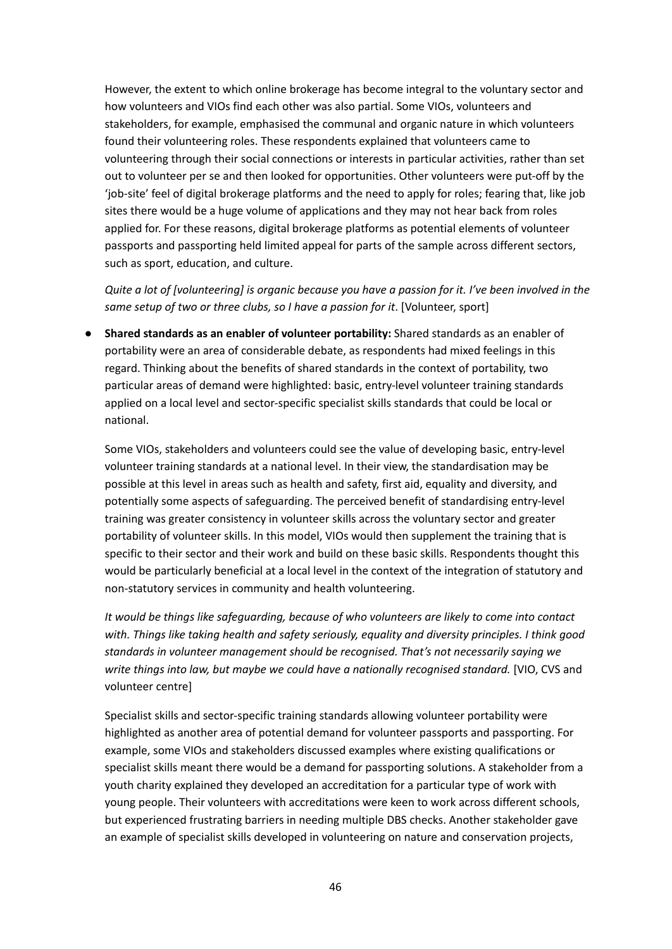However, the extent to which online brokerage has become integral to the voluntary sector and how volunteers and VIOs find each other was also partial. Some VIOs, volunteers and stakeholders, for example, emphasised the communal and organic nature in which volunteers found their volunteering roles. These respondents explained that volunteers came to volunteering through their social connections or interests in particular activities, rather than set out to volunteer per se and then looked for opportunities. Other volunteers were put-off by the 'job-site' feel of digital brokerage platforms and the need to apply for roles; fearing that, like job sites there would be a huge volume of applications and they may not hear back from roles applied for. For these reasons, digital brokerage platforms as potential elements of volunteer passports and passporting held limited appeal for parts of the sample across different sectors, such as sport, education, and culture.

Quite a lot of [volunteering] is organic because you have a passion for it. I've been involved in the *same setup of two or three clubs, so I have a passion for it*. [Volunteer, sport]

**● Shared standards as an enabler of volunteer portability:** Shared standards as an enabler of portability were an area of considerable debate, as respondents had mixed feelings in this regard. Thinking about the benefits of shared standards in the context of portability, two particular areas of demand were highlighted: basic, entry-level volunteer training standards applied on a local level and sector-specific specialist skills standards that could be local or national.

Some VIOs, stakeholders and volunteers could see the value of developing basic, entry-level volunteer training standards at a national level. In their view, the standardisation may be possible at this level in areas such as health and safety, first aid, equality and diversity, and potentially some aspects of safeguarding. The perceived benefit of standardising entry-level training was greater consistency in volunteer skills across the voluntary sector and greater portability of volunteer skills. In this model, VIOs would then supplement the training that is specific to their sector and their work and build on these basic skills. Respondents thought this would be particularly beneficial at a local level in the context of the integration of statutory and non-statutory services in community and health volunteering.

*It would be things like safeguarding, because of who volunteers are likely to come into contact with. Things like taking health and safety seriously, equality and diversity principles. I think good standards in volunteer management should be recognised. That's not necessarily saying we write things into law, but maybe we could have a nationally recognised standard.* [VIO, CVS and volunteer centre]

Specialist skills and sector-specific training standards allowing volunteer portability were highlighted as another area of potential demand for volunteer passports and passporting. For example, some VIOs and stakeholders discussed examples where existing qualifications or specialist skills meant there would be a demand for passporting solutions. A stakeholder from a youth charity explained they developed an accreditation for a particular type of work with young people. Their volunteers with accreditations were keen to work across different schools, but experienced frustrating barriers in needing multiple DBS checks. Another stakeholder gave an example of specialist skills developed in volunteering on nature and conservation projects,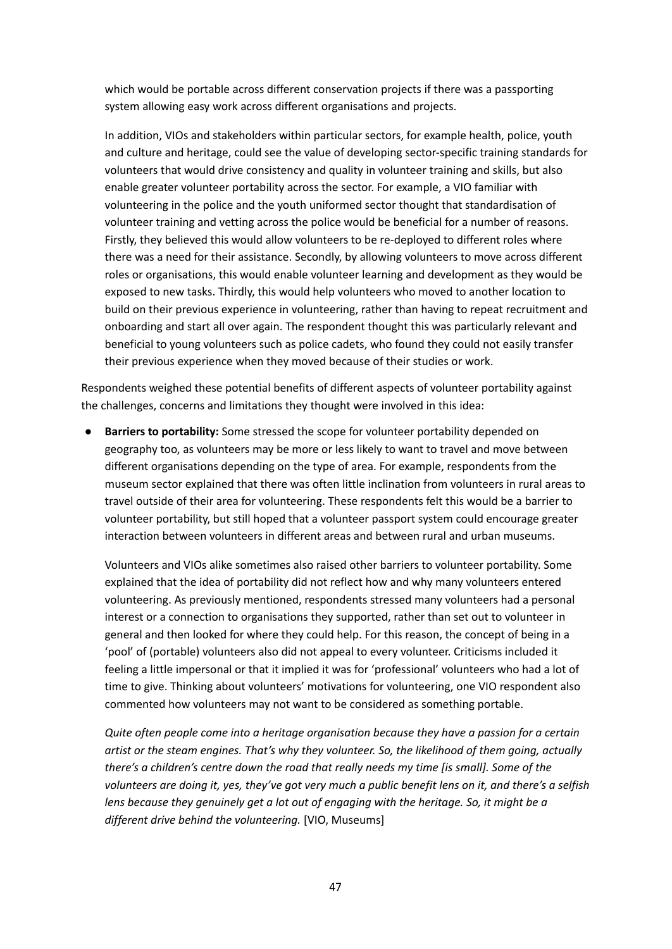which would be portable across different conservation projects if there was a passporting system allowing easy work across different organisations and projects.

In addition, VIOs and stakeholders within particular sectors, for example health, police, youth and culture and heritage, could see the value of developing sector-specific training standards for volunteers that would drive consistency and quality in volunteer training and skills, but also enable greater volunteer portability across the sector. For example, a VIO familiar with volunteering in the police and the youth uniformed sector thought that standardisation of volunteer training and vetting across the police would be beneficial for a number of reasons. Firstly, they believed this would allow volunteers to be re-deployed to different roles where there was a need for their assistance. Secondly, by allowing volunteers to move across different roles or organisations, this would enable volunteer learning and development as they would be exposed to new tasks. Thirdly, this would help volunteers who moved to another location to build on their previous experience in volunteering, rather than having to repeat recruitment and onboarding and start all over again. The respondent thought this was particularly relevant and beneficial to young volunteers such as police cadets, who found they could not easily transfer their previous experience when they moved because of their studies or work.

Respondents weighed these potential benefits of different aspects of volunteer portability against the challenges, concerns and limitations they thought were involved in this idea:

● **Barriers to portability:** Some stressed the scope for volunteer portability depended on geography too, as volunteers may be more or less likely to want to travel and move between different organisations depending on the type of area. For example, respondents from the museum sector explained that there was often little inclination from volunteers in rural areas to travel outside of their area for volunteering. These respondents felt this would be a barrier to volunteer portability, but still hoped that a volunteer passport system could encourage greater interaction between volunteers in different areas and between rural and urban museums.

Volunteers and VIOs alike sometimes also raised other barriers to volunteer portability. Some explained that the idea of portability did not reflect how and why many volunteers entered volunteering. As previously mentioned, respondents stressed many volunteers had a personal interest or a connection to organisations they supported, rather than set out to volunteer in general and then looked for where they could help. For this reason, the concept of being in a 'pool' of (portable) volunteers also did not appeal to every volunteer. Criticisms included it feeling a little impersonal or that it implied it was for 'professional' volunteers who had a lot of time to give. Thinking about volunteers' motivations for volunteering, one VIO respondent also commented how volunteers may not want to be considered as something portable.

*Quite often people come into a heritage organisation because they have a passion for a certain artist or the steam engines. That's why they volunteer. So, the likelihood of them going, actually there's a children's centre down the road that really needs my time [is small]. Some of the* volunteers are doing it, yes, they've got very much a public benefit lens on it, and there's a selfish *lens because they genuinely get a lot out of engaging with the heritage. So, it might be a different drive behind the volunteering.* [VIO, Museums]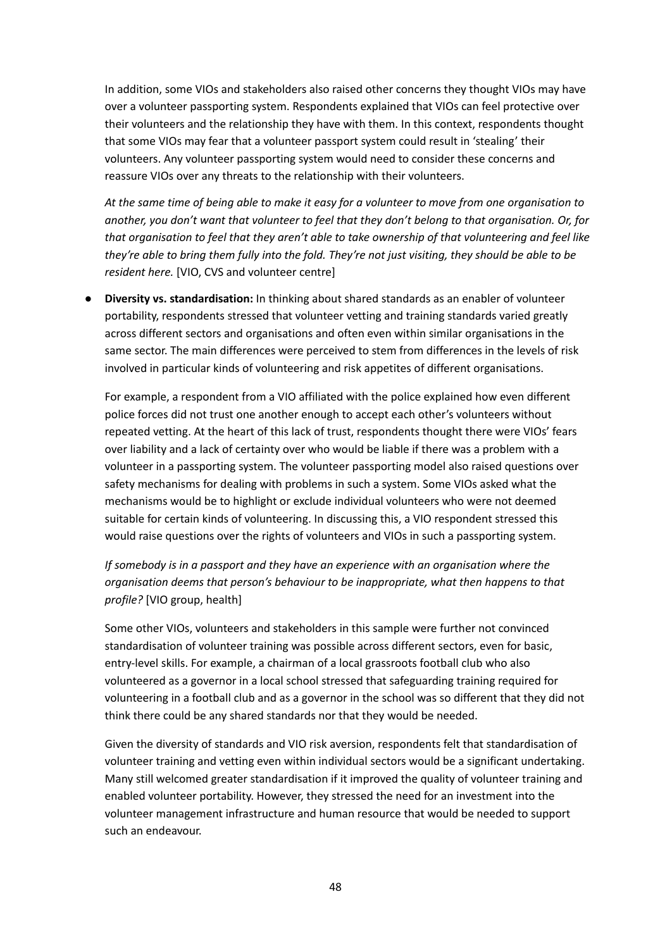In addition, some VIOs and stakeholders also raised other concerns they thought VIOs may have over a volunteer passporting system. Respondents explained that VIOs can feel protective over their volunteers and the relationship they have with them. In this context, respondents thought that some VIOs may fear that a volunteer passport system could result in 'stealing' their volunteers. Any volunteer passporting system would need to consider these concerns and reassure VIOs over any threats to the relationship with their volunteers.

At the same time of being able to make it easy for a volunteer to move from one organisation to *another, you don't want that volunteer to feel that they don't belong to that organisation. Or, for that organisation to feel that they aren't able to take ownership of that volunteering and feel like* they're able to bring them fully into the fold. They're not just visiting, they should be able to be *resident here.* [VIO, CVS and volunteer centre]

● **Diversity vs. standardisation:** In thinking about shared standards as an enabler of volunteer portability, respondents stressed that volunteer vetting and training standards varied greatly across different sectors and organisations and often even within similar organisations in the same sector. The main differences were perceived to stem from differences in the levels of risk involved in particular kinds of volunteering and risk appetites of different organisations.

For example, a respondent from a VIO affiliated with the police explained how even different police forces did not trust one another enough to accept each other's volunteers without repeated vetting. At the heart of this lack of trust, respondents thought there were VIOs' fears over liability and a lack of certainty over who would be liable if there was a problem with a volunteer in a passporting system. The volunteer passporting model also raised questions over safety mechanisms for dealing with problems in such a system. Some VIOs asked what the mechanisms would be to highlight or exclude individual volunteers who were not deemed suitable for certain kinds of volunteering. In discussing this, a VIO respondent stressed this would raise questions over the rights of volunteers and VIOs in such a passporting system.

*If somebody is in a passport and they have an experience with an organisation where the organisation deems that person's behaviour to be inappropriate, what then happens to that profile?* [VIO group, health]

Some other VIOs, volunteers and stakeholders in this sample were further not convinced standardisation of volunteer training was possible across different sectors, even for basic, entry-level skills. For example, a chairman of a local grassroots football club who also volunteered as a governor in a local school stressed that safeguarding training required for volunteering in a football club and as a governor in the school was so different that they did not think there could be any shared standards nor that they would be needed.

Given the diversity of standards and VIO risk aversion, respondents felt that standardisation of volunteer training and vetting even within individual sectors would be a significant undertaking. Many still welcomed greater standardisation if it improved the quality of volunteer training and enabled volunteer portability. However, they stressed the need for an investment into the volunteer management infrastructure and human resource that would be needed to support such an endeavour.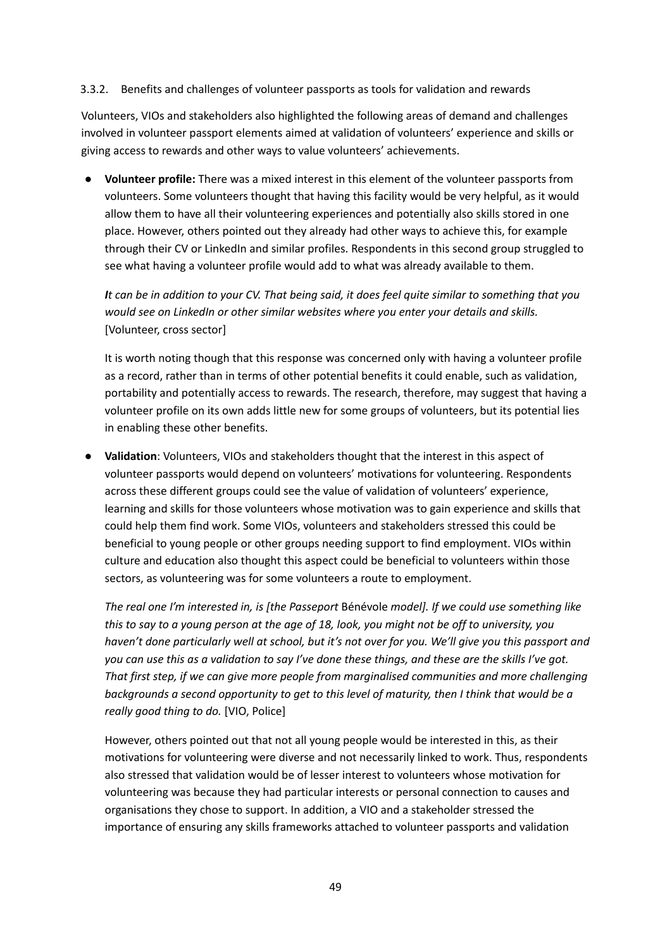#### 3.3.2. Benefits and challenges of volunteer passports as tools for validation and rewards

Volunteers, VIOs and stakeholders also highlighted the following areas of demand and challenges involved in volunteer passport elements aimed at validation of volunteers' experience and skills or giving access to rewards and other ways to value volunteers' achievements.

● **Volunteer profile:** There was a mixed interest in this element of the volunteer passports from volunteers. Some volunteers thought that having this facility would be very helpful, as it would allow them to have all their volunteering experiences and potentially also skills stored in one place. However, others pointed out they already had other ways to achieve this, for example through their CV or LinkedIn and similar profiles. Respondents in this second group struggled to see what having a volunteer profile would add to what was already available to them.

It can be in addition to your CV. That being said, it does feel quite similar to something that you *would see on LinkedIn or other similar websites where you enter your details and skills.* [Volunteer, cross sector]

It is worth noting though that this response was concerned only with having a volunteer profile as a record, rather than in terms of other potential benefits it could enable, such as validation, portability and potentially access to rewards. The research, therefore, may suggest that having a volunteer profile on its own adds little new for some groups of volunteers, but its potential lies in enabling these other benefits.

Validation: Volunteers, VIOs and stakeholders thought that the interest in this aspect of volunteer passports would depend on volunteers' motivations for volunteering. Respondents across these different groups could see the value of validation of volunteers' experience, learning and skills for those volunteers whose motivation was to gain experience and skills that could help them find work. Some VIOs, volunteers and stakeholders stressed this could be beneficial to young people or other groups needing support to find employment. VIOs within culture and education also thought this aspect could be beneficial to volunteers within those sectors, as volunteering was for some volunteers a route to employment.

*The real one I'm interested in, is [the Passeport* Bénévole *model]. If we could use something like* this to say to a young person at the age of 18, look, you might not be off to university, you haven't done particularly well at school, but it's not over for you. We'll give you this passport and you can use this as a validation to say I've done these things, and these are the skills I've got. *That first step, if we can give more people from marginalised communities and more challenging backgrounds a second opportunity to get to this level of maturity, then I think that would be a really good thing to do.* [VIO, Police]

However, others pointed out that not all young people would be interested in this, as their motivations for volunteering were diverse and not necessarily linked to work. Thus, respondents also stressed that validation would be of lesser interest to volunteers whose motivation for volunteering was because they had particular interests or personal connection to causes and organisations they chose to support. In addition, a VIO and a stakeholder stressed the importance of ensuring any skills frameworks attached to volunteer passports and validation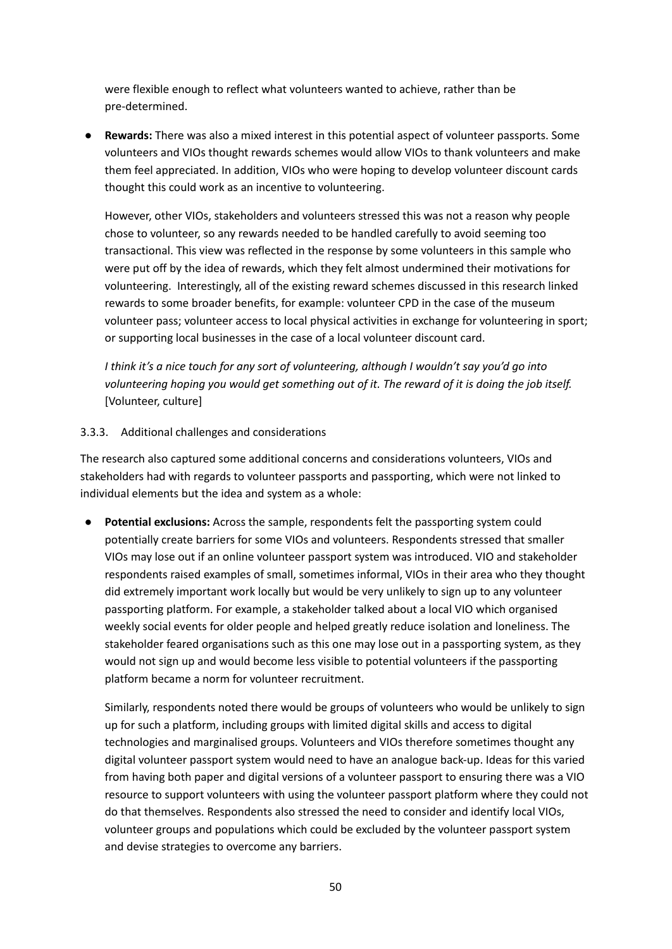were flexible enough to reflect what volunteers wanted to achieve, rather than be pre-determined.

● **Rewards:** There was also a mixed interest in this potential aspect of volunteer passports. Some volunteers and VIOs thought rewards schemes would allow VIOs to thank volunteers and make them feel appreciated. In addition, VIOs who were hoping to develop volunteer discount cards thought this could work as an incentive to volunteering.

However, other VIOs, stakeholders and volunteers stressed this was not a reason why people chose to volunteer, so any rewards needed to be handled carefully to avoid seeming too transactional. This view was reflected in the response by some volunteers in this sample who were put off by the idea of rewards, which they felt almost undermined their motivations for volunteering. Interestingly, all of the existing reward schemes discussed in this research linked rewards to some broader benefits, for example: volunteer CPD in the case of the museum volunteer pass; volunteer access to local physical activities in exchange for volunteering in sport; or supporting local businesses in the case of a local volunteer discount card.

*I think it's a nice touch for any sort of volunteering, although I wouldn't say you'd go into volunteering hoping you would get something out of it. The reward of it is doing the job itself.* [Volunteer, culture]

#### 3.3.3. Additional challenges and considerations

The research also captured some additional concerns and considerations volunteers, VIOs and stakeholders had with regards to volunteer passports and passporting, which were not linked to individual elements but the idea and system as a whole:

*●* **Potential exclusions:** Across the sample, respondents felt the passporting system could potentially create barriers for some VIOs and volunteers. Respondents stressed that smaller VIOs may lose out if an online volunteer passport system was introduced. VIO and stakeholder respondents raised examples of small, sometimes informal, VIOs in their area who they thought did extremely important work locally but would be very unlikely to sign up to any volunteer passporting platform. For example, a stakeholder talked about a local VIO which organised weekly social events for older people and helped greatly reduce isolation and loneliness. The stakeholder feared organisations such as this one may lose out in a passporting system, as they would not sign up and would become less visible to potential volunteers if the passporting platform became a norm for volunteer recruitment.

Similarly, respondents noted there would be groups of volunteers who would be unlikely to sign up for such a platform, including groups with limited digital skills and access to digital technologies and marginalised groups. Volunteers and VIOs therefore sometimes thought any digital volunteer passport system would need to have an analogue back-up. Ideas for this varied from having both paper and digital versions of a volunteer passport to ensuring there was a VIO resource to support volunteers with using the volunteer passport platform where they could not do that themselves. Respondents also stressed the need to consider and identify local VIOs, volunteer groups and populations which could be excluded by the volunteer passport system and devise strategies to overcome any barriers.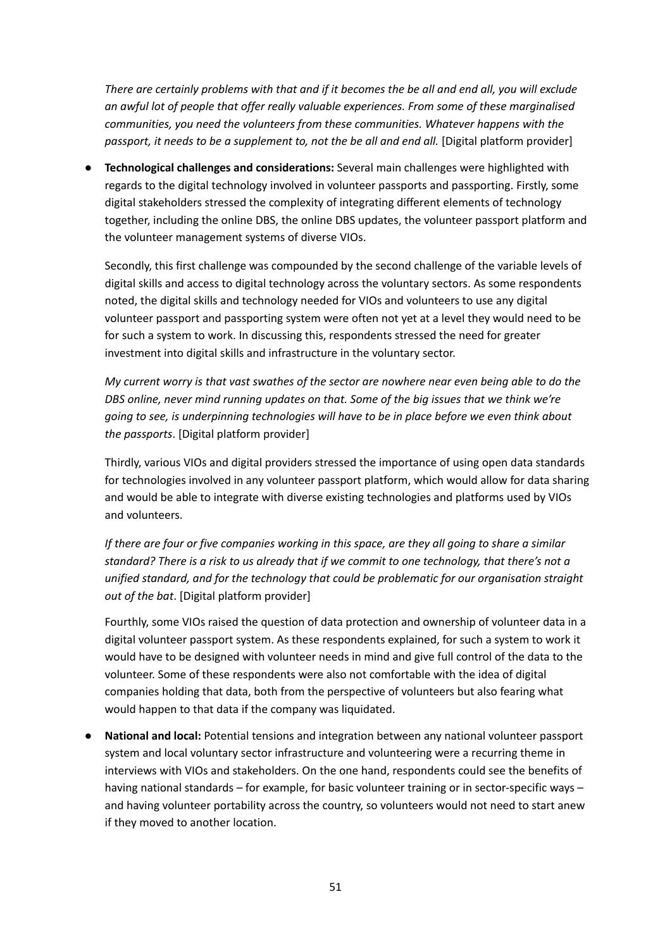There are certainly problems with that and if it becomes the be all and end all, you will exclude *an awful lot of people that offer really valuable experiences. From some of these marginalised communities, you need the volunteers from these communities. Whatever happens with the passport, it needs to be a supplement to, not the be all and end all.* [Digital platform provider]

**● Technological challenges and considerations:** Several main challenges were highlighted with regards to the digital technology involved in volunteer passports and passporting. Firstly, some digital stakeholders stressed the complexity of integrating different elements of technology together, including the online DBS, the online DBS updates, the volunteer passport platform and the volunteer management systems of diverse VIOs.

Secondly, this first challenge was compounded by the second challenge of the variable levels of digital skills and access to digital technology across the voluntary sectors. As some respondents noted, the digital skills and technology needed for VIOs and volunteers to use any digital volunteer passport and passporting system were often not yet at a level they would need to be for such a system to work. In discussing this, respondents stressed the need for greater investment into digital skills and infrastructure in the voluntary sector.

My current worry is that vast swathes of the sector are nowhere near even being able to do the *DBS online, never mind running updates on that. Some of the big issues that we think we're going to see, is underpinning technologies will have to be in place before we even think about the passports*. [Digital platform provider]

Thirdly, various VIOs and digital providers stressed the importance of using open data standards for technologies involved in any volunteer passport platform, which would allow for data sharing and would be able to integrate with diverse existing technologies and platforms used by VIOs and volunteers.

If there are four or five companies working in this space, are they all going to share a similar standard? There is a risk to us already that if we commit to one technology, that there's not a *unified standard, and for the technology that could be problematic for our organisation straight out of the bat*. [Digital platform provider]

Fourthly, some VIOs raised the question of data protection and ownership of volunteer data in a digital volunteer passport system. As these respondents explained, for such a system to work it would have to be designed with volunteer needs in mind and give full control of the data to the volunteer. Some of these respondents were also not comfortable with the idea of digital companies holding that data, both from the perspective of volunteers but also fearing what would happen to that data if the company was liquidated.

● **National and local:** Potential tensions and integration between any national volunteer passport system and local voluntary sector infrastructure and volunteering were a recurring theme in interviews with VIOs and stakeholders. On the one hand, respondents could see the benefits of having national standards – for example, for basic volunteer training or in sector-specific ways – and having volunteer portability across the country, so volunteers would not need to start anew if they moved to another location.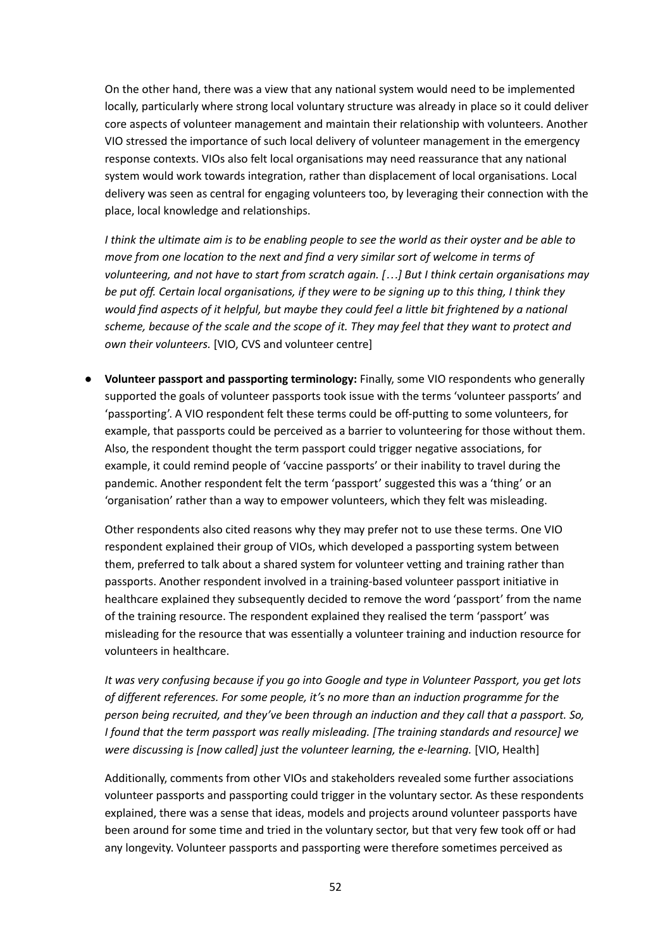On the other hand, there was a view that any national system would need to be implemented locally, particularly where strong local voluntary structure was already in place so it could deliver core aspects of volunteer management and maintain their relationship with volunteers. Another VIO stressed the importance of such local delivery of volunteer management in the emergency response contexts. VIOs also felt local organisations may need reassurance that any national system would work towards integration, rather than displacement of local organisations. Local delivery was seen as central for engaging volunteers too, by leveraging their connection with the place, local knowledge and relationships.

I think the ultimate aim is to be enabling people to see the world as their oyster and be able to *move from one location to the next and find a very similar sort of welcome in terms of volunteering, and not have to start from scratch again. […] But I think certain organisations may* be put off. Certain local organisations, if they were to be signing up to this thing, I think they *would find aspects of it helpful, but maybe they could feel a little bit frightened by a national* scheme, because of the scale and the scope of it. They may feel that they want to protect and *own their volunteers.* [VIO, CVS and volunteer centre]

● **Volunteer passport and passporting terminology:** Finally, some VIO respondents who generally supported the goals of volunteer passports took issue with the terms 'volunteer passports' and 'passporting'. A VIO respondent felt these terms could be off-putting to some volunteers, for example, that passports could be perceived as a barrier to volunteering for those without them. Also, the respondent thought the term passport could trigger negative associations, for example, it could remind people of 'vaccine passports' or their inability to travel during the pandemic. Another respondent felt the term 'passport' suggested this was a 'thing' or an 'organisation' rather than a way to empower volunteers, which they felt was misleading.

Other respondents also cited reasons why they may prefer not to use these terms. One VIO respondent explained their group of VIOs, which developed a passporting system between them, preferred to talk about a shared system for volunteer vetting and training rather than passports. Another respondent involved in a training-based volunteer passport initiative in healthcare explained they subsequently decided to remove the word 'passport' from the name of the training resource. The respondent explained they realised the term 'passport' was misleading for the resource that was essentially a volunteer training and induction resource for volunteers in healthcare.

*It was very confusing because if you go into Google and type in Volunteer Passport, you get lots of different references. For some people, it's no more than an induction programme for the person being recruited, and they've been through an induction and they call that a passport. So, I found that the term passport was really misleading. [The training standards and resource] we were discussing is [now called] just the volunteer learning, the e-learning.* [VIO, Health]

Additionally, comments from other VIOs and stakeholders revealed some further associations volunteer passports and passporting could trigger in the voluntary sector. As these respondents explained, there was a sense that ideas, models and projects around volunteer passports have been around for some time and tried in the voluntary sector, but that very few took off or had any longevity. Volunteer passports and passporting were therefore sometimes perceived as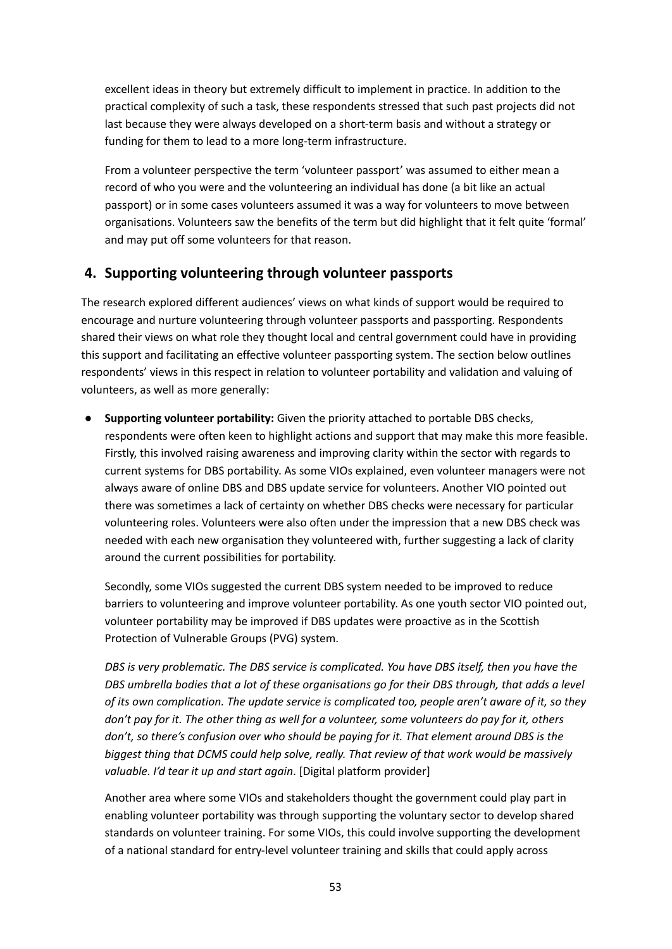excellent ideas in theory but extremely difficult to implement in practice. In addition to the practical complexity of such a task, these respondents stressed that such past projects did not last because they were always developed on a short-term basis and without a strategy or funding for them to lead to a more long-term infrastructure.

From a volunteer perspective the term 'volunteer passport' was assumed to either mean a record of who you were and the volunteering an individual has done (a bit like an actual passport) or in some cases volunteers assumed it was a way for volunteers to move between organisations. Volunteers saw the benefits of the term but did highlight that it felt quite 'formal' and may put off some volunteers for that reason.

# **4. Supporting volunteering through volunteer passports**

The research explored different audiences' views on what kinds of support would be required to encourage and nurture volunteering through volunteer passports and passporting. Respondents shared their views on what role they thought local and central government could have in providing this support and facilitating an effective volunteer passporting system. The section below outlines respondents' views in this respect in relation to volunteer portability and validation and valuing of volunteers, as well as more generally:

**● Supporting volunteer portability:** Given the priority attached to portable DBS checks, respondents were often keen to highlight actions and support that may make this more feasible. Firstly, this involved raising awareness and improving clarity within the sector with regards to current systems for DBS portability. As some VIOs explained, even volunteer managers were not always aware of online DBS and DBS update service for volunteers. Another VIO pointed out there was sometimes a lack of certainty on whether DBS checks were necessary for particular volunteering roles. Volunteers were also often under the impression that a new DBS check was needed with each new organisation they volunteered with, further suggesting a lack of clarity around the current possibilities for portability.

Secondly, some VIOs suggested the current DBS system needed to be improved to reduce barriers to volunteering and improve volunteer portability. As one youth sector VIO pointed out, volunteer portability may be improved if DBS updates were proactive as in the Scottish Protection of Vulnerable Groups (PVG) system.

*DBS is very problematic. The DBS service is complicated. You have DBS itself, then you have the DBS umbrella bodies that a lot of these organisations go for their DBS through, that adds a level of its own complication. The update service is complicated too, people aren't aware of it, so they* don't pay for it. The other thing as well for a volunteer, some volunteers do pay for it, others *don't, so there's confusion over who should be paying for it. That element around DBS is the biggest thing that DCMS could help solve, really. That review of that work would be massively valuable. I'd tear it up and start again*. [Digital platform provider]

Another area where some VIOs and stakeholders thought the government could play part in enabling volunteer portability was through supporting the voluntary sector to develop shared standards on volunteer training. For some VIOs, this could involve supporting the development of a national standard for entry-level volunteer training and skills that could apply across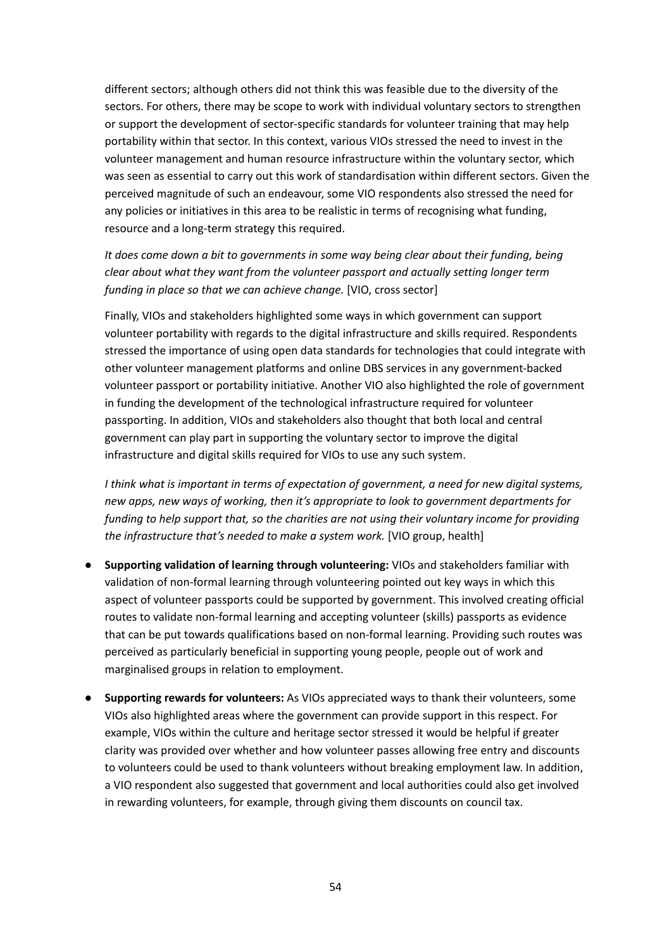different sectors; although others did not think this was feasible due to the diversity of the sectors. For others, there may be scope to work with individual voluntary sectors to strengthen or support the development of sector-specific standards for volunteer training that may help portability within that sector. In this context, various VIOs stressed the need to invest in the volunteer management and human resource infrastructure within the voluntary sector, which was seen as essential to carry out this work of standardisation within different sectors. Given the perceived magnitude of such an endeavour, some VIO respondents also stressed the need for any policies or initiatives in this area to be realistic in terms of recognising what funding, resource and a long-term strategy this required.

*It does come down a bit to governments in some way being clear about their funding, being clear about what they want from the volunteer passport and actually setting longer term funding in place so that we can achieve change.* [VIO, cross sector]

Finally, VIOs and stakeholders highlighted some ways in which government can support volunteer portability with regards to the digital infrastructure and skills required. Respondents stressed the importance of using open data standards for technologies that could integrate with other volunteer management platforms and online DBS services in any government-backed volunteer passport or portability initiative. Another VIO also highlighted the role of government in funding the development of the technological infrastructure required for volunteer passporting. In addition, VIOs and stakeholders also thought that both local and central government can play part in supporting the voluntary sector to improve the digital infrastructure and digital skills required for VIOs to use any such system.

*I think what is important in terms of expectation of government, a need for new digital systems, new apps, new ways of working, then it's appropriate to look to government departments for funding to help support that, so the charities are not using their voluntary income for providing the infrastructure that's needed to make a system work.* [VIO group, health]

- **● Supporting validation of learning through volunteering:** VIOs and stakeholders familiar with validation of non-formal learning through volunteering pointed out key ways in which this aspect of volunteer passports could be supported by government. This involved creating official routes to validate non-formal learning and accepting volunteer (skills) passports as evidence that can be put towards qualifications based on non-formal learning. Providing such routes was perceived as particularly beneficial in supporting young people, people out of work and marginalised groups in relation to employment.
- **Supporting rewards for volunteers:** As VIOs appreciated ways to thank their volunteers, some VIOs also highlighted areas where the government can provide support in this respect. For example, VIOs within the culture and heritage sector stressed it would be helpful if greater clarity was provided over whether and how volunteer passes allowing free entry and discounts to volunteers could be used to thank volunteers without breaking employment law. In addition, a VIO respondent also suggested that government and local authorities could also get involved in rewarding volunteers, for example, through giving them discounts on council tax.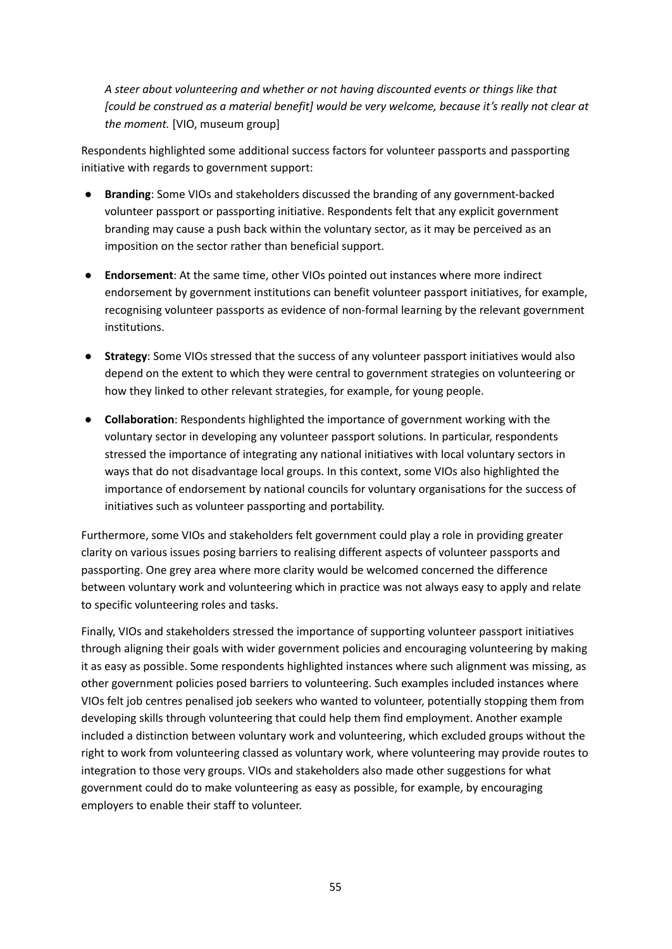*A steer about volunteering and whether or not having discounted events or things like that [could be construed as a material benefit] would be very welcome, because it's really not clear at the moment.* [VIO, museum group]

Respondents highlighted some additional success factors for volunteer passports and passporting initiative with regards to government support:

- **Branding**: Some VIOs and stakeholders discussed the branding of any government-backed volunteer passport or passporting initiative. Respondents felt that any explicit government branding may cause a push back within the voluntary sector, as it may be perceived as an imposition on the sector rather than beneficial support.
- **Endorsement**: At the same time, other VIOs pointed out instances where more indirect endorsement by government institutions can benefit volunteer passport initiatives, for example, recognising volunteer passports as evidence of non-formal learning by the relevant government institutions.
- **Strategy**: Some VIOs stressed that the success of any volunteer passport initiatives would also depend on the extent to which they were central to government strategies on volunteering or how they linked to other relevant strategies, for example, for young people.
- **Collaboration**: Respondents highlighted the importance of government working with the voluntary sector in developing any volunteer passport solutions. In particular, respondents stressed the importance of integrating any national initiatives with local voluntary sectors in ways that do not disadvantage local groups. In this context, some VIOs also highlighted the importance of endorsement by national councils for voluntary organisations for the success of initiatives such as volunteer passporting and portability.

Furthermore, some VIOs and stakeholders felt government could play a role in providing greater clarity on various issues posing barriers to realising different aspects of volunteer passports and passporting. One grey area where more clarity would be welcomed concerned the difference between voluntary work and volunteering which in practice was not always easy to apply and relate to specific volunteering roles and tasks.

Finally, VIOs and stakeholders stressed the importance of supporting volunteer passport initiatives through aligning their goals with wider government policies and encouraging volunteering by making it as easy as possible. Some respondents highlighted instances where such alignment was missing, as other government policies posed barriers to volunteering. Such examples included instances where VIOs felt job centres penalised job seekers who wanted to volunteer, potentially stopping them from developing skills through volunteering that could help them find employment. Another example included a distinction between voluntary work and volunteering, which excluded groups without the right to work from volunteering classed as voluntary work, where volunteering may provide routes to integration to those very groups. VIOs and stakeholders also made other suggestions for what government could do to make volunteering as easy as possible, for example, by encouraging employers to enable their staff to volunteer.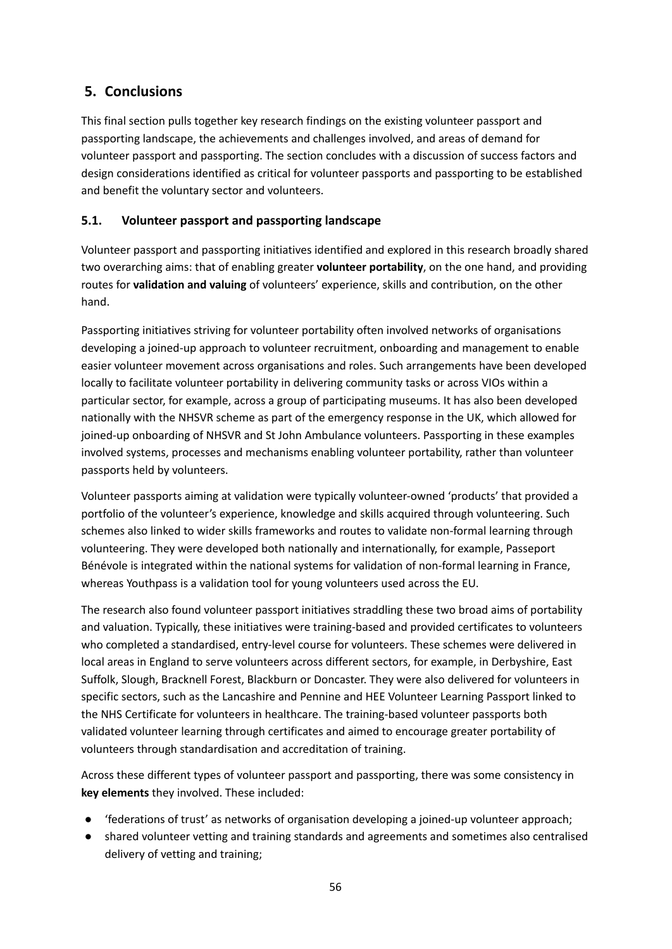# **5. Conclusions**

This final section pulls together key research findings on the existing volunteer passport and passporting landscape, the achievements and challenges involved, and areas of demand for volunteer passport and passporting. The section concludes with a discussion of success factors and design considerations identified as critical for volunteer passports and passporting to be established and benefit the voluntary sector and volunteers.

# **5.1. Volunteer passport and passporting landscape**

Volunteer passport and passporting initiatives identified and explored in this research broadly shared two overarching aims: that of enabling greater **volunteer portability**, on the one hand, and providing routes for **validation and valuing** of volunteers' experience, skills and contribution, on the other hand.

Passporting initiatives striving for volunteer portability often involved networks of organisations developing a joined-up approach to volunteer recruitment, onboarding and management to enable easier volunteer movement across organisations and roles. Such arrangements have been developed locally to facilitate volunteer portability in delivering community tasks or across VIOs within a particular sector, for example, across a group of participating museums. It has also been developed nationally with the NHSVR scheme as part of the emergency response in the UK, which allowed for joined-up onboarding of NHSVR and St John Ambulance volunteers. Passporting in these examples involved systems, processes and mechanisms enabling volunteer portability, rather than volunteer passports held by volunteers.

Volunteer passports aiming at validation were typically volunteer-owned 'products' that provided a portfolio of the volunteer's experience, knowledge and skills acquired through volunteering. Such schemes also linked to wider skills frameworks and routes to validate non-formal learning through volunteering. They were developed both nationally and internationally, for example, Passeport Bénévole is integrated within the national systems for validation of non-formal learning in France, whereas Youthpass is a validation tool for young volunteers used across the EU.

The research also found volunteer passport initiatives straddling these two broad aims of portability and valuation. Typically, these initiatives were training-based and provided certificates to volunteers who completed a standardised, entry-level course for volunteers. These schemes were delivered in local areas in England to serve volunteers across different sectors, for example, in Derbyshire, East Suffolk, Slough, Bracknell Forest, Blackburn or Doncaster. They were also delivered for volunteers in specific sectors, such as the Lancashire and Pennine and HEE Volunteer Learning Passport linked to the NHS Certificate for volunteers in healthcare. The training-based volunteer passports both validated volunteer learning through certificates and aimed to encourage greater portability of volunteers through standardisation and accreditation of training.

Across these different types of volunteer passport and passporting, there was some consistency in **key elements** they involved. These included:

- 'federations of trust' as networks of organisation developing a joined-up volunteer approach;
- shared volunteer vetting and training standards and agreements and sometimes also centralised delivery of vetting and training;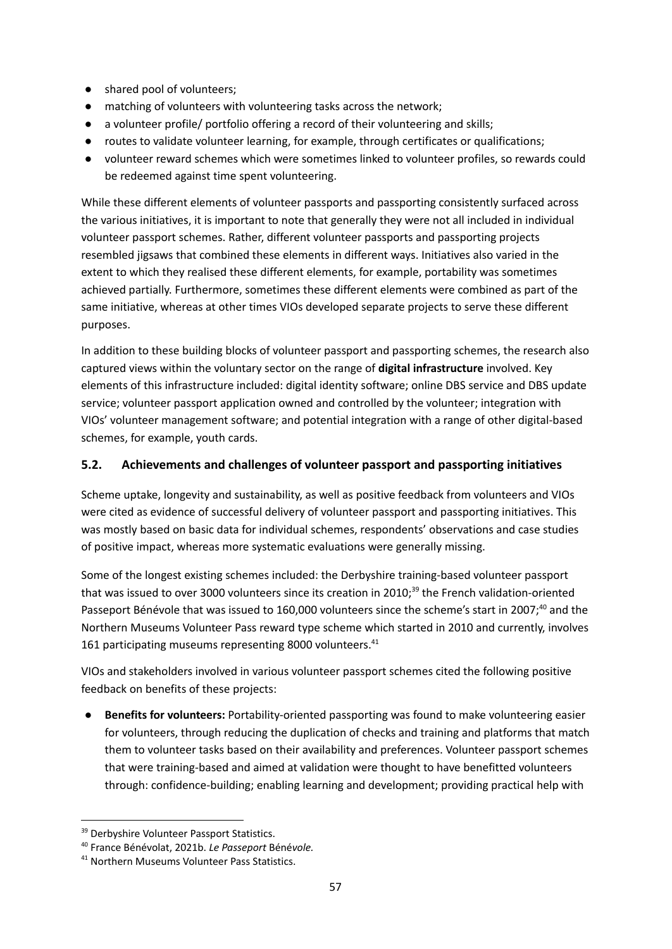- shared pool of volunteers;
- matching of volunteers with volunteering tasks across the network;
- a volunteer profile/ portfolio offering a record of their volunteering and skills;
- routes to validate volunteer learning, for example, through certificates or qualifications;
- volunteer reward schemes which were sometimes linked to volunteer profiles, so rewards could be redeemed against time spent volunteering.

While these different elements of volunteer passports and passporting consistently surfaced across the various initiatives, it is important to note that generally they were not all included in individual volunteer passport schemes. Rather, different volunteer passports and passporting projects resembled jigsaws that combined these elements in different ways. Initiatives also varied in the extent to which they realised these different elements, for example, portability was sometimes achieved partially. Furthermore, sometimes these different elements were combined as part of the same initiative, whereas at other times VIOs developed separate projects to serve these different purposes.

In addition to these building blocks of volunteer passport and passporting schemes, the research also captured views within the voluntary sector on the range of **digital infrastructure** involved. Key elements of this infrastructure included: digital identity software; online DBS service and DBS update service; volunteer passport application owned and controlled by the volunteer; integration with VIOs' volunteer management software; and potential integration with a range of other digital-based schemes, for example, youth cards.

## **5.2. Achievements and challenges of volunteer passport and passporting initiatives**

Scheme uptake, longevity and sustainability, as well as positive feedback from volunteers and VIOs were cited as evidence of successful delivery of volunteer passport and passporting initiatives. This was mostly based on basic data for individual schemes, respondents' observations and case studies of positive impact, whereas more systematic evaluations were generally missing.

Some of the longest existing schemes included: the Derbyshire training-based volunteer passport that was issued to over 3000 volunteers since its creation in 2010;<sup>39</sup> the French validation-oriented Passeport Bénévole that was issued to 160,000 volunteers since the scheme's start in 2007;<sup>40</sup> and the Northern Museums Volunteer Pass reward type scheme which started in 2010 and currently, involves 161 participating museums representing 8000 volunteers. 41

VIOs and stakeholders involved in various volunteer passport schemes cited the following positive feedback on benefits of these projects:

**● Benefits for volunteers:** Portability-oriented passporting was found to make volunteering easier for volunteers, through reducing the duplication of checks and training and platforms that match them to volunteer tasks based on their availability and preferences. Volunteer passport schemes that were training-based and aimed at validation were thought to have benefitted volunteers through: confidence-building; enabling learning and development; providing practical help with

<sup>&</sup>lt;sup>39</sup> Derbyshire Volunteer Passport Statistics.

<sup>40</sup> France Bénévolat, 2021b. *Le Passeport* Béné*vole.*

<sup>41</sup> Northern Museums Volunteer Pass Statistics.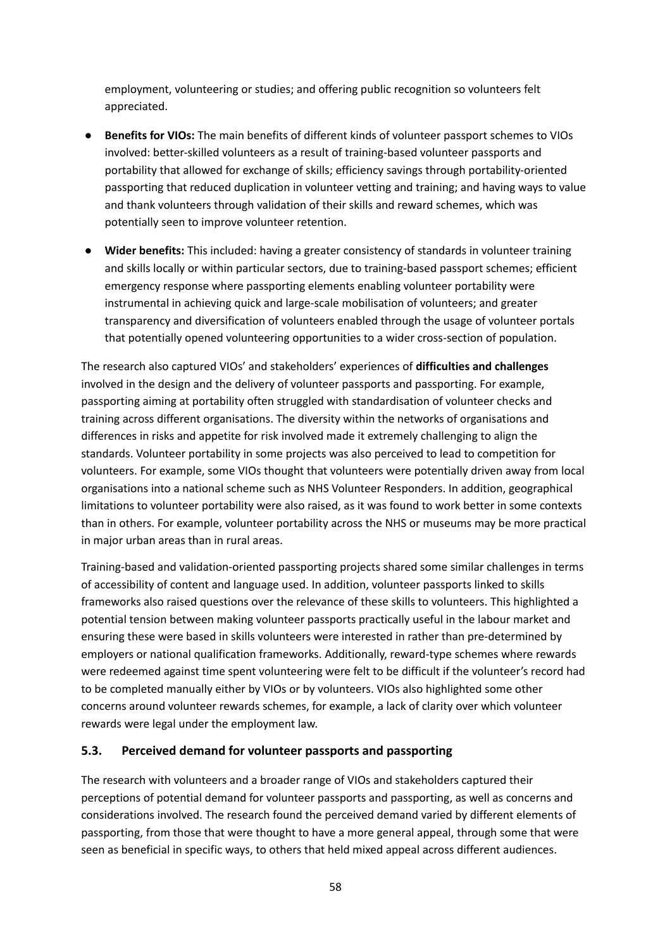employment, volunteering or studies; and offering public recognition so volunteers felt appreciated.

- **● Benefits for VIOs:** The main benefits of different kinds of volunteer passport schemes to VIOs involved: better-skilled volunteers as a result of training-based volunteer passports and portability that allowed for exchange of skills; efficiency savings through portability-oriented passporting that reduced duplication in volunteer vetting and training; and having ways to value and thank volunteers through validation of their skills and reward schemes, which was potentially seen to improve volunteer retention.
- **● Wider benefits:** This included: having a greater consistency of standards in volunteer training and skills locally or within particular sectors, due to training-based passport schemes; efficient emergency response where passporting elements enabling volunteer portability were instrumental in achieving quick and large-scale mobilisation of volunteers; and greater transparency and diversification of volunteers enabled through the usage of volunteer portals that potentially opened volunteering opportunities to a wider cross-section of population.

The research also captured VIOs' and stakeholders' experiences of **difficulties and challenges** involved in the design and the delivery of volunteer passports and passporting. For example, passporting aiming at portability often struggled with standardisation of volunteer checks and training across different organisations. The diversity within the networks of organisations and differences in risks and appetite for risk involved made it extremely challenging to align the standards. Volunteer portability in some projects was also perceived to lead to competition for volunteers. For example, some VIOs thought that volunteers were potentially driven away from local organisations into a national scheme such as NHS Volunteer Responders. In addition, geographical limitations to volunteer portability were also raised, as it was found to work better in some contexts than in others. For example, volunteer portability across the NHS or museums may be more practical in major urban areas than in rural areas.

Training-based and validation-oriented passporting projects shared some similar challenges in terms of accessibility of content and language used. In addition, volunteer passports linked to skills frameworks also raised questions over the relevance of these skills to volunteers. This highlighted a potential tension between making volunteer passports practically useful in the labour market and ensuring these were based in skills volunteers were interested in rather than pre-determined by employers or national qualification frameworks. Additionally, reward-type schemes where rewards were redeemed against time spent volunteering were felt to be difficult if the volunteer's record had to be completed manually either by VIOs or by volunteers. VIOs also highlighted some other concerns around volunteer rewards schemes, for example, a lack of clarity over which volunteer rewards were legal under the employment law.

#### **5.3. Perceived demand for volunteer passports and passporting**

The research with volunteers and a broader range of VIOs and stakeholders captured their perceptions of potential demand for volunteer passports and passporting, as well as concerns and considerations involved. The research found the perceived demand varied by different elements of passporting, from those that were thought to have a more general appeal, through some that were seen as beneficial in specific ways, to others that held mixed appeal across different audiences.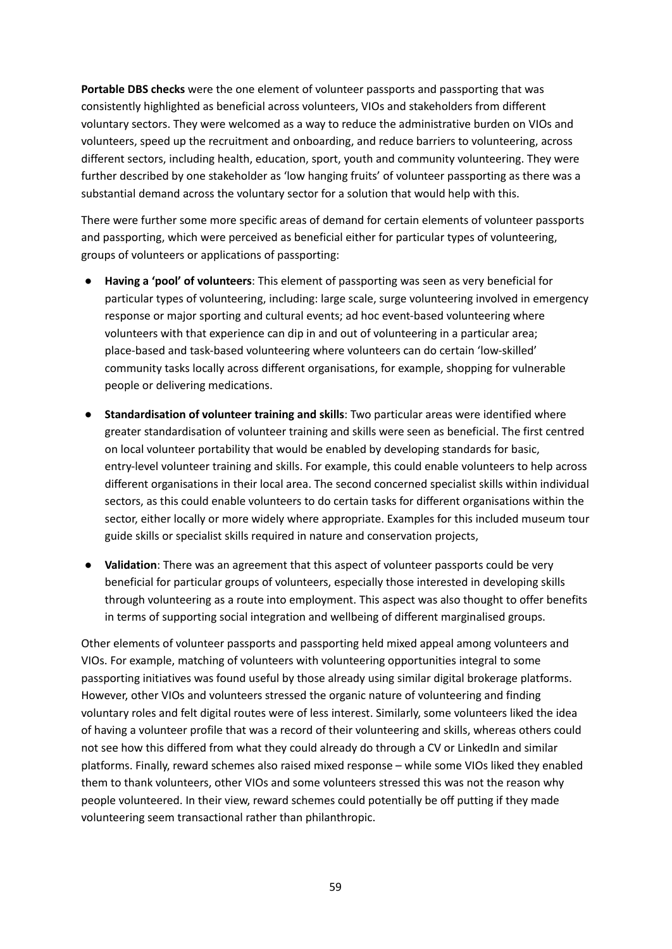**Portable DBS checks** were the one element of volunteer passports and passporting that was consistently highlighted as beneficial across volunteers, VIOs and stakeholders from different voluntary sectors. They were welcomed as a way to reduce the administrative burden on VIOs and volunteers, speed up the recruitment and onboarding, and reduce barriers to volunteering, across different sectors, including health, education, sport, youth and community volunteering. They were further described by one stakeholder as 'low hanging fruits' of volunteer passporting as there was a substantial demand across the voluntary sector for a solution that would help with this.

There were further some more specific areas of demand for certain elements of volunteer passports and passporting, which were perceived as beneficial either for particular types of volunteering, groups of volunteers or applications of passporting:

- **Having a 'pool' of volunteers**: This element of passporting was seen as very beneficial for particular types of volunteering, including: large scale, surge volunteering involved in emergency response or major sporting and cultural events; ad hoc event-based volunteering where volunteers with that experience can dip in and out of volunteering in a particular area; place-based and task-based volunteering where volunteers can do certain 'low-skilled' community tasks locally across different organisations, for example, shopping for vulnerable people or delivering medications.
- **Standardisation of volunteer training and skills**: Two particular areas were identified where greater standardisation of volunteer training and skills were seen as beneficial. The first centred on local volunteer portability that would be enabled by developing standards for basic, entry-level volunteer training and skills. For example, this could enable volunteers to help across different organisations in their local area. The second concerned specialist skills within individual sectors, as this could enable volunteers to do certain tasks for different organisations within the sector, either locally or more widely where appropriate. Examples for this included museum tour guide skills or specialist skills required in nature and conservation projects,
- **Validation**: There was an agreement that this aspect of volunteer passports could be very beneficial for particular groups of volunteers, especially those interested in developing skills through volunteering as a route into employment. This aspect was also thought to offer benefits in terms of supporting social integration and wellbeing of different marginalised groups.

Other elements of volunteer passports and passporting held mixed appeal among volunteers and VIOs. For example, matching of volunteers with volunteering opportunities integral to some passporting initiatives was found useful by those already using similar digital brokerage platforms. However, other VIOs and volunteers stressed the organic nature of volunteering and finding voluntary roles and felt digital routes were of less interest. Similarly, some volunteers liked the idea of having a volunteer profile that was a record of their volunteering and skills, whereas others could not see how this differed from what they could already do through a CV or LinkedIn and similar platforms. Finally, reward schemes also raised mixed response – while some VIOs liked they enabled them to thank volunteers, other VIOs and some volunteers stressed this was not the reason why people volunteered. In their view, reward schemes could potentially be off putting if they made volunteering seem transactional rather than philanthropic.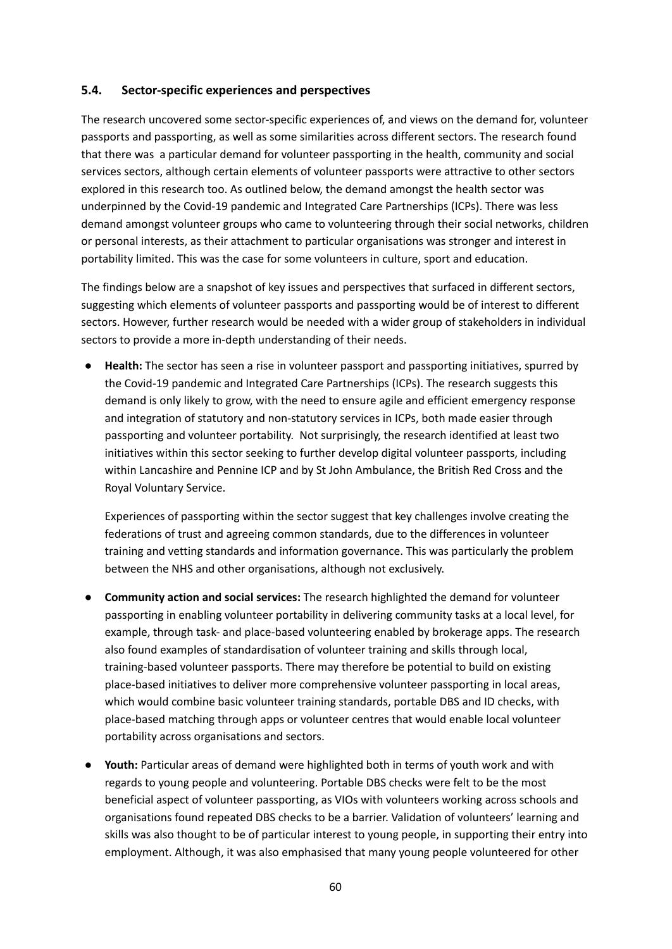#### **5.4. Sector-specific experiences and perspectives**

The research uncovered some sector-specific experiences of, and views on the demand for, volunteer passports and passporting, as well as some similarities across different sectors. The research found that there was a particular demand for volunteer passporting in the health, community and social services sectors, although certain elements of volunteer passports were attractive to other sectors explored in this research too. As outlined below, the demand amongst the health sector was underpinned by the Covid-19 pandemic and Integrated Care Partnerships (ICPs). There was less demand amongst volunteer groups who came to volunteering through their social networks, children or personal interests, as their attachment to particular organisations was stronger and interest in portability limited. This was the case for some volunteers in culture, sport and education.

The findings below are a snapshot of key issues and perspectives that surfaced in different sectors, suggesting which elements of volunteer passports and passporting would be of interest to different sectors. However, further research would be needed with a wider group of stakeholders in individual sectors to provide a more in-depth understanding of their needs.

● **Health:** The sector has seen a rise in volunteer passport and passporting initiatives, spurred by the Covid-19 pandemic and Integrated Care Partnerships (ICPs). The research suggests this demand is only likely to grow, with the need to ensure agile and efficient emergency response and integration of statutory and non-statutory services in ICPs, both made easier through passporting and volunteer portability. Not surprisingly, the research identified at least two initiatives within this sector seeking to further develop digital volunteer passports, including within Lancashire and Pennine ICP and by St John Ambulance, the British Red Cross and the Royal Voluntary Service.

Experiences of passporting within the sector suggest that key challenges involve creating the federations of trust and agreeing common standards, due to the differences in volunteer training and vetting standards and information governance. This was particularly the problem between the NHS and other organisations, although not exclusively.

- **Community action and social services:** The research highlighted the demand for volunteer passporting in enabling volunteer portability in delivering community tasks at a local level, for example, through task- and place-based volunteering enabled by brokerage apps. The research also found examples of standardisation of volunteer training and skills through local, training-based volunteer passports. There may therefore be potential to build on existing place-based initiatives to deliver more comprehensive volunteer passporting in local areas, which would combine basic volunteer training standards, portable DBS and ID checks, with place-based matching through apps or volunteer centres that would enable local volunteer portability across organisations and sectors.
- **Youth:** Particular areas of demand were highlighted both in terms of youth work and with regards to young people and volunteering. Portable DBS checks were felt to be the most beneficial aspect of volunteer passporting, as VIOs with volunteers working across schools and organisations found repeated DBS checks to be a barrier. Validation of volunteers' learning and skills was also thought to be of particular interest to young people, in supporting their entry into employment. Although, it was also emphasised that many young people volunteered for other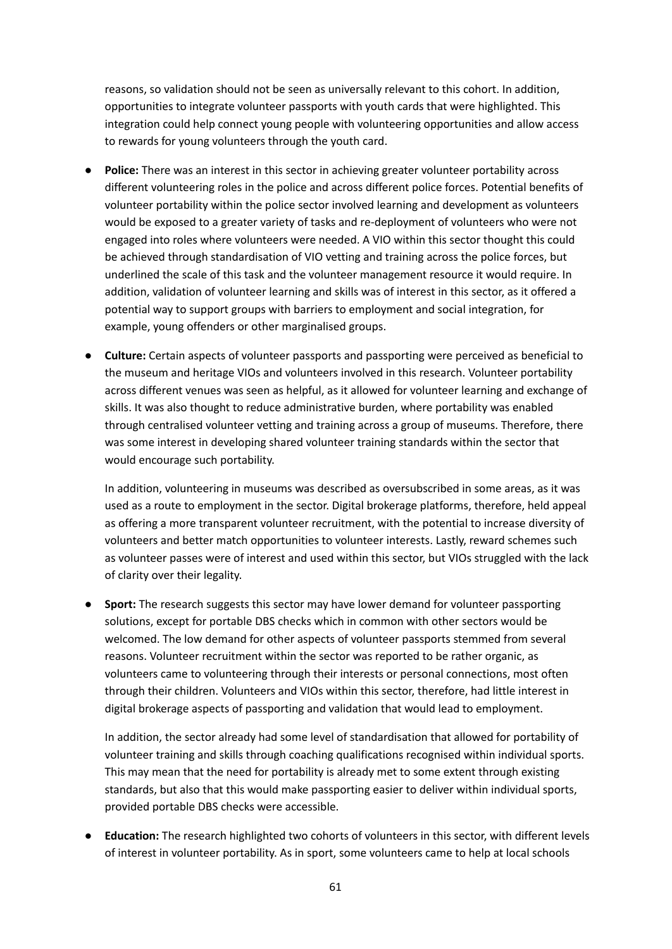reasons, so validation should not be seen as universally relevant to this cohort. In addition, opportunities to integrate volunteer passports with youth cards that were highlighted. This integration could help connect young people with volunteering opportunities and allow access to rewards for young volunteers through the youth card.

- **Police:** There was an interest in this sector in achieving greater volunteer portability across different volunteering roles in the police and across different police forces. Potential benefits of volunteer portability within the police sector involved learning and development as volunteers would be exposed to a greater variety of tasks and re-deployment of volunteers who were not engaged into roles where volunteers were needed. A VIO within this sector thought this could be achieved through standardisation of VIO vetting and training across the police forces, but underlined the scale of this task and the volunteer management resource it would require. In addition, validation of volunteer learning and skills was of interest in this sector, as it offered a potential way to support groups with barriers to employment and social integration, for example, young offenders or other marginalised groups.
- **Culture:** Certain aspects of volunteer passports and passporting were perceived as beneficial to the museum and heritage VIOs and volunteers involved in this research. Volunteer portability across different venues was seen as helpful, as it allowed for volunteer learning and exchange of skills. It was also thought to reduce administrative burden, where portability was enabled through centralised volunteer vetting and training across a group of museums. Therefore, there was some interest in developing shared volunteer training standards within the sector that would encourage such portability.

In addition, volunteering in museums was described as oversubscribed in some areas, as it was used as a route to employment in the sector. Digital brokerage platforms, therefore, held appeal as offering a more transparent volunteer recruitment, with the potential to increase diversity of volunteers and better match opportunities to volunteer interests. Lastly, reward schemes such as volunteer passes were of interest and used within this sector, but VIOs struggled with the lack of clarity over their legality.

● **Sport:** The research suggests this sector may have lower demand for volunteer passporting solutions, except for portable DBS checks which in common with other sectors would be welcomed. The low demand for other aspects of volunteer passports stemmed from several reasons. Volunteer recruitment within the sector was reported to be rather organic, as volunteers came to volunteering through their interests or personal connections, most often through their children. Volunteers and VIOs within this sector, therefore, had little interest in digital brokerage aspects of passporting and validation that would lead to employment.

In addition, the sector already had some level of standardisation that allowed for portability of volunteer training and skills through coaching qualifications recognised within individual sports. This may mean that the need for portability is already met to some extent through existing standards, but also that this would make passporting easier to deliver within individual sports, provided portable DBS checks were accessible.

● **Education:** The research highlighted two cohorts of volunteers in this sector, with different levels of interest in volunteer portability. As in sport, some volunteers came to help at local schools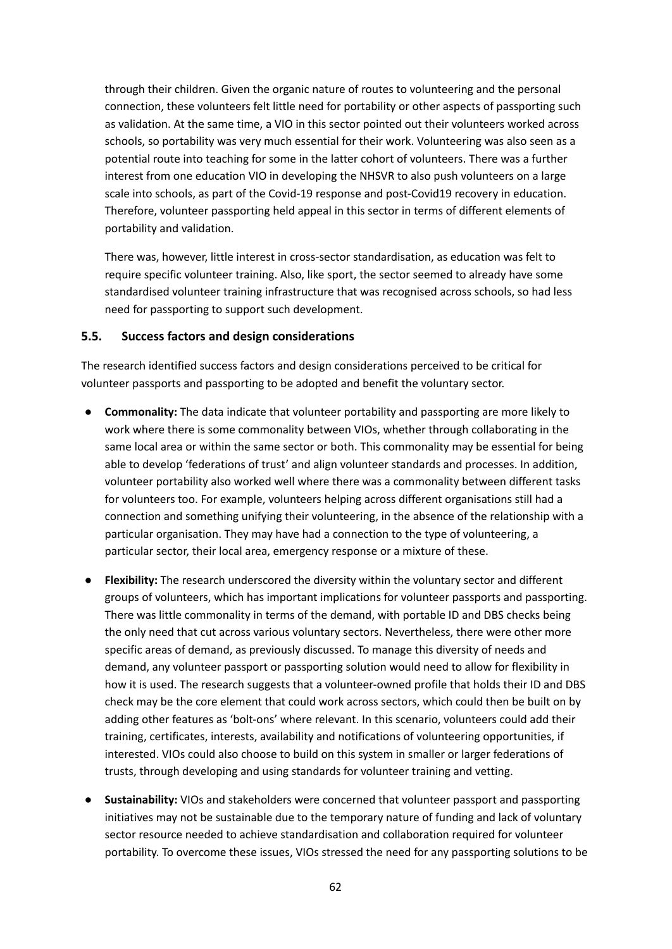through their children. Given the organic nature of routes to volunteering and the personal connection, these volunteers felt little need for portability or other aspects of passporting such as validation. At the same time, a VIO in this sector pointed out their volunteers worked across schools, so portability was very much essential for their work. Volunteering was also seen as a potential route into teaching for some in the latter cohort of volunteers. There was a further interest from one education VIO in developing the NHSVR to also push volunteers on a large scale into schools, as part of the Covid-19 response and post-Covid19 recovery in education. Therefore, volunteer passporting held appeal in this sector in terms of different elements of portability and validation.

There was, however, little interest in cross-sector standardisation, as education was felt to require specific volunteer training. Also, like sport, the sector seemed to already have some standardised volunteer training infrastructure that was recognised across schools, so had less need for passporting to support such development.

#### **5.5. Success factors and design considerations**

The research identified success factors and design considerations perceived to be critical for volunteer passports and passporting to be adopted and benefit the voluntary sector.

- **Commonality:** The data indicate that volunteer portability and passporting are more likely to work where there is some commonality between VIOs, whether through collaborating in the same local area or within the same sector or both. This commonality may be essential for being able to develop 'federations of trust' and align volunteer standards and processes. In addition, volunteer portability also worked well where there was a commonality between different tasks for volunteers too. For example, volunteers helping across different organisations still had a connection and something unifying their volunteering, in the absence of the relationship with a particular organisation. They may have had a connection to the type of volunteering, a particular sector, their local area, emergency response or a mixture of these.
- **Flexibility:** The research underscored the diversity within the voluntary sector and different groups of volunteers, which has important implications for volunteer passports and passporting. There was little commonality in terms of the demand, with portable ID and DBS checks being the only need that cut across various voluntary sectors. Nevertheless, there were other more specific areas of demand, as previously discussed. To manage this diversity of needs and demand, any volunteer passport or passporting solution would need to allow for flexibility in how it is used. The research suggests that a volunteer-owned profile that holds their ID and DBS check may be the core element that could work across sectors, which could then be built on by adding other features as 'bolt-ons' where relevant. In this scenario, volunteers could add their training, certificates, interests, availability and notifications of volunteering opportunities, if interested. VIOs could also choose to build on this system in smaller or larger federations of trusts, through developing and using standards for volunteer training and vetting.
- **Sustainability:** VIOs and stakeholders were concerned that volunteer passport and passporting initiatives may not be sustainable due to the temporary nature of funding and lack of voluntary sector resource needed to achieve standardisation and collaboration required for volunteer portability. To overcome these issues, VIOs stressed the need for any passporting solutions to be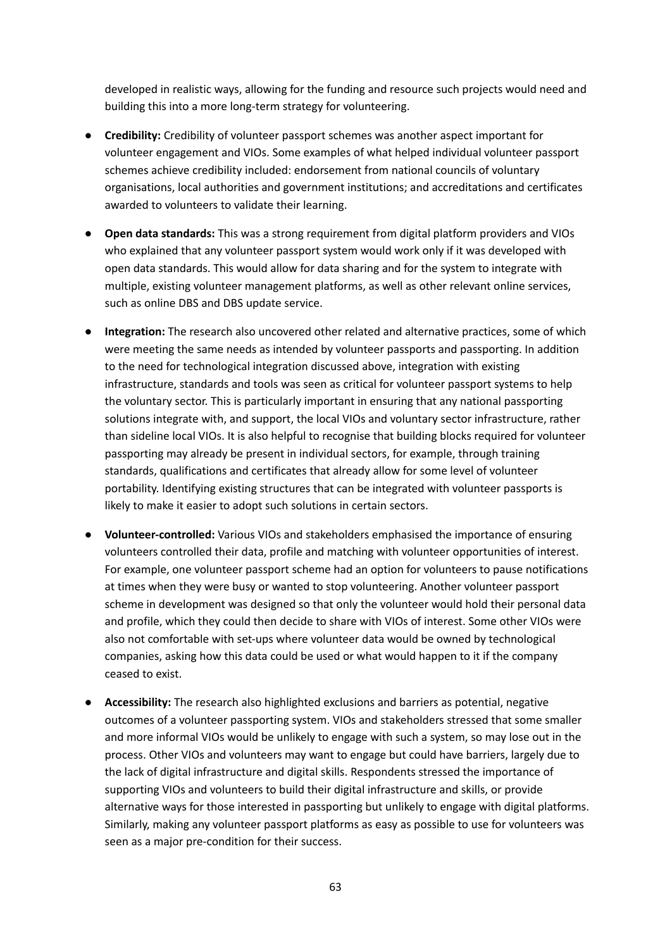developed in realistic ways, allowing for the funding and resource such projects would need and building this into a more long-term strategy for volunteering.

- **● Credibility:** Credibility of volunteer passport schemes was another aspect important for volunteer engagement and VIOs. Some examples of what helped individual volunteer passport schemes achieve credibility included: endorsement from national councils of voluntary organisations, local authorities and government institutions; and accreditations and certificates awarded to volunteers to validate their learning.
- **● Open data standards:** This was a strong requirement from digital platform providers and VIOs who explained that any volunteer passport system would work only if it was developed with open data standards. This would allow for data sharing and for the system to integrate with multiple, existing volunteer management platforms, as well as other relevant online services, such as online DBS and DBS update service.
- **● Integration:** The research also uncovered other related and alternative practices, some of which were meeting the same needs as intended by volunteer passports and passporting. In addition to the need for technological integration discussed above, integration with existing infrastructure, standards and tools was seen as critical for volunteer passport systems to help the voluntary sector. This is particularly important in ensuring that any national passporting solutions integrate with, and support, the local VIOs and voluntary sector infrastructure, rather than sideline local VIOs. It is also helpful to recognise that building blocks required for volunteer passporting may already be present in individual sectors, for example, through training standards, qualifications and certificates that already allow for some level of volunteer portability. Identifying existing structures that can be integrated with volunteer passports is likely to make it easier to adopt such solutions in certain sectors.
- **● Volunteer-controlled:** Various VIOs and stakeholders emphasised the importance of ensuring volunteers controlled their data, profile and matching with volunteer opportunities of interest. For example, one volunteer passport scheme had an option for volunteers to pause notifications at times when they were busy or wanted to stop volunteering. Another volunteer passport scheme in development was designed so that only the volunteer would hold their personal data and profile, which they could then decide to share with VIOs of interest. Some other VIOs were also not comfortable with set-ups where volunteer data would be owned by technological companies, asking how this data could be used or what would happen to it if the company ceased to exist.
- **● Accessibility:** The research also highlighted exclusions and barriers as potential, negative outcomes of a volunteer passporting system. VIOs and stakeholders stressed that some smaller and more informal VIOs would be unlikely to engage with such a system, so may lose out in the process. Other VIOs and volunteers may want to engage but could have barriers, largely due to the lack of digital infrastructure and digital skills. Respondents stressed the importance of supporting VIOs and volunteers to build their digital infrastructure and skills, or provide alternative ways for those interested in passporting but unlikely to engage with digital platforms. Similarly, making any volunteer passport platforms as easy as possible to use for volunteers was seen as a major pre-condition for their success.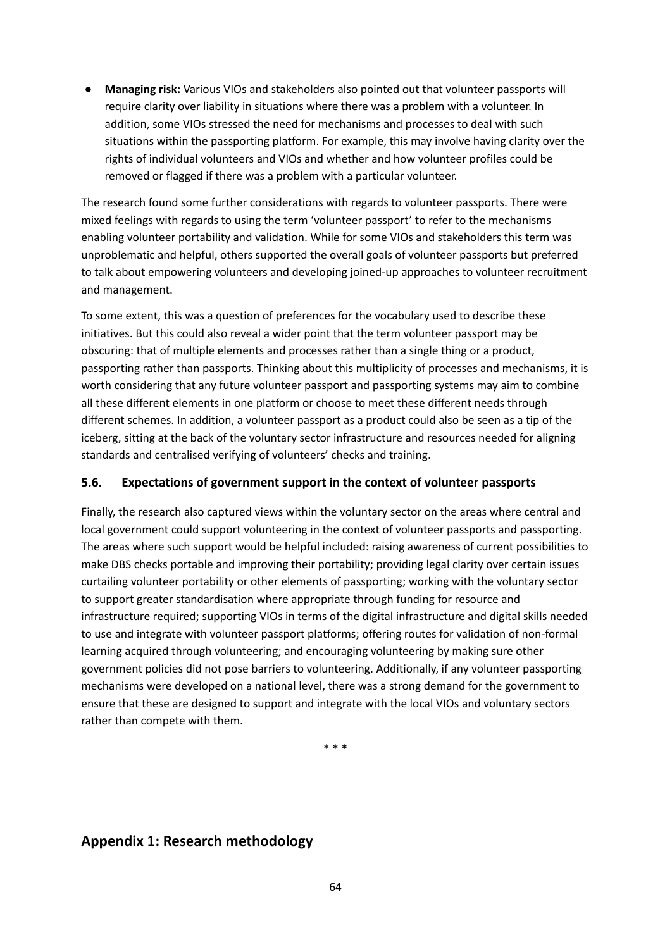**● Managing risk:** Various VIOs and stakeholders also pointed out that volunteer passports will require clarity over liability in situations where there was a problem with a volunteer. In addition, some VIOs stressed the need for mechanisms and processes to deal with such situations within the passporting platform. For example, this may involve having clarity over the rights of individual volunteers and VIOs and whether and how volunteer profiles could be removed or flagged if there was a problem with a particular volunteer.

The research found some further considerations with regards to volunteer passports. There were mixed feelings with regards to using the term 'volunteer passport' to refer to the mechanisms enabling volunteer portability and validation. While for some VIOs and stakeholders this term was unproblematic and helpful, others supported the overall goals of volunteer passports but preferred to talk about empowering volunteers and developing joined-up approaches to volunteer recruitment and management.

To some extent, this was a question of preferences for the vocabulary used to describe these initiatives. But this could also reveal a wider point that the term volunteer passport may be obscuring: that of multiple elements and processes rather than a single thing or a product, passporting rather than passports. Thinking about this multiplicity of processes and mechanisms, it is worth considering that any future volunteer passport and passporting systems may aim to combine all these different elements in one platform or choose to meet these different needs through different schemes. In addition, a volunteer passport as a product could also be seen as a tip of the iceberg, sitting at the back of the voluntary sector infrastructure and resources needed for aligning standards and centralised verifying of volunteers' checks and training.

# **5.6. Expectations of government support in the context of volunteer passports**

Finally, the research also captured views within the voluntary sector on the areas where central and local government could support volunteering in the context of volunteer passports and passporting. The areas where such support would be helpful included: raising awareness of current possibilities to make DBS checks portable and improving their portability; providing legal clarity over certain issues curtailing volunteer portability or other elements of passporting; working with the voluntary sector to support greater standardisation where appropriate through funding for resource and infrastructure required; supporting VIOs in terms of the digital infrastructure and digital skills needed to use and integrate with volunteer passport platforms; offering routes for validation of non-formal learning acquired through volunteering; and encouraging volunteering by making sure other government policies did not pose barriers to volunteering. Additionally, if any volunteer passporting mechanisms were developed on a national level, there was a strong demand for the government to ensure that these are designed to support and integrate with the local VIOs and voluntary sectors rather than compete with them.

\* \* \*

# **Appendix 1: Research methodology**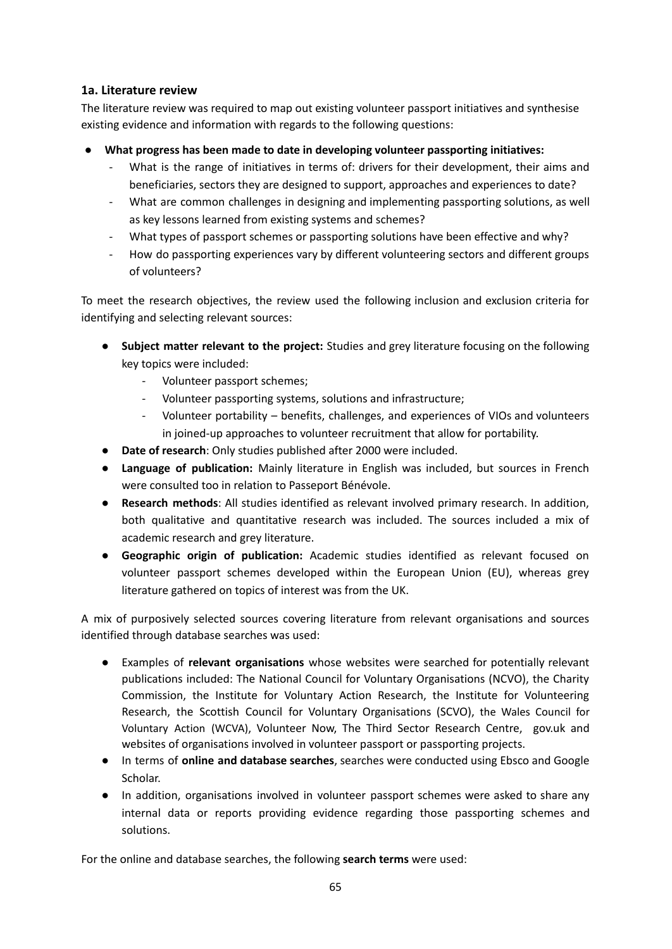## **1a. Literature review**

The literature review was required to map out existing volunteer passport initiatives and synthesise existing evidence and information with regards to the following questions:

- **What progress has been made to date in developing volunteer passporting initiatives:**
	- What is the range of initiatives in terms of: drivers for their development, their aims and beneficiaries, sectors they are designed to support, approaches and experiences to date?
	- What are common challenges in designing and implementing passporting solutions, as well as key lessons learned from existing systems and schemes?
	- What types of passport schemes or passporting solutions have been effective and why?
	- How do passporting experiences vary by different volunteering sectors and different groups of volunteers?

To meet the research objectives, the review used the following inclusion and exclusion criteria for identifying and selecting relevant sources:

- **Subject matter relevant to the project:** Studies and grey literature focusing on the following key topics were included:
	- Volunteer passport schemes;
	- Volunteer passporting systems, solutions and infrastructure;
	- Volunteer portability benefits, challenges, and experiences of VIOs and volunteers in joined-up approaches to volunteer recruitment that allow for portability.
- **Date of research**: Only studies published after 2000 were included.
- **● Language of publication:** Mainly literature in English was included, but sources in French were consulted too in relation to Passeport Bénévole.
- **● Research methods**: All studies identified as relevant involved primary research. In addition, both qualitative and quantitative research was included. The sources included a mix of academic research and grey literature.
- **● Geographic origin of publication:** Academic studies identified as relevant focused on volunteer passport schemes developed within the European Union (EU), whereas grey literature gathered on topics of interest was from the UK.

A mix of purposively selected sources covering literature from relevant organisations and sources identified through database searches was used:

- **●** Examples of **relevant organisations** whose websites were searched for potentially relevant publications included: The National Council for Voluntary Organisations (NCVO), the Charity Commission, the Institute for Voluntary Action Research, the Institute for Volunteering Research, the Scottish Council for Voluntary Organisations (SCVO), the Wales Council for Voluntary Action (WCVA), Volunteer Now, The Third Sector Research Centre, gov.uk and websites of organisations involved in volunteer passport or passporting projects.
- In terms of **online and database searches**, searches were conducted using Ebsco and Google Scholar.
- In addition, organisations involved in volunteer passport schemes were asked to share any internal data or reports providing evidence regarding those passporting schemes and solutions.

For the online and database searches, the following **search terms** were used: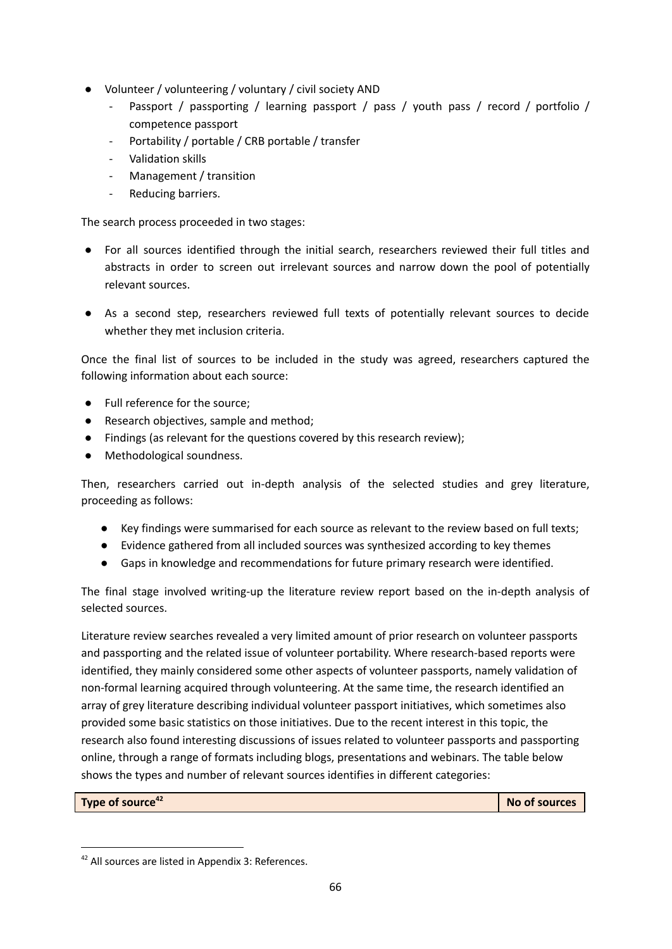- Volunteer / volunteering / voluntary / civil society AND
	- Passport / passporting / learning passport / pass / youth pass / record / portfolio / competence passport
	- Portability / portable / CRB portable / transfer
	- Validation skills
	- Management / transition
	- Reducing barriers.

The search process proceeded in two stages:

- For all sources identified through the initial search, researchers reviewed their full titles and abstracts in order to screen out irrelevant sources and narrow down the pool of potentially relevant sources.
- As a second step, researchers reviewed full texts of potentially relevant sources to decide whether they met inclusion criteria.

Once the final list of sources to be included in the study was agreed, researchers captured the following information about each source:

- **●** Full reference for the source;
- **●** Research objectives, sample and method;
- **●** Findings (as relevant for the questions covered by this research review);
- **●** Methodological soundness.

Then, researchers carried out in-depth analysis of the selected studies and grey literature, proceeding as follows:

- Key findings were summarised for each source as relevant to the review based on full texts;
- Evidence gathered from all included sources was synthesized according to key themes
- Gaps in knowledge and recommendations for future primary research were identified.

The final stage involved writing-up the literature review report based on the in-depth analysis of selected sources.

Literature review searches revealed a very limited amount of prior research on volunteer passports and passporting and the related issue of volunteer portability. Where research-based reports were identified, they mainly considered some other aspects of volunteer passports, namely validation of non-formal learning acquired through volunteering. At the same time, the research identified an array of grey literature describing individual volunteer passport initiatives, which sometimes also provided some basic statistics on those initiatives. Due to the recent interest in this topic, the research also found interesting discussions of issues related to volunteer passports and passporting online, through a range of formats including blogs, presentations and webinars. The table below shows the types and number of relevant sources identifies in different categories:

**Type of source**

**<sup>42</sup> No of sources**

<sup>&</sup>lt;sup>42</sup> All sources are listed in Appendix 3: References.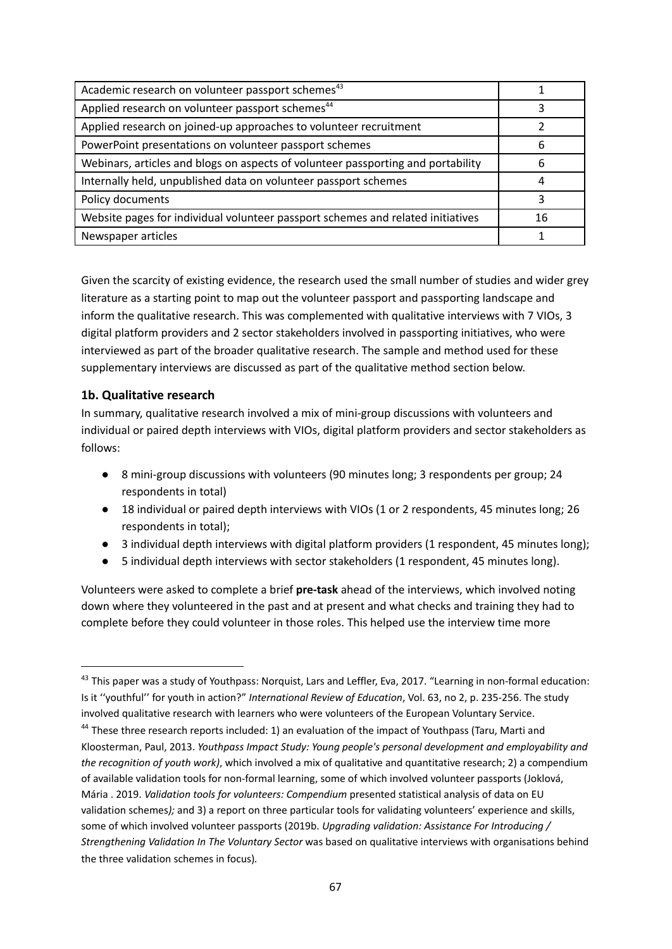| Academic research on volunteer passport schemes <sup>43</sup>                    |    |
|----------------------------------------------------------------------------------|----|
| Applied research on volunteer passport schemes <sup>44</sup>                     |    |
| Applied research on joined-up approaches to volunteer recruitment                |    |
| PowerPoint presentations on volunteer passport schemes                           | 6  |
| Webinars, articles and blogs on aspects of volunteer passporting and portability | 6  |
| Internally held, unpublished data on volunteer passport schemes                  | 4  |
| Policy documents                                                                 | ੨  |
| Website pages for individual volunteer passport schemes and related initiatives  | 16 |
| Newspaper articles                                                               |    |

Given the scarcity of existing evidence, the research used the small number of studies and wider grey literature as a starting point to map out the volunteer passport and passporting landscape and inform the qualitative research. This was complemented with qualitative interviews with 7 VIOs, 3 digital platform providers and 2 sector stakeholders involved in passporting initiatives, who were interviewed as part of the broader qualitative research. The sample and method used for these supplementary interviews are discussed as part of the qualitative method section below.

## **1b. Qualitative research**

In summary, qualitative research involved a mix of mini-group discussions with volunteers and individual or paired depth interviews with VIOs, digital platform providers and sector stakeholders as follows:

- 8 mini-group discussions with volunteers (90 minutes long; 3 respondents per group; 24 respondents in total)
- 18 individual or paired depth interviews with VIOs (1 or 2 respondents, 45 minutes long; 26 respondents in total);
- 3 individual depth interviews with digital platform providers (1 respondent, 45 minutes long);
- 5 individual depth interviews with sector stakeholders (1 respondent, 45 minutes long).

Volunteers were asked to complete a brief **pre-task** ahead of the interviews, which involved noting down where they volunteered in the past and at present and what checks and training they had to complete before they could volunteer in those roles. This helped use the interview time more

<sup>&</sup>lt;sup>43</sup> This paper was a study of Youthpass: Norquist, Lars and Leffler, Eva, 2017. "Learning in non-formal education: Is it ''youthful'' for youth in action?" *International Review of Education*, Vol. 63, no 2, p. 235-256. The study involved qualitative research with learners who were volunteers of the European Voluntary Service.

<sup>&</sup>lt;sup>44</sup> These three research reports included: 1) an evaluation of the impact of Youthpass (Taru, Marti and Kloosterman, Paul, 2013. *Youthpass Impact Study: Young people's personal development and employability and the recognition of youth work)*, which involved a mix of qualitative and quantitative research; 2) a compendium of available validation tools for non-formal learning, some of which involved volunteer passports (Joklová, Mária . 2019. *Validation tools for volunteers: Compendium* presented statistical analysis of data on EU validation schemes*);* and 3) a report on three particular tools for validating volunteers' experience and skills, some of which involved volunteer passports (2019b. *Upgrading validation: Assistance For Introducing / Strengthening Validation In The Voluntary Sector* was based on qualitative interviews with organisations behind the three validation schemes in focus)*.*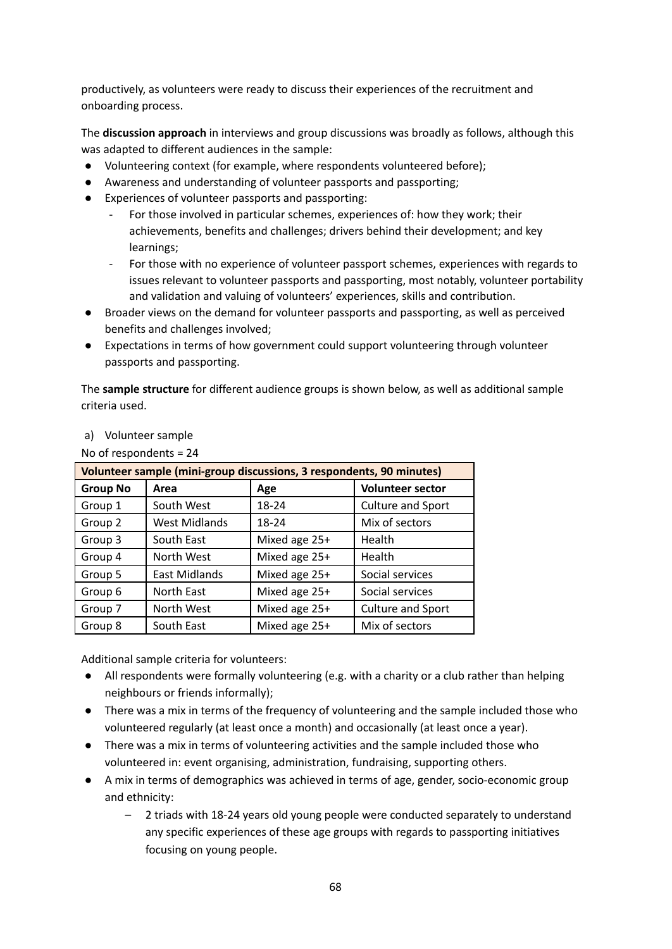productively, as volunteers were ready to discuss their experiences of the recruitment and onboarding process.

The **discussion approach** in interviews and group discussions was broadly as follows, although this was adapted to different audiences in the sample:

- Volunteering context (for example, where respondents volunteered before);
- Awareness and understanding of volunteer passports and passporting;
- Experiences of volunteer passports and passporting:
	- For those involved in particular schemes, experiences of: how they work; their achievements, benefits and challenges; drivers behind their development; and key learnings;
	- For those with no experience of volunteer passport schemes, experiences with regards to issues relevant to volunteer passports and passporting, most notably, volunteer portability and validation and valuing of volunteers' experiences, skills and contribution.
- Broader views on the demand for volunteer passports and passporting, as well as perceived benefits and challenges involved;
- Expectations in terms of how government could support volunteering through volunteer passports and passporting.

The **sample structure** for different audience groups is shown below, as well as additional sample criteria used.

No of respondents = 24

| Volunteer sample (mini-group discussions, 3 respondents, 90 minutes) |               |               |                         |  |
|----------------------------------------------------------------------|---------------|---------------|-------------------------|--|
| <b>Group No</b>                                                      | Area          | Age           | <b>Volunteer sector</b> |  |
| Group 1                                                              | South West    | 18-24         | Culture and Sport       |  |
| Group 2                                                              | West Midlands | 18-24         | Mix of sectors          |  |
| Group 3                                                              | South East    | Mixed age 25+ | Health                  |  |
| Group 4                                                              | North West    | Mixed age 25+ | Health                  |  |
| Group 5                                                              | East Midlands | Mixed age 25+ | Social services         |  |
| Group 6                                                              | North East    | Mixed age 25+ | Social services         |  |
| Group 7                                                              | North West    | Mixed age 25+ | Culture and Sport       |  |
| Group 8                                                              | South East    | Mixed age 25+ | Mix of sectors          |  |

Additional sample criteria for volunteers:

- All respondents were formally volunteering (e.g. with a charity or a club rather than helping neighbours or friends informally);
- There was a mix in terms of the frequency of volunteering and the sample included those who volunteered regularly (at least once a month) and occasionally (at least once a year).
- There was a mix in terms of volunteering activities and the sample included those who volunteered in: event organising, administration, fundraising, supporting others.
- A mix in terms of demographics was achieved in terms of age, gender, socio-economic group and ethnicity:
	- 2 triads with 18-24 years old young people were conducted separately to understand any specific experiences of these age groups with regards to passporting initiatives focusing on young people.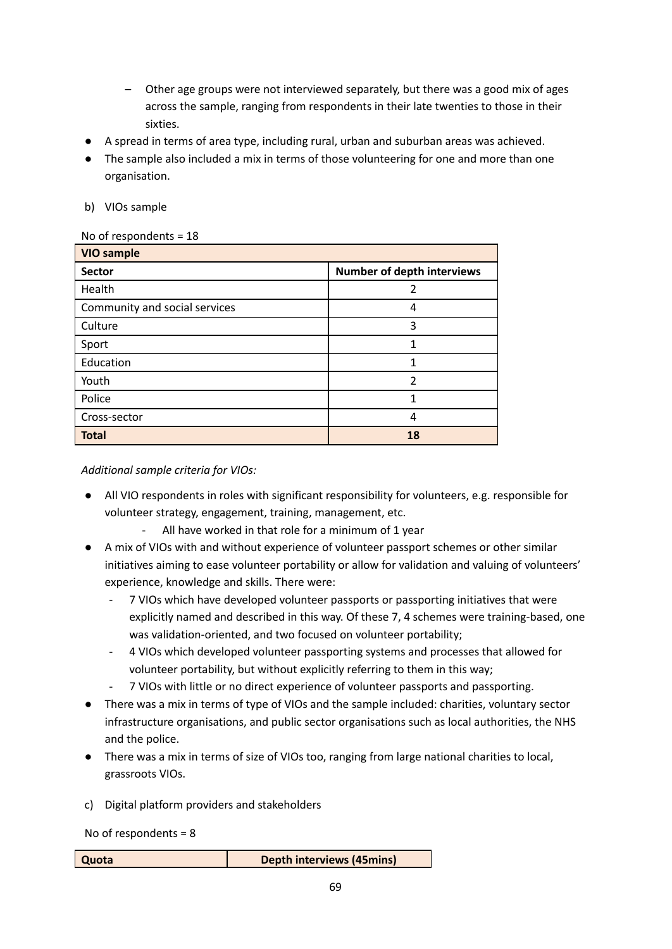- Other age groups were not interviewed separately, but there was a good mix of ages across the sample, ranging from respondents in their late twenties to those in their sixties.
- A spread in terms of area type, including rural, urban and suburban areas was achieved.
- The sample also included a mix in terms of those volunteering for one and more than one organisation.
- b) VIOs sample

#### No of respondents = 18

| <b>VIO sample</b>             |                                   |  |
|-------------------------------|-----------------------------------|--|
| <b>Sector</b>                 | <b>Number of depth interviews</b> |  |
| Health                        | 2                                 |  |
| Community and social services | 4                                 |  |
| Culture                       | 3                                 |  |
| Sport                         |                                   |  |
| Education                     | 1                                 |  |
| Youth                         | $\mathcal{P}$                     |  |
| Police                        | 1                                 |  |
| Cross-sector                  | 4                                 |  |
| <b>Total</b>                  | 18                                |  |

*Additional sample criteria for VIOs:*

- All VIO respondents in roles with significant responsibility for volunteers, e.g. responsible for volunteer strategy, engagement, training, management, etc.
	- All have worked in that role for a minimum of 1 year
- A mix of VIOs with and without experience of volunteer passport schemes or other similar initiatives aiming to ease volunteer portability or allow for validation and valuing of volunteers' experience, knowledge and skills. There were:
	- 7 VIOs which have developed volunteer passports or passporting initiatives that were explicitly named and described in this way. Of these 7, 4 schemes were training-based, one was validation-oriented, and two focused on volunteer portability;
	- 4 VIOs which developed volunteer passporting systems and processes that allowed for volunteer portability, but without explicitly referring to them in this way;
	- 7 VIOs with little or no direct experience of volunteer passports and passporting.
- There was a mix in terms of type of VIOs and the sample included: charities, voluntary sector infrastructure organisations, and public sector organisations such as local authorities, the NHS and the police.
- There was a mix in terms of size of VIOs too, ranging from large national charities to local, grassroots VIOs.
- c) Digital platform providers and stakeholders

No of respondents = 8

| Quota | <b>Depth interviews (45mins)</b> |
|-------|----------------------------------|
|       |                                  |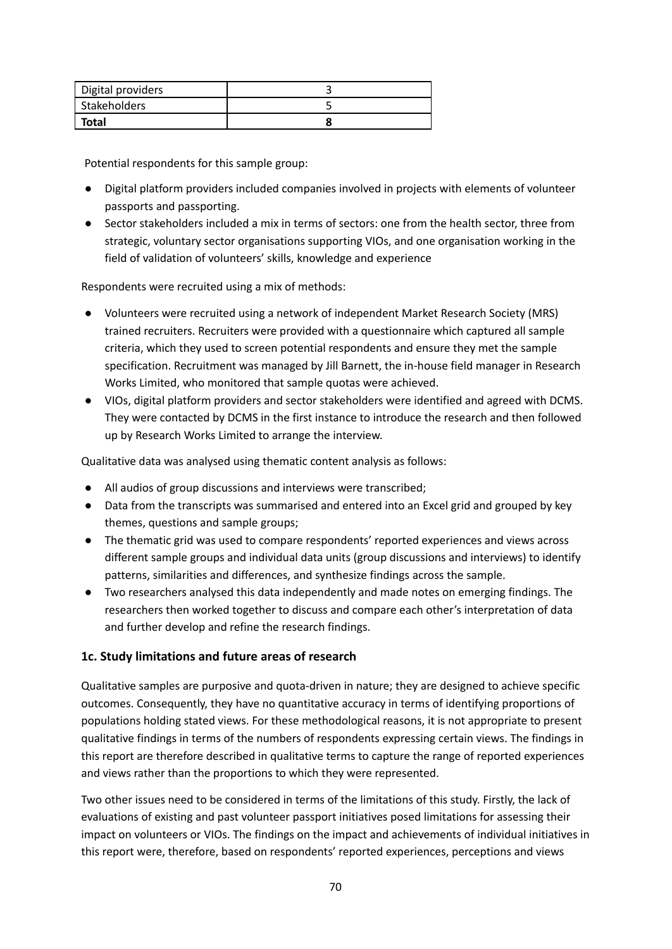| Digital providers |  |
|-------------------|--|
| Stakeholders      |  |
| Total             |  |

Potential respondents for this sample group:

- Digital platform providers included companies involved in projects with elements of volunteer passports and passporting.
- Sector stakeholders included a mix in terms of sectors: one from the health sector, three from strategic, voluntary sector organisations supporting VIOs, and one organisation working in the field of validation of volunteers' skills, knowledge and experience

Respondents were recruited using a mix of methods:

- Volunteers were recruited using a network of independent Market Research Society (MRS) trained recruiters. Recruiters were provided with a questionnaire which captured all sample criteria, which they used to screen potential respondents and ensure they met the sample specification. Recruitment was managed by Jill Barnett, the in-house field manager in Research Works Limited, who monitored that sample quotas were achieved.
- VIOs, digital platform providers and sector stakeholders were identified and agreed with DCMS. They were contacted by DCMS in the first instance to introduce the research and then followed up by Research Works Limited to arrange the interview.

Qualitative data was analysed using thematic content analysis as follows:

- All audios of group discussions and interviews were transcribed;
- Data from the transcripts was summarised and entered into an Excel grid and grouped by key themes, questions and sample groups;
- The thematic grid was used to compare respondents' reported experiences and views across different sample groups and individual data units (group discussions and interviews) to identify patterns, similarities and differences, and synthesize findings across the sample.
- Two researchers analysed this data independently and made notes on emerging findings. The researchers then worked together to discuss and compare each other's interpretation of data and further develop and refine the research findings.

#### **1c. Study limitations and future areas of research**

Qualitative samples are purposive and quota-driven in nature; they are designed to achieve specific outcomes. Consequently, they have no quantitative accuracy in terms of identifying proportions of populations holding stated views. For these methodological reasons, it is not appropriate to present qualitative findings in terms of the numbers of respondents expressing certain views. The findings in this report are therefore described in qualitative terms to capture the range of reported experiences and views rather than the proportions to which they were represented.

Two other issues need to be considered in terms of the limitations of this study. Firstly, the lack of evaluations of existing and past volunteer passport initiatives posed limitations for assessing their impact on volunteers or VIOs. The findings on the impact and achievements of individual initiatives in this report were, therefore, based on respondents' reported experiences, perceptions and views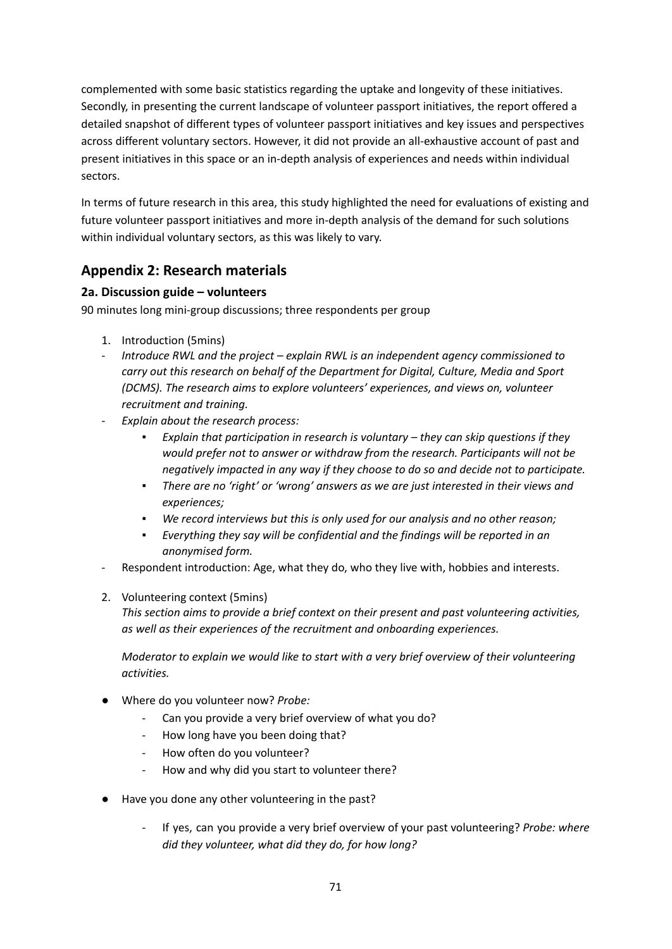complemented with some basic statistics regarding the uptake and longevity of these initiatives. Secondly, in presenting the current landscape of volunteer passport initiatives, the report offered a detailed snapshot of different types of volunteer passport initiatives and key issues and perspectives across different voluntary sectors. However, it did not provide an all-exhaustive account of past and present initiatives in this space or an in-depth analysis of experiences and needs within individual sectors.

In terms of future research in this area, this study highlighted the need for evaluations of existing and future volunteer passport initiatives and more in-depth analysis of the demand for such solutions within individual voluntary sectors, as this was likely to vary.

# **Appendix 2: Research materials**

# **2a. Discussion guide – volunteers**

90 minutes long mini-group discussions; three respondents per group

- 1. Introduction (5mins)
- *- Introduce RWL and the project – explain RWL is an independent agency commissioned to carry out this research on behalf of the Department for Digital, Culture, Media and Sport (DCMS). The research aims to explore volunteers' experiences, and views on, volunteer recruitment and training.*
- *- Explain about the research process:*
	- *▪ Explain that participation in research is voluntary – they can skip questions if they would prefer not to answer or withdraw from the research. Participants will not be negatively impacted in any way if they choose to do so and decide not to participate.*
	- *▪ There are no 'right' or 'wrong' answers as we are just interested in their views and experiences;*
	- *▪ We record interviews but this is only used for our analysis and no other reason;*
	- *▪ Everything they say will be confidential and the findings will be reported in an anonymised form.*
- Respondent introduction: Age, what they do, who they live with, hobbies and interests.
- 2. Volunteering context (5mins)

*This section aims to provide a brief context on their present and past volunteering activities, as well as their experiences of the recruitment and onboarding experiences.*

*Moderator to explain we would like to start with a very brief overview of their volunteering activities.*

- Where do you volunteer now? *Probe:*
	- Can you provide a very brief overview of what you do?
	- How long have you been doing that?
	- How often do you volunteer?
	- How and why did you start to volunteer there?
- Have you done any other volunteering in the past?
	- *-* If yes, can you provide a very brief overview of your past volunteering? *Probe: where did they volunteer, what did they do, for how long?*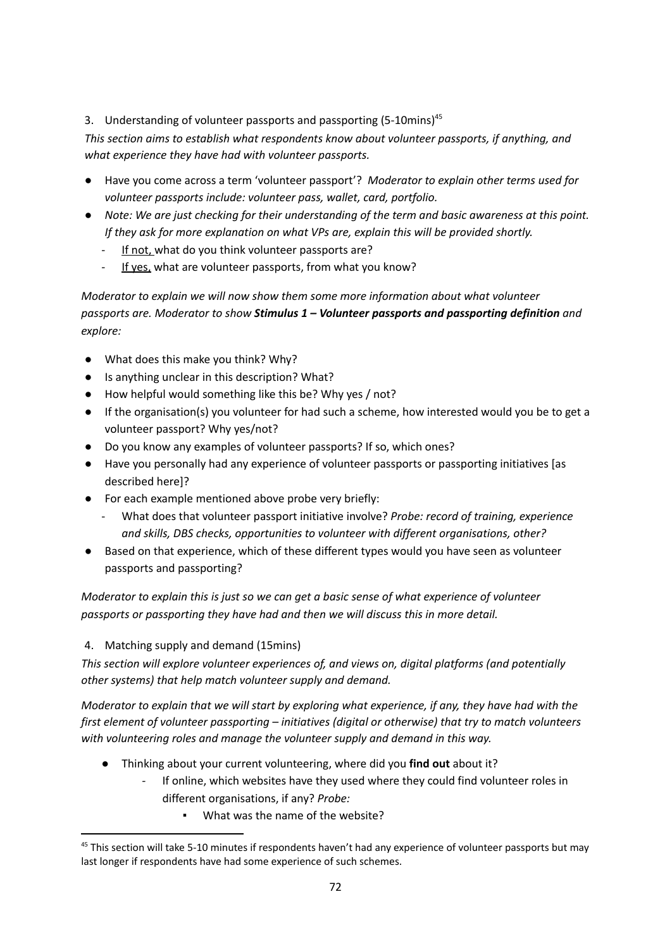# 3. Understanding of volunteer passports and passporting (5-10mins)<sup>45</sup>

*This section aims to establish what respondents know about volunteer passports, if anything, and what experience they have had with volunteer passports.*

- Have you come across a term 'volunteer passport'? *Moderator to explain other terms used for volunteer passports include: volunteer pass, wallet, card, portfolio.*
- *Note: We are just checking for their understanding of the term and basic awareness at this point. If they ask for more explanation on what VPs are, explain this will be provided shortly.*
	- If not, what do you think volunteer passports are?
	- If yes, what are volunteer passports, from what you know?

*Moderator to explain we will now show them some more information about what volunteer passports are. Moderator to show Stimulus 1 – Volunteer passports and passporting definition and explore:*

- What does this make you think? Why?
- Is anything unclear in this description? What?
- How helpful would something like this be? Why yes / not?
- If the organisation(s) you volunteer for had such a scheme, how interested would you be to get a volunteer passport? Why yes/not?
- Do you know any examples of volunteer passports? If so, which ones?
- Have you personally had any experience of volunteer passports or passporting initiatives [as described here]?
- For each example mentioned above probe very briefly:
	- What does that volunteer passport initiative involve? *Probe: record of training, experience and skills, DBS checks, opportunities to volunteer with different organisations, other?*
- *●* Based on that experience, which of these different types would you have seen as volunteer passports and passporting?

*Moderator to explain this is just so we can get a basic sense of what experience of volunteer passports or passporting they have had and then we will discuss this in more detail.*

# 4. Matching supply and demand (15mins)

*This section will explore volunteer experiences of, and views on, digital platforms (and potentially other systems) that help match volunteer supply and demand.*

Moderator to explain that we will start by exploring what experience, if any, they have had with the *first element of volunteer passporting – initiatives (digital or otherwise) that try to match volunteers with volunteering roles and manage the volunteer supply and demand in this way.*

- Thinking about your current volunteering, where did you **find out** about it?
	- If online, which websites have they used where they could find volunteer roles in different organisations, if any? *Probe:*
		- What was the name of the website?

<sup>&</sup>lt;sup>45</sup> This section will take 5-10 minutes if respondents haven't had any experience of volunteer passports but may last longer if respondents have had some experience of such schemes.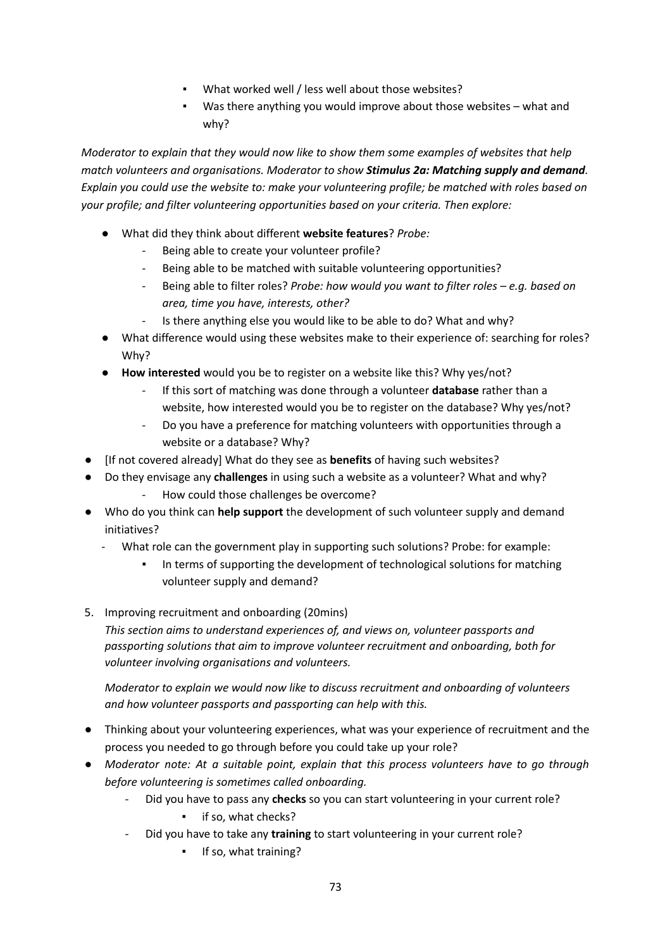- What worked well / less well about those websites?
- Was there anything you would improve about those websites what and why?

*Moderator to explain that they would now like to show them some examples of websites that help match volunteers and organisations. Moderator to show Stimulus 2a: Matching supply and demand. Explain you could use the website to: make your volunteering profile; be matched with roles based on your profile; and filter volunteering opportunities based on your criteria. Then explore:*

- *●* What did they think about different **website features**? *Probe:*
	- *-* Being able to create your volunteer profile?
	- *-* Being able to be matched with suitable volunteering opportunities?
	- *-* Being able to filter roles? *Probe: how would you want to filter roles – e.g. based on area, time you have, interests, other?*
	- Is there anything else you would like to be able to do? What and why?
- *●* What difference would using these websites make to their experience of: searching for roles? Why?
- *●* **How interested** would you be to register on a website like this? Why yes/not?
	- *-* If this sort of matching was done through a volunteer **database** rather than a website, how interested would you be to register on the database? Why yes/not?
	- *-* Do you have a preference for matching volunteers with opportunities through a website or a database? Why?
- [If not covered already] What do they see as **benefits** of having such websites?
- Do they envisage any **challenges** in using such a website as a volunteer? What and why?
	- How could those challenges be overcome?
- Who do you think can **help support** the development of such volunteer supply and demand initiatives?
	- What role can the government play in supporting such solutions? Probe: for example:
		- In terms of supporting the development of technological solutions for matching volunteer supply and demand?
- 5. Improving recruitment and onboarding (20mins)

*This section aims to understand experiences of, and views on, volunteer passports and passporting solutions that aim to improve volunteer recruitment and onboarding, both for volunteer involving organisations and volunteers.*

*Moderator to explain we would now like to discuss recruitment and onboarding of volunteers and how volunteer passports and passporting can help with this.*

- *●* Thinking about your volunteering experiences, what was your experience of recruitment and the process you needed to go through before you could take up your role?
- *● Moderator note: At a suitable point, explain that this process volunteers have to go through before volunteering is sometimes called onboarding.*
	- Did you have to pass any **checks** so you can start volunteering in your current role?
		- if so, what checks?
	- Did you have to take any **training** to start volunteering in your current role?
		- If so, what training?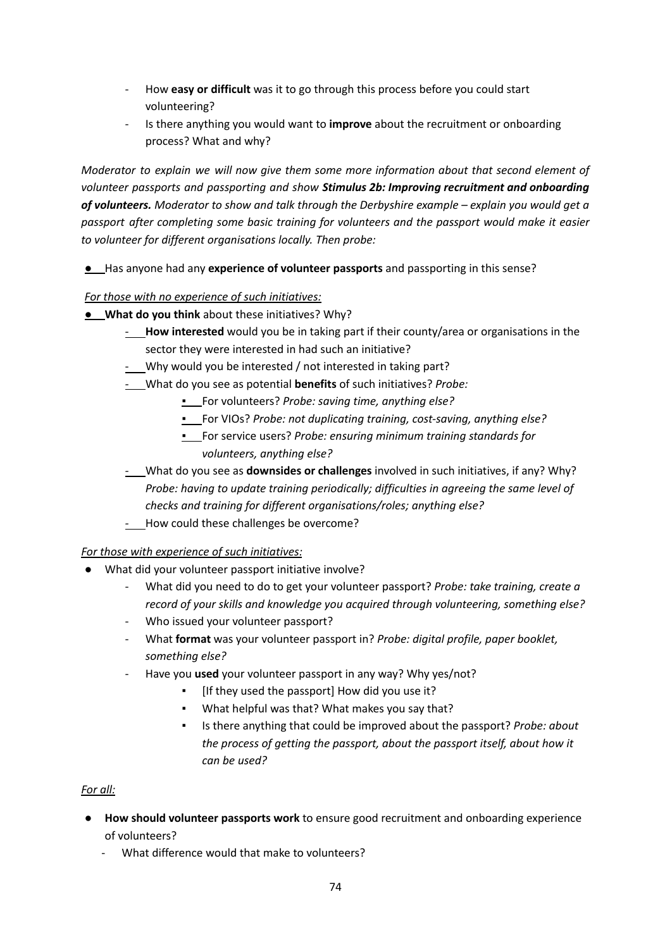- How **easy or difficult** was it to go through this process before you could start volunteering?
- Is there anything you would want to **improve** about the recruitment or onboarding process? What and why?

*Moderator to explain we will now give them some more information about that second element of volunteer passports and passporting and show Stimulus 2b: Improving recruitment and onboarding of volunteers. Moderator to show and talk through the Derbyshire example – explain you would get a passport after completing some basic training for volunteers and the passport would make it easier to volunteer for different organisations locally. Then probe:*

● Has anyone had any **experience of volunteer passports** and passporting in this sense?

## *For those with no experience of such initiatives:*

- **What do you think** about these initiatives? Why?
	- **How interested** would you be in taking part if their county/area or organisations in the sector they were interested in had such an initiative?
	- Why would you be interested / not interested in taking part?
	- *-* What do you see as potential **benefits** of such initiatives? *Probe:*
		- For volunteers? *Probe: saving time, anything else?*
		- *▪* For VIOs? *Probe: not duplicating training, cost-saving, anything else?*
		- For service users? *Probe: ensuring minimum training standards for volunteers, anything else?*
	- *-* What do you see as **downsides or challenges** involved in such initiatives, if any? Why? *Probe: having to update training periodically; difficulties in agreeing the same level of checks and training for different organisations/roles; anything else?*
	- *-* How could these challenges be overcome?

### *For those with experience of such initiatives:*

- What did your volunteer passport initiative involve?
	- What did you need to do to get your volunteer passport? *Probe: take training, create a record of your skills and knowledge you acquired through volunteering, something else?*
	- Who issued your volunteer passport?
	- What **format** was your volunteer passport in? *Probe: digital profile, paper booklet, something else?*
	- Have you **used** your volunteer passport in any way? Why yes/not?
		- *▪* [If they used the passport] How did you use it?
		- *▪* What helpful was that? What makes you say that?
		- *▪* Is there anything that could be improved about the passport? *Probe: about the process of getting the passport, about the passport itself, about how it can be used?*

### *For all:*

- **How should volunteer passports work** to ensure good recruitment and onboarding experience of volunteers?
	- What difference would that make to volunteers?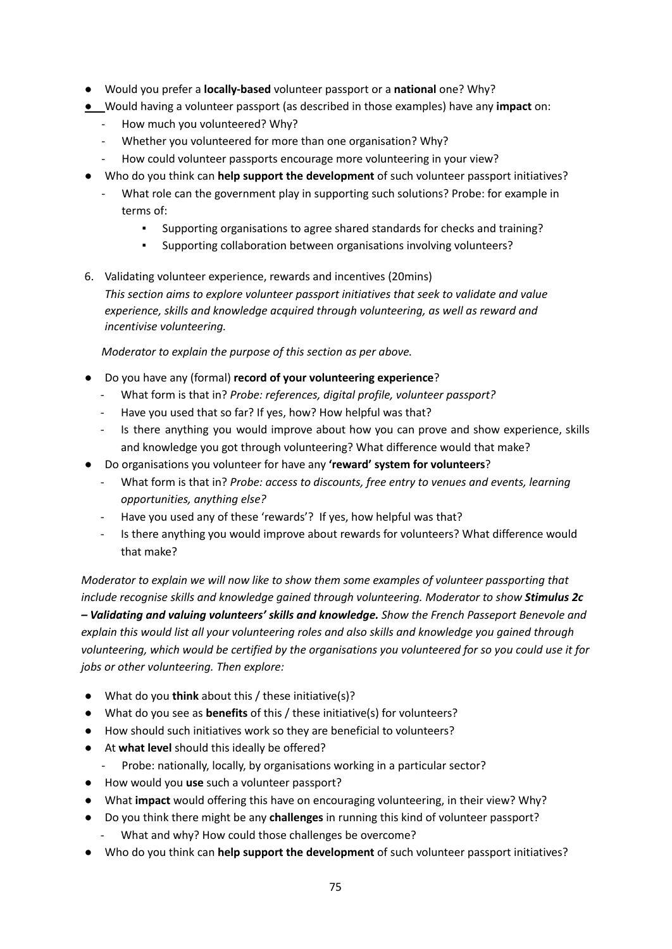- Would you prefer a **locally-based** volunteer passport or a **national** one? Why?
- Would having a volunteer passport (as described in those examples) have any **impact** on:
	- How much you volunteered? Why?
	- Whether you volunteered for more than one organisation? Why?
	- How could volunteer passports encourage more volunteering in your view?
- Who do you think can **help support the development** of such volunteer passport initiatives?
	- What role can the government play in supporting such solutions? Probe: for example in terms of:
		- Supporting organisations to agree shared standards for checks and training?
		- Supporting collaboration between organisations involving volunteers?

6. Validating volunteer experience, rewards and incentives (20mins) *This section aims to explore volunteer passport initiatives that seek to validate and value experience, skills and knowledge acquired through volunteering, as well as reward and incentivise volunteering.*

*Moderator to explain the purpose of this section as per above.*

- Do you have any (formal) **record of your volunteering experience**?
	- What form is that in? *Probe: references, digital profile, volunteer passport?*
	- Have you used that so far? If yes, how? How helpful was that?
	- Is there anything you would improve about how you can prove and show experience, skills and knowledge you got through volunteering? What difference would that make?
- Do organisations you volunteer for have any **'reward' system for volunteers**?
	- What form is that in? *Probe: access to discounts, free entry to venues and events, learning opportunities, anything else?*
	- Have you used any of these 'rewards'? If yes, how helpful was that?
	- Is there anything you would improve about rewards for volunteers? What difference would that make?

*Moderator to explain we will now like to show them some examples of volunteer passporting that include recognise skills and knowledge gained through volunteering. Moderator to show Stimulus 2c – Validating and valuing volunteers' skills and knowledge. Show the French Passeport Benevole and explain this would list all your volunteering roles and also skills and knowledge you gained through volunteering, which would be certified by the organisations you volunteered for so you could use it for jobs or other volunteering. Then explore:*

- What do you **think** about this / these initiative(s)?
- What do you see as **benefits** of this / these initiative(s) for volunteers?
- How should such initiatives work so they are beneficial to volunteers?
- At **what level** should this ideally be offered?
	- Probe: nationally, locally, by organisations working in a particular sector?
- How would you **use** such a volunteer passport?
- What **impact** would offering this have on encouraging volunteering, in their view? Why?
- Do you think there might be any **challenges** in running this kind of volunteer passport?
	- What and why? How could those challenges be overcome?
- Who do you think can **help support the development** of such volunteer passport initiatives?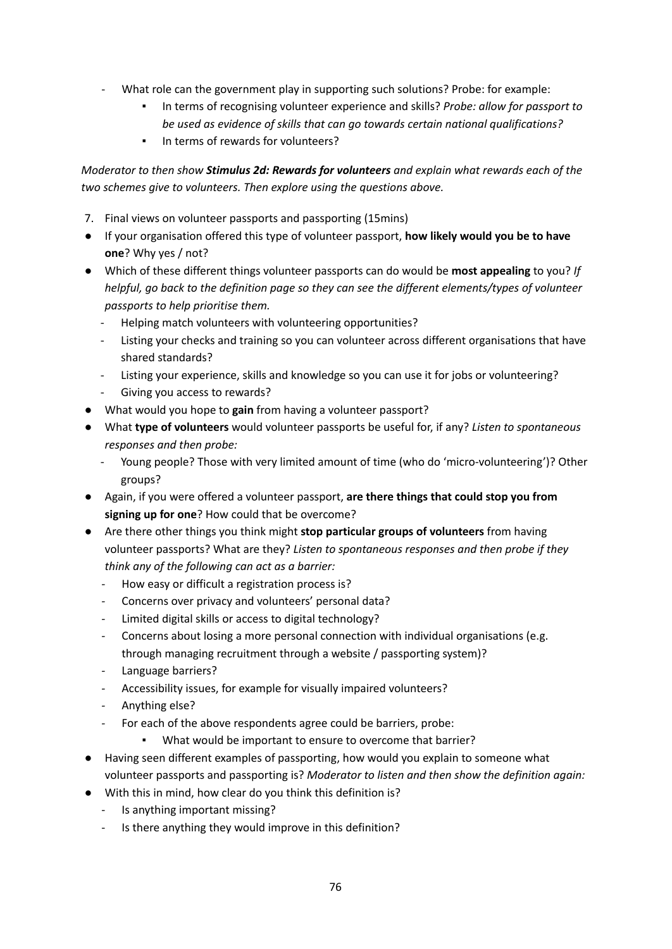- What role can the government play in supporting such solutions? Probe: for example:
	- *▪* In terms of recognising volunteer experience and skills? *Probe: allow for passport to be used as evidence of skills that can go towards certain national qualifications?*
	- In terms of rewards for volunteers?

*Moderator to then show Stimulus 2d: Rewards for volunteers and explain what rewards each of the two schemes give to volunteers. Then explore using the questions above.*

- 7. Final views on volunteer passports and passporting (15mins)
- If your organisation offered this type of volunteer passport, **how likely would you be to have one**? Why yes / not?
- Which of these different things volunteer passports can do would be **most appealing** to you? *If helpful, go back to the definition page so they can see the different elements/types of volunteer passports to help prioritise them.*
	- Helping match volunteers with volunteering opportunities?
	- Listing your checks and training so you can volunteer across different organisations that have shared standards?
	- Listing your experience, skills and knowledge so you can use it for jobs or volunteering?
	- Giving you access to rewards?
- What would you hope to **gain** from having a volunteer passport?
- *●* What **type of volunteers** would volunteer passports be useful for, if any? *Listen to spontaneous responses and then probe:*
	- Young people? Those with very limited amount of time (who do 'micro-volunteering')? Other groups?
- Again, if you were offered a volunteer passport, **are there things that could stop you from signing up for one**? How could that be overcome?
- Are there other things you think might **stop particular groups of volunteers** from having volunteer passports? What are they? *Listen to spontaneous responses and then probe if they think any of the following can act as a barrier:*
	- *-* How easy or difficult a registration process is?
	- *-* Concerns over privacy and volunteers' personal data?
	- *-* Limited digital skills or access to digital technology?
	- *-* Concerns about losing a more personal connection with individual organisations (e.g. through managing recruitment through a website / passporting system)?
	- *-* Language barriers?
	- *-* Accessibility issues, for example for visually impaired volunteers?
	- *-* Anything else?
	- *-* For each of the above respondents agree could be barriers, probe:
		- What would be important to ensure to overcome that barrier?
- Having seen different examples of passporting, how would you explain to someone what volunteer passports and passporting is? *Moderator to listen and then show the definition again:*
- With this in mind, how clear do you think this definition is?
	- Is anything important missing?
	- Is there anything they would improve in this definition?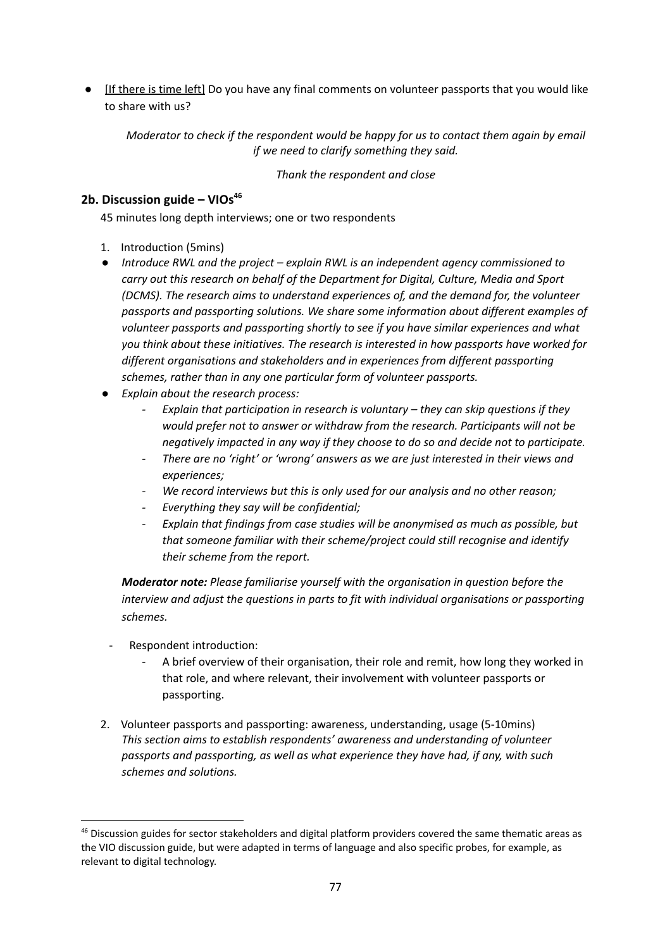● If there is time left] Do you have any final comments on volunteer passports that you would like to share with us?

*Moderator to check if the respondent would be happy for us to contact them again by email if we need to clarify something they said.*

*Thank the respondent and close*

## **2b. Discussion guide – VIOs<sup>46</sup>**

45 minutes long depth interviews; one or two respondents

- 1. Introduction (5mins)
- *● Introduce RWL and the project – explain RWL is an independent agency commissioned to carry out this research on behalf of the Department for Digital, Culture, Media and Sport (DCMS). The research aims to understand experiences of, and the demand for, the volunteer passports and passporting solutions. We share some information about different examples of volunteer passports and passporting shortly to see if you have similar experiences and what you think about these initiatives. The research is interested in how passports have worked for different organisations and stakeholders and in experiences from different passporting schemes, rather than in any one particular form of volunteer passports.*
- *● Explain about the research process:*
	- *- Explain that participation in research is voluntary – they can skip questions if they would prefer not to answer or withdraw from the research. Participants will not be negatively impacted in any way if they choose to do so and decide not to participate.*
	- *- There are no 'right' or 'wrong' answers as we are just interested in their views and experiences;*
	- *- We record interviews but this is only used for our analysis and no other reason;*
	- *- Everything they say will be confidential;*
	- *- Explain that findings from case studies will be anonymised as much as possible, but that someone familiar with their scheme/project could still recognise and identify their scheme from the report.*

*Moderator note: Please familiarise yourself with the organisation in question before the interview and adjust the questions in parts to fit with individual organisations or passporting schemes.*

- Respondent introduction:
	- A brief overview of their organisation, their role and remit, how long they worked in that role, and where relevant, their involvement with volunteer passports or passporting.
- 2. Volunteer passports and passporting: awareness, understanding, usage (5-10mins) *This section aims to establish respondents' awareness and understanding of volunteer passports and passporting, as well as what experience they have had, if any, with such schemes and solutions.*

<sup>&</sup>lt;sup>46</sup> Discussion guides for sector stakeholders and digital platform providers covered the same thematic areas as the VIO discussion guide, but were adapted in terms of language and also specific probes, for example, as relevant to digital technology.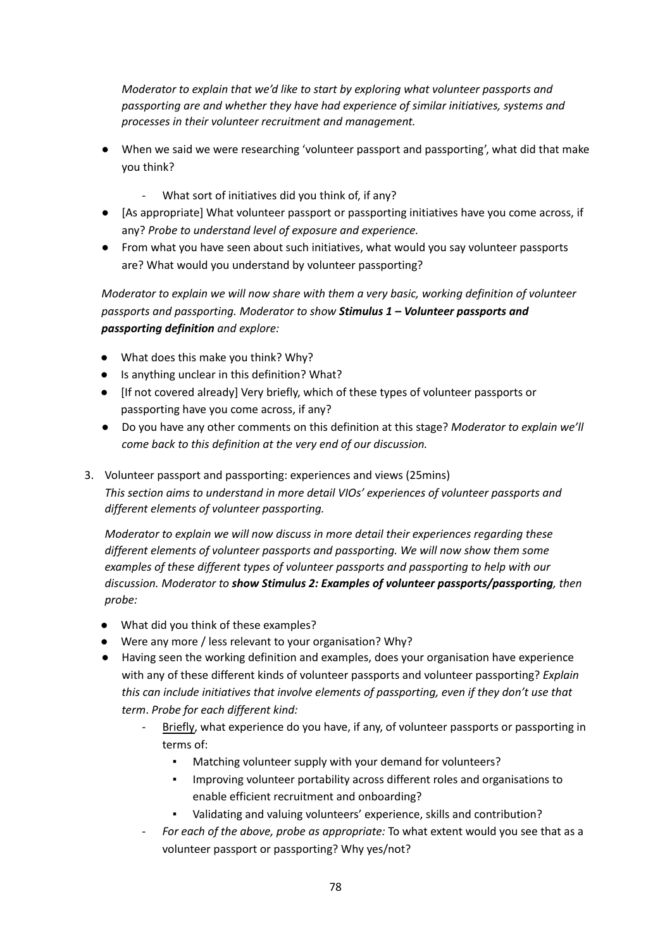*Moderator to explain that we'd like to start by exploring what volunteer passports and passporting are and whether they have had experience of similar initiatives, systems and processes in their volunteer recruitment and management.*

- When we said we were researching 'volunteer passport and passporting', what did that make you think?
	- What sort of initiatives did you think of, if any?
- [As appropriate] What volunteer passport or passporting initiatives have you come across, if any? *Probe to understand level of exposure and experience.*
- From what you have seen about such initiatives, what would you say volunteer passports are? What would you understand by volunteer passporting?

*Moderator to explain we will now share with them a very basic, working definition of volunteer passports and passporting. Moderator to show Stimulus 1 – Volunteer passports and passporting definition and explore:*

- What does this make you think? Why?
- Is anything unclear in this definition? What?
- *●* [If not covered already] Very briefly, which of these types of volunteer passports or passporting have you come across, if any?
- *●* Do you have any other comments on this definition at this stage? *Moderator to explain we'll come back to this definition at the very end of our discussion.*
- 3. Volunteer passport and passporting: experiences and views (25mins) *This section aims to understand in more detail VIOs' experiences of volunteer passports and different elements of volunteer passporting.*

*Moderator to explain we will now discuss in more detail their experiences regarding these different elements of volunteer passports and passporting. We will now show them some examples of these different types of volunteer passports and passporting to help with our discussion. Moderator to show Stimulus 2: Examples of volunteer passports/passporting, then probe:*

- What did you think of these examples?
- Were any more / less relevant to your organisation? Why?
- *●* Having seen the working definition and examples, does your organisation have experience with any of these different kinds of volunteer passports and volunteer passporting? *Explain this can include initiatives that involve elements of passporting, even if they don't use that term*. *Probe for each different kind:*
	- *-* Briefly, what experience do you have, if any, of volunteer passports or passporting in terms of:
		- Matching volunteer supply with your demand for volunteers?
		- Improving volunteer portability across different roles and organisations to enable efficient recruitment and onboarding?
		- Validating and valuing volunteers' experience, skills and contribution?
	- *- For each of the above, probe as appropriate:* To what extent would you see that as a volunteer passport or passporting? Why yes/not?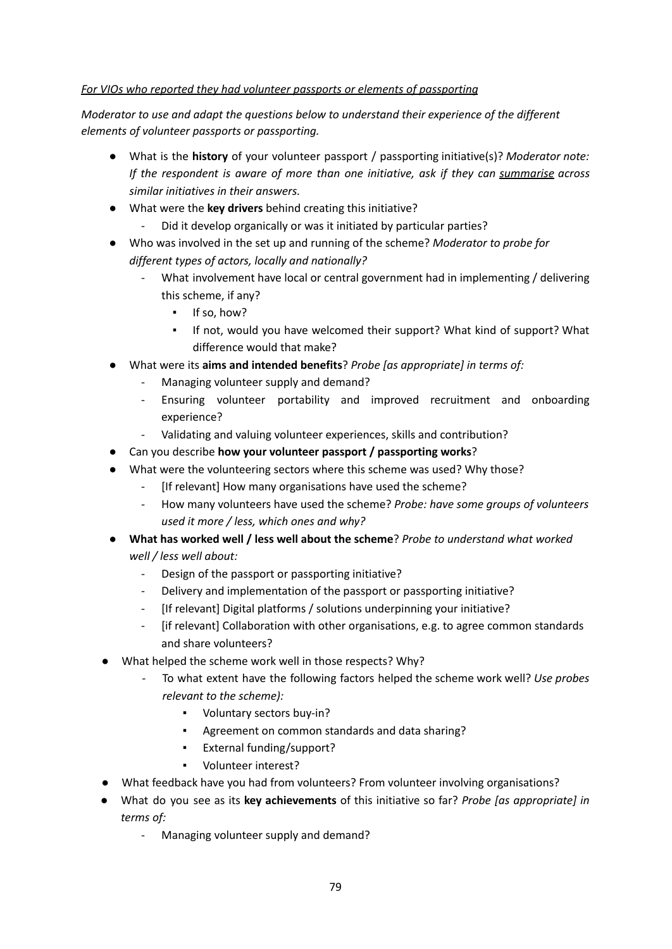### *For VIOs who reported they had volunteer passports or elements of passporting*

*Moderator to use and adapt the questions below to understand their experience of the different elements of volunteer passports or passporting.*

- What is the **history** of your volunteer passport / passporting initiative(s)? *Moderator note: If the respondent is aware of more than one initiative, ask if they can summarise across similar initiatives in their answers.*
- What were the **key drivers** behind creating this initiative?
	- Did it develop organically or was it initiated by particular parties?
- Who was involved in the set up and running of the scheme? *Moderator to probe for different types of actors, locally and nationally?*
	- What involvement have local or central government had in implementing / delivering this scheme, if any?
		- If so, how?
		- If not, would you have welcomed their support? What kind of support? What difference would that make?
- What were its **aims and intended benefits**? *Probe [as appropriate] in terms of:*
	- Managing volunteer supply and demand?
	- Ensuring volunteer portability and improved recruitment and onboarding experience?
	- Validating and valuing volunteer experiences, skills and contribution?
- Can you describe **how your volunteer passport / passporting works**?
- **What were the volunteering sectors where this scheme was used? Why those?** 
	- [If relevant] How many organisations have used the scheme?
	- *-* How many volunteers have used the scheme? *Probe: have some groups of volunteers used it more / less, which ones and why?*
- *●* **What has worked well / less well about the scheme**? *Probe to understand what worked well / less well about:*
	- Design of the passport or passporting initiative?
	- Delivery and implementation of the passport or passporting initiative?
	- [If relevant] Digital platforms / solutions underpinning your initiative?
	- [if relevant] Collaboration with other organisations, e.g. to agree common standards and share volunteers?
- What helped the scheme work well in those respects? Why?
	- *-* To what extent have the following factors helped the scheme work well? *Use probes relevant to the scheme):*
		- Voluntary sectors buy-in?
		- Agreement on common standards and data sharing?
		- External funding/support?
		- Volunteer interest?
- What feedback have you had from volunteers? From volunteer involving organisations?
- What do you see as its **key achievements** of this initiative so far? *Probe [as appropriate] in terms of:*
	- Managing volunteer supply and demand?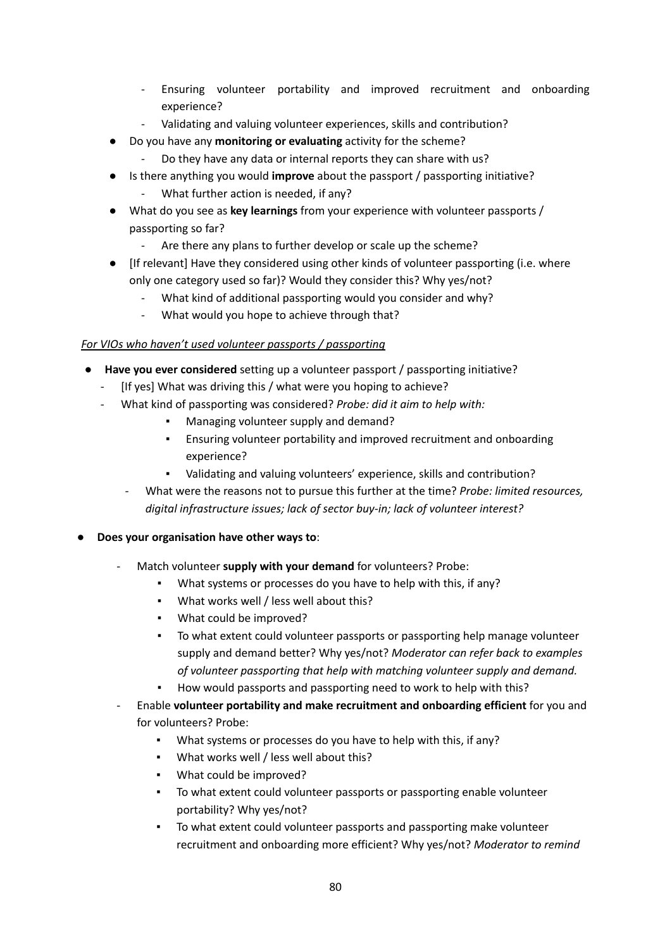- Ensuring volunteer portability and improved recruitment and onboarding experience?
- Validating and valuing volunteer experiences, skills and contribution?
- Do you have any **monitoring or evaluating** activity for the scheme?
	- Do they have any data or internal reports they can share with us?
- Is there anything you would **improve** about the passport / passporting initiative? What further action is needed, if any?
- What do you see as **key learnings** from your experience with volunteer passports / passporting so far?
	- Are there any plans to further develop or scale up the scheme?
- [If relevant] Have they considered using other kinds of volunteer passporting (i.e. where only one category used so far)? Would they consider this? Why yes/not?
	- What kind of additional passporting would you consider and why?
	- What would you hope to achieve through that?

### *For VIOs who haven't used volunteer passports / passporting*

- **Have you ever considered** setting up a volunteer passport / passporting initiative?
	- [If yes] What was driving this / what were you hoping to achieve?
	- What kind of passporting was considered? *Probe: did it aim to help with:*
		- Managing volunteer supply and demand?
		- Ensuring volunteer portability and improved recruitment and onboarding experience?
		- Validating and valuing volunteers' experience, skills and contribution?
		- *-* What were the reasons not to pursue this further at the time? *Probe: limited resources, digital infrastructure issues; lack of sector buy-in; lack of volunteer interest?*
- **Does your organisation have other ways to**:
	- Match volunteer **supply with your demand** for volunteers? Probe:
		- What systems or processes do you have to help with this, if any?
		- What works well / less well about this?
		- What could be improved?
		- To what extent could volunteer passports or passporting help manage volunteer supply and demand better? Why yes/not? *Moderator can refer back to examples of volunteer passporting that help with matching volunteer supply and demand.*
		- How would passports and passporting need to work to help with this?
	- Enable **volunteer portability and make recruitment and onboarding efficient** for you and for volunteers? Probe:
		- What systems or processes do you have to help with this, if any?
		- What works well / less well about this?
		- What could be improved?
		- To what extent could volunteer passports or passporting enable volunteer portability? Why yes/not?
		- To what extent could volunteer passports and passporting make volunteer recruitment and onboarding more efficient? Why yes/not? *Moderator to remind*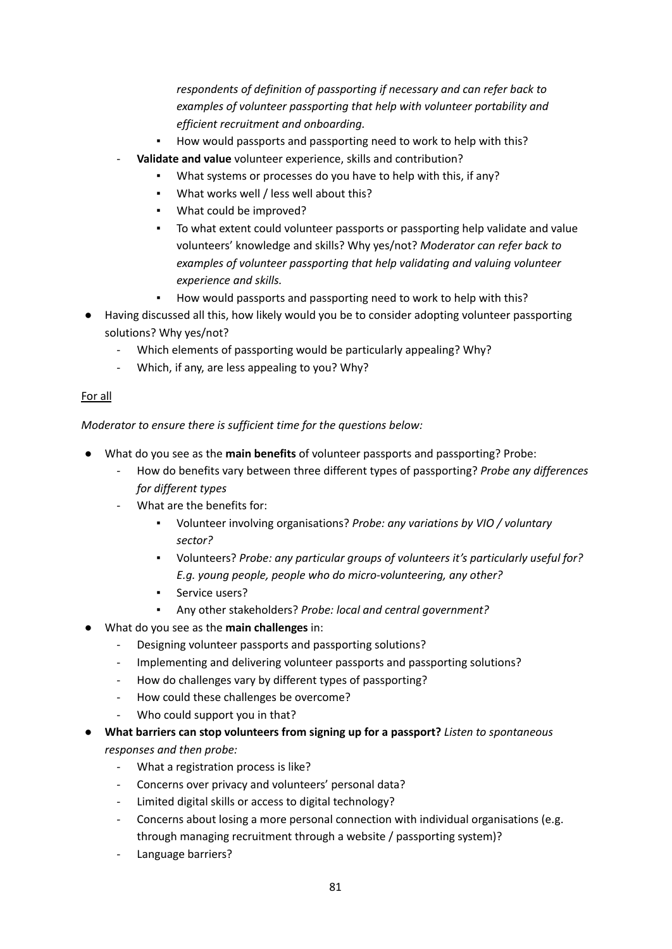*respondents of definition of passporting if necessary and can refer back to examples of volunteer passporting that help with volunteer portability and efficient recruitment and onboarding.*

- How would passports and passporting need to work to help with this?
- **Validate and value** volunteer experience, skills and contribution?
	- What systems or processes do you have to help with this, if any?
	- What works well / less well about this?
	- What could be improved?
	- To what extent could volunteer passports or passporting help validate and value volunteers' knowledge and skills? Why yes/not? *Moderator can refer back to examples of volunteer passporting that help validating and valuing volunteer experience and skills.*
	- How would passports and passporting need to work to help with this?
- Having discussed all this, how likely would you be to consider adopting volunteer passporting solutions? Why yes/not?
	- Which elements of passporting would be particularly appealing? Why?
	- Which, if any, are less appealing to you? Why?

#### For all

*Moderator to ensure there is sufficient time for the questions below:*

- What do you see as the **main benefits** of volunteer passports and passporting? Probe:
	- *-* How do benefits vary between three different types of passporting? *Probe any differences for different types*
	- What are the benefits for:
		- *▪* Volunteer involving organisations? *Probe: any variations by VIO / voluntary sector?*
		- *▪* Volunteers? *Probe: any particular groups of volunteers it's particularly useful for? E.g. young people, people who do micro-volunteering, any other?*
		- **•** Service users?
		- Any other stakeholders? *Probe: local and central government?*
- What do you see as the **main challenges** in:
	- Designing volunteer passports and passporting solutions?
	- Implementing and delivering volunteer passports and passporting solutions?
	- How do challenges vary by different types of passporting?
	- How could these challenges be overcome?
	- Who could support you in that?
- *●* **What barriers can stop volunteers from signing up for a passport?** *Listen to spontaneous responses and then probe:*
	- *-* What a registration process is like?
	- *-* Concerns over privacy and volunteers' personal data?
	- *-* Limited digital skills or access to digital technology?
	- *-* Concerns about losing a more personal connection with individual organisations (e.g. through managing recruitment through a website / passporting system)?
	- *-* Language barriers?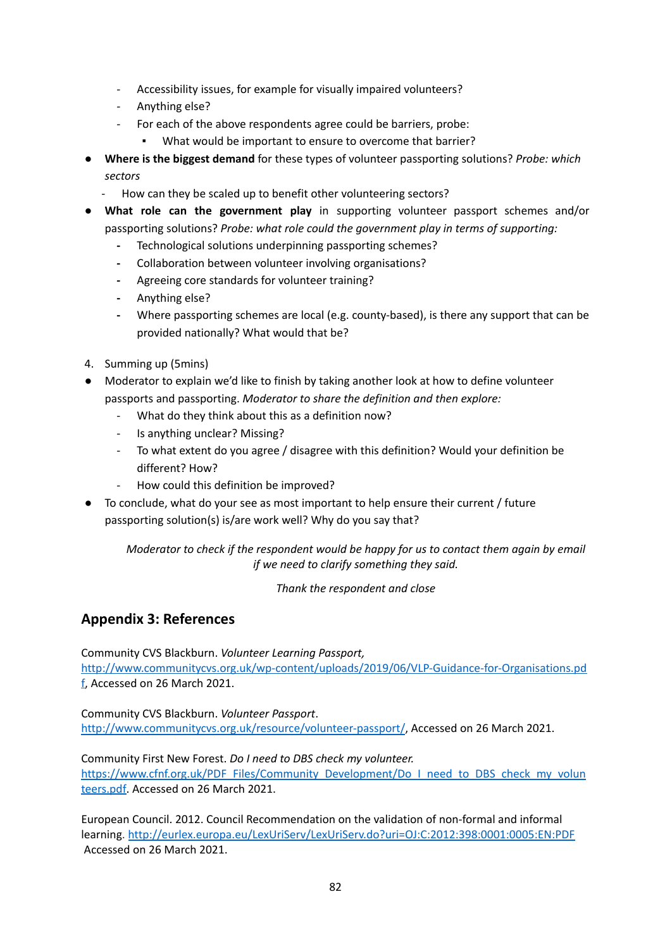- *-* Accessibility issues, for example for visually impaired volunteers?
- *-* Anything else?
- *-* For each of the above respondents agree could be barriers, probe:
	- What would be important to ensure to overcome that barrier?
- *●* **Where is the biggest demand** for these types of volunteer passporting solutions? *Probe: which sectors*
	- How can they be scaled up to benefit other volunteering sectors?
- **● What role can the government play** in supporting volunteer passport schemes and/or passporting solutions? *Probe: what role could the government play in terms of supporting:*
	- **-** Technological solutions underpinning passporting schemes?
	- **-** Collaboration between volunteer involving organisations?
	- **-** Agreeing core standards for volunteer training?
	- **-** Anything else?
	- **-** Where passporting schemes are local (e.g. county-based), is there any support that can be provided nationally? What would that be?
- 4. Summing up (5mins)
- Moderator to explain we'd like to finish by taking another look at how to define volunteer passports and passporting. *Moderator to share the definition and then explore:*
	- What do they think about this as a definition now?
	- Is anything unclear? Missing?
	- To what extent do you agree / disagree with this definition? Would your definition be different? How?
	- How could this definition be improved?
- To conclude, what do your see as most important to help ensure their current / future passporting solution(s) is/are work well? Why do you say that?

*Moderator to check if the respondent would be happy for us to contact them again by email if we need to clarify something they said.*

*Thank the respondent and close*

# **Appendix 3: References**

Community CVS Blackburn. *Volunteer Learning Passport,* [http://www.communitycvs.org.uk/wp-content/uploads/2019/06/VLP-Guidance-for-Organisations.pd](http://www.communitycvs.org.uk/wp-content/uploads/2019/06/VLP-Guidance-for-Organisations.pdf) [f](http://www.communitycvs.org.uk/wp-content/uploads/2019/06/VLP-Guidance-for-Organisations.pdf), Accessed on 26 March 2021.

Community CVS Blackburn. *Volunteer Passport*. <http://www.communitycvs.org.uk/resource/volunteer-passport/>, Accessed on 26 March 2021.

Community First New Forest. *Do I need to DBS check my volunteer.* [https://www.cfnf.org.uk/PDF\\_Files/Community\\_Development/Do\\_I\\_need\\_to\\_DBS\\_check\\_my\\_volun](https://www.cfnf.org.uk/PDF_Files/Community_Development/Do_I_need_to_DBS_check_my_volunteers.pdf) [teers.pdf](https://www.cfnf.org.uk/PDF_Files/Community_Development/Do_I_need_to_DBS_check_my_volunteers.pdf). Accessed on 26 March 2021.

European Council. 2012. Council Recommendation on the validation of non-formal and informal learning. <http://eurlex.europa.eu/LexUriServ/LexUriServ.do?uri=OJ:C:2012:398:0001:0005:EN:PDF> Accessed on 26 March 2021.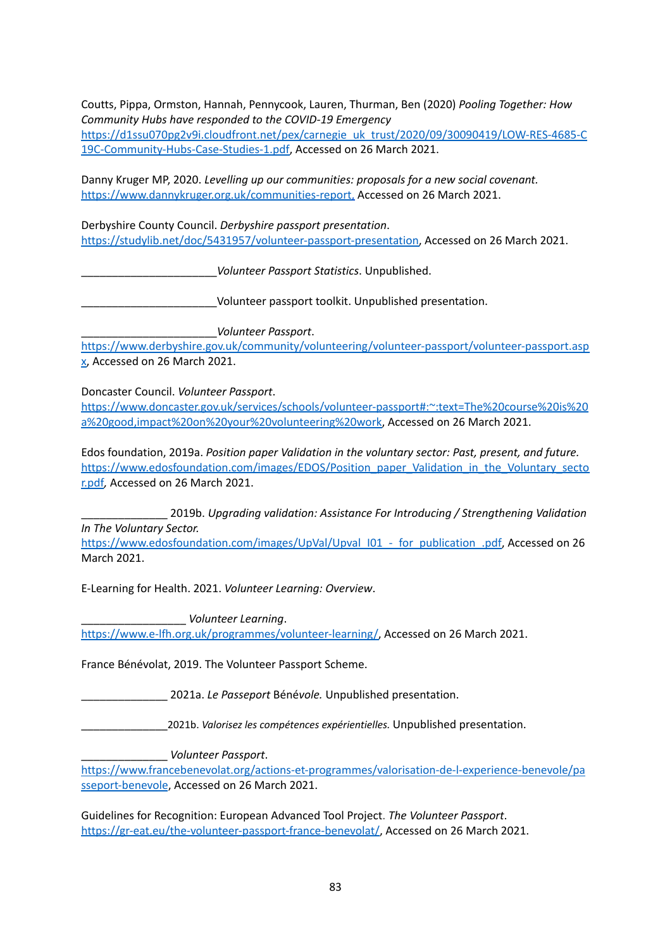Coutts, Pippa, Ormston, Hannah, Pennycook, Lauren, Thurman, Ben (2020) *Pooling Together: How Community Hubs have responded to the COVID-19 Emergency*

[https://d1ssu070pg2v9i.cloudfront.net/pex/carnegie\\_uk\\_trust/2020/09/30090419/LOW-RES-4685-C](https://d1ssu070pg2v9i.cloudfront.net/pex/carnegie_uk_trust/2020/09/30090419/LOW-RES-4685-C19C-Community-Hubs-Case-Studies-1.pdf) [19C-Community-Hubs-Case-Studies-1.pdf,](https://d1ssu070pg2v9i.cloudfront.net/pex/carnegie_uk_trust/2020/09/30090419/LOW-RES-4685-C19C-Community-Hubs-Case-Studies-1.pdf) Accessed on 26 March 2021.

Danny Kruger MP, 2020. *Levelling up our communities: proposals for a new social covenant.* [https://www.dannykruger.org.uk/communities-report,](https://www.dannykruger.org.uk/communities-report) Accessed on 26 March 2021.

Derbyshire County Council. *Derbyshire passport presentation*. [https://studylib.net/doc/5431957/volunteer-passport-presentation,](https://studylib.net/doc/5431957/volunteer-passport-presentation) Accessed on 26 March 2021.

\_\_\_\_\_\_\_\_\_\_\_\_\_\_\_\_\_\_\_\_\_\_*Volunteer Passport Statistics*. Unpublished.

\_\_\_\_\_\_\_\_\_\_\_\_\_\_\_\_\_\_\_\_\_\_Volunteer passport toolkit. Unpublished presentation.

\_\_\_\_\_\_\_\_\_\_\_\_\_\_\_\_\_\_\_\_\_\_*Volunteer Passport*.

[https://www.derbyshire.gov.uk/community/volunteering/volunteer-passport/volunteer-passport.asp](https://www.derbyshire.gov.uk/community/volunteering/volunteer-passport/volunteer-passport.aspx) [x,](https://www.derbyshire.gov.uk/community/volunteering/volunteer-passport/volunteer-passport.aspx) Accessed on 26 March 2021.

Doncaster Council. *Volunteer Passport*.

[https://www.doncaster.gov.uk/services/schools/volunteer-passport#:~:text=The%20course%20is%20](https://www.doncaster.gov.uk/services/schools/volunteer-passport#:~:text=The%20course%20is%20a%20good,impact%20on%20your%20volunteering%20work) [a%20good,impact%20on%20your%20volunteering%20work,](https://www.doncaster.gov.uk/services/schools/volunteer-passport#:~:text=The%20course%20is%20a%20good,impact%20on%20your%20volunteering%20work) Accessed on 26 March 2021.

Edos foundation, 2019a. *Position paper Validation in the voluntary sector: Past, present, and future.* [https://www.edosfoundation.com/images/EDOS/Position\\_paper\\_Validation\\_in\\_the\\_Voluntary\\_secto](https://www.edosfoundation.com/images/EDOS/Position_paper_Validation_in_the_Voluntary_sector.pdf) [r.pdf](https://www.edosfoundation.com/images/EDOS/Position_paper_Validation_in_the_Voluntary_sector.pdf)*,* Accessed on 26 March 2021.

\_\_\_\_\_\_\_\_\_\_\_\_\_\_ 2019b. *Upgrading validation: Assistance For Introducing / Strengthening Validation In The Voluntary Sector.*

https://www.edosfoundation.com/images/UpVal/Upval\_I01 - for\_publication\_.pdf, Accessed on 26 March 2021.

E-Learning for Health. 2021. *Volunteer Learning: Overview*.

\_\_\_\_\_\_\_\_\_\_\_\_\_\_\_\_\_ *Volunteer Learning*. [https://www.e-lfh.org.uk/programmes/volunteer-learning/,](https://www.e-lfh.org.uk/programmes/volunteer-learning/) Accessed on 26 March 2021.

France Bénévolat, 2019. The Volunteer Passport Scheme.

\_\_\_\_\_\_\_\_\_\_\_\_\_\_ 2021a. *Le Passeport* Béné*vole.* Unpublished presentation.

\_\_\_\_\_\_\_\_\_\_\_\_\_\_2021b. *Valorisez les compétences expérientielles.* Unpublished presentation.

\_\_\_\_\_\_\_\_\_\_\_\_\_\_ *Volunteer Passport*.

[https://www.francebenevolat.org/actions-et-programmes/valorisation-de-l-experience-benevole/pa](https://www.francebenevolat.org/actions-et-programmes/valorisation-de-l-experience-benevole/passeport-benevole) [sseport-benevole](https://www.francebenevolat.org/actions-et-programmes/valorisation-de-l-experience-benevole/passeport-benevole), Accessed on 26 March 2021.

Guidelines for Recognition: European Advanced Tool Project. *The Volunteer Passport*. [https://gr-eat.eu/the-volunteer-passport-france-benevolat/,](https://gr-eat.eu/the-volunteer-passport-france-benevolat/) Accessed on 26 March 2021.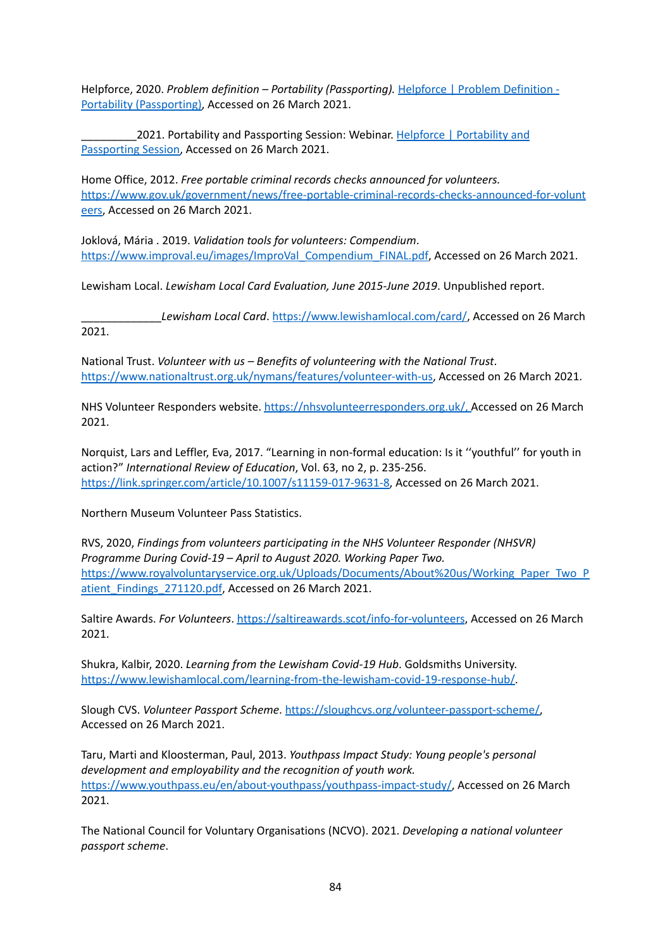Helpforce, 2020. *Problem definition – Portability (Passporting).* Helpforce | Problem [Definition](https://helpforce.community/connect/resources/problem-definition-portability-passporting) - Portability [\(Passporting\),](https://helpforce.community/connect/resources/problem-definition-portability-passporting) Accessed on 26 March 2021.

2021. [Portability](https://helpforce.community/connect/resources/portability-and-passporting-session) and Passporting Session: Webinar. Helpforce | Portability and [Passporting](https://helpforce.community/connect/resources/portability-and-passporting-session) Session, Accessed on 26 March 2021.

Home Office, 2012. *Free portable criminal records checks announced for volunteers.* [https://www.gov.uk/government/news/free-portable-criminal-records-checks-announced-for-volunt](https://www.gov.uk/government/news/free-portable-criminal-records-checks-announced-for-volunteers) [eers,](https://www.gov.uk/government/news/free-portable-criminal-records-checks-announced-for-volunteers) Accessed on 26 March 2021.

Joklová, Mária . 2019. *Validation tools for volunteers: Compendium*. [https://www.improval.eu/images/ImproVal\\_Compendium\\_FINAL.pdf](https://www.improval.eu/images/ImproVal_Compendium_FINAL.pdf), Accessed on 26 March 2021.

Lewisham Local. *Lewisham Local Card Evaluation, June 2015-June 2019*. Unpublished report.

\_\_\_\_\_\_\_\_\_\_\_\_\_*Lewisham Local Card*. <https://www.lewishamlocal.com/card/>, Accessed on 26 March 2021.

National Trust. *Volunteer with us – Benefits of volunteering with the National Trust*. <https://www.nationaltrust.org.uk/nymans/features/volunteer-with-us>, Accessed on 26 March 2021.

NHS Volunteer Responders website. [https://nhsvolunteerresponders.org.uk/,](https://nhsvolunteerresponders.org.uk/) Accessed on 26 March 2021.

Norquist, Lars and Leffler, Eva, 2017. "Learning in non-formal education: Is it ''youthful'' for youth in action?" *International Review of Education*, Vol. 63, no 2, p. 235-256. [https://link.springer.com/article/10.1007/s11159-017-9631-8,](https://link.springer.com/article/10.1007/s11159-017-9631-8) Accessed on 26 March 2021.

Northern Museum Volunteer Pass Statistics.

RVS, 2020, *Findings from volunteers participating in the NHS Volunteer Responder (NHSVR) Programme During Covid-19 – April to August 2020. Working Paper Two.* [https://www.royalvoluntaryservice.org.uk/Uploads/Documents/About%20us/Working\\_Paper\\_Two\\_P](https://www.royalvoluntaryservice.org.uk/Uploads/Documents/About%20us/Working_Paper_Two_Patient_Findings_271120.pdf) atient Findings 271120.pdf, Accessed on 26 March 2021.

Saltire Awards. *For Volunteers*. <https://saltireawards.scot/info-for-volunteers>, Accessed on 26 March 2021.

Shukra, Kalbir, 2020. *Learning from the Lewisham Covid-19 Hub*. Goldsmiths University. [https://www.lewishamlocal.com/learning-from-the-lewisham-covid-19-response-hub/.](https://www.lewishamlocal.com/learning-from-the-lewisham-covid-19-response-hub/)

Slough CVS. *Volunteer Passport Scheme*. [https://sloughcvs.org/volunteer-passport-scheme/,](https://sloughcvs.org/volunteer-passport-scheme/) Accessed on 26 March 2021.

Taru, Marti and Kloosterman, Paul, 2013. *Youthpass Impact Study: Young people's personal development and employability and the recognition of youth work.* [https://www.youthpass.eu/en/about-youthpass/youthpass-impact-study/,](https://www.youthpass.eu/en/about-youthpass/youthpass-impact-study/) Accessed on 26 March 2021.

The National Council for Voluntary Organisations (NCVO). 2021. *Developing a national volunteer passport scheme*.